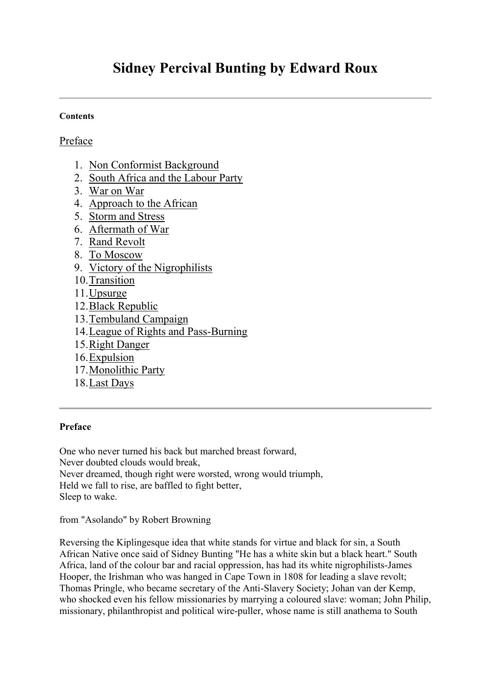# **Sidney Percival Bunting by Edward Roux**

#### **Contents**

## [Preface](http://www.sacp.org.za/docs/history/1943/spbunting.html#Preface)

- 1. [Non Conformist Background](http://www.sacp.org.za/docs/history/1943/spbunting.html#Chapter 1)
- 2. [South Africa and the Labour Party](http://www.sacp.org.za/docs/history/1943/spbunting.html#Chapter 2)
- 3. [War on War](http://www.sacp.org.za/docs/history/1943/spbunting.html#Chapter 3)
- 4. [Approach to the African](http://www.sacp.org.za/docs/history/1943/spbunting.html#Chapter 4)
- 5. [Storm and Stress](http://www.sacp.org.za/docs/history/1943/spbunting.html#Chapter 5)
- 6. [Aftermath of War](http://www.sacp.org.za/docs/history/1943/spbunting.html#Chapter 6)
- 7. [Rand Revolt](http://www.sacp.org.za/docs/history/1943/spbunting.html#Chapter 7)
- 8. [To Moscow](http://www.sacp.org.za/docs/history/1943/spbunting.html#Chapter 8)
- 9. [Victory of the Nigrophilists](http://www.sacp.org.za/docs/history/1943/spbunting.html#Chapter 9)
- 10[.Transition](http://www.sacp.org.za/docs/history/1943/spbunting.html#Chapter 10)
- 11[.Upsurge](http://www.sacp.org.za/docs/history/1943/spbunting.html#Chapter 11)
- 12[.Black Republic](http://www.sacp.org.za/docs/history/1943/spbunting.html#Chapter 12)
- 13[.Tembuland Campaign](http://www.sacp.org.za/docs/history/1943/spbunting.html#Chapter 13)
- 14[.League of Rights and Pass-Burning](http://www.sacp.org.za/docs/history/1943/spbunting.html#Chapter 14)
- 15[.Right Danger](http://www.sacp.org.za/docs/history/1943/spbunting.html#Chapter 15)
- 16[.Expulsion](http://www.sacp.org.za/docs/history/1943/spbunting.html#Chapter 16)
- 17[.Monolithic Party](http://www.sacp.org.za/docs/history/1943/spbunting.html#Chapter 17)
- 18[.Last Days](http://www.sacp.org.za/docs/history/1943/spbunting.html#Chapter 18)

## **Preface**

One who never turned his back but marched breast forward, Never doubted clouds would break, Never dreamed, though right were worsted, wrong would triumph,

Held we fall to rise, are baffled to fight better,

Sleep to wake.

from "Asolando" by Robert Browning

Reversing the Kiplingesque idea that white stands for virtue and black for sin, a South African Native once said of Sidney Bunting "He has a white skin but a black heart." South Africa, land of the colour bar and racial oppression, has had its white nigrophilists-James Hooper, the Irishman who was hanged in Cape Town in 1808 for leading a slave revolt; Thomas Pringle, who became secretary of the Anti-Slavery Society; Johan van der Kemp, who shocked even his fellow missionaries by marrying a coloured slave: woman; John Philip, missionary, philanthropist and political wire-puller, whose name is still anathema to South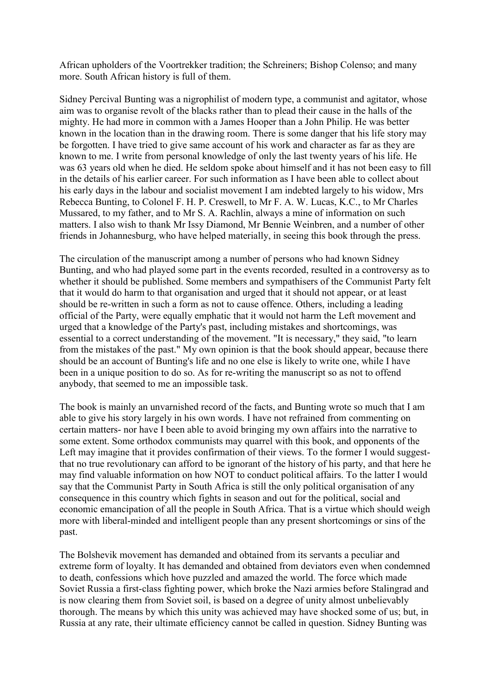African upholders of the Voortrekker tradition; the Schreiners; Bishop Colenso; and many more. South African history is full of them.

Sidney Percival Bunting was a nigrophilist of modern type, a communist and agitator, whose aim was to organise revolt of the blacks rather than to plead their cause in the halls of the mighty. He had more in common with a James Hooper than a John Philip. He was better known in the location than in the drawing room. There is some danger that his life story may be forgotten. I have tried to give same account of his work and character as far as they are known to me. I write from personal knowledge of only the last twenty years of his life. He was 63 years old when he died. He seldom spoke about himself and it has not been easy to fill in the details of his earlier career. For such information as I have been able to collect about his early days in the labour and socialist movement I am indebted largely to his widow, Mrs Rebecca Bunting, to Colonel F. H. P. Creswell, to Mr F. A. W. Lucas, K.C., to Mr Charles Mussared, to my father, and to Mr S. A. Rachlin, always a mine of information on such matters. I also wish to thank Mr Issy Diamond, Mr Bennie Weinbren, and a number of other friends in Johannesburg, who have helped materially, in seeing this book through the press.

The circulation of the manuscript among a number of persons who had known Sidney Bunting, and who had played some part in the events recorded, resulted in a controversy as to whether it should be published. Some members and sympathisers of the Communist Party felt that it would do harm to that organisation and urged that it should not appear, or at least should be re-written in such a form as not to cause offence. Others, including a leading official of the Party, were equally emphatic that it would not harm the Left movement and urged that a knowledge of the Party's past, including mistakes and shortcomings, was essential to a correct understanding of the movement. "It is necessary," they said, "to learn from the mistakes of the past." My own opinion is that the book should appear, because there should be an account of Bunting's life and no one else is likely to write one, while I have been in a unique position to do so. As for re-writing the manuscript so as not to offend anybody, that seemed to me an impossible task.

The book is mainly an unvarnished record of the facts, and Bunting wrote so much that I am able to give his story largely in his own words. I have not refrained from commenting on certain matters- nor have I been able to avoid bringing my own affairs into the narrative to some extent. Some orthodox communists may quarrel with this book, and opponents of the Left may imagine that it provides confirmation of their views. To the former I would suggestthat no true revolutionary can afford to be ignorant of the history of his party, and that here he may find valuable information on how NOT to conduct political affairs. To the latter I would say that the Communist Party in South Africa is still the only political organisation of any consequence in this country which fights in season and out for the political, social and economic emancipation of all the people in South Africa. That is a virtue which should weigh more with liberal-minded and intelligent people than any present shortcomings or sins of the past.

The Bolshevik movement has demanded and obtained from its servants a peculiar and extreme form of loyalty. It has demanded and obtained from deviators even when condemned to death, confessions which hove puzzled and amazed the world. The force which made Soviet Russia a first-class fighting power, which broke the Nazi armies before Stalingrad and is now clearing them from Soviet soil, is based on a degree of unity almost unbelievably thorough. The means by which this unity was achieved may have shocked some of us; but, in Russia at any rate, their ultimate efficiency cannot be called in question. Sidney Bunting was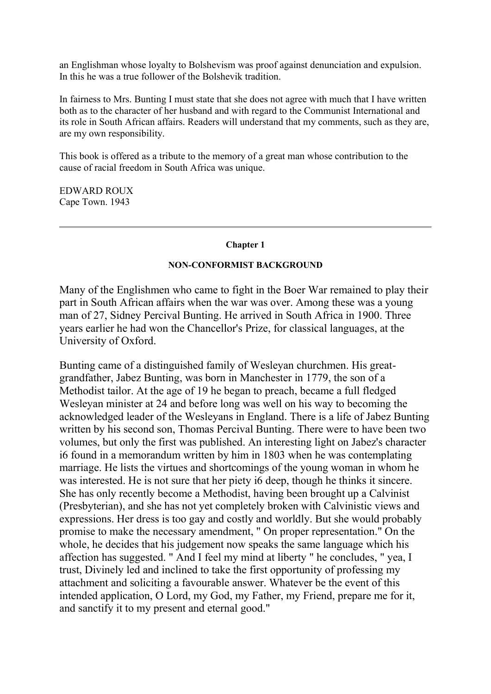an Englishman whose loyalty to Bolshevism was proof against denunciation and expulsion. In this he was a true follower of the Bolshevik tradition.

In fairness to Mrs. Bunting I must state that she does not agree with much that I have written both as to the character of her husband and with regard to the Communist International and its role in South African affairs. Readers will understand that my comments, such as they are, are my own responsibility.

This book is offered as a tribute to the memory of a great man whose contribution to the cause of racial freedom in South Africa was unique.

EDWARD ROUX Cape Town. 1943

#### **Chapter 1**

#### **NON-CONFORMIST BACKGROUND**

Many of the Englishmen who came to fight in the Boer War remained to play their part in South African affairs when the war was over. Among these was a young man of 27, Sidney Percival Bunting. He arrived in South Africa in 1900. Three years earlier he had won the Chancellor's Prize, for classical languages, at the University of Oxford.

Bunting came of a distinguished family of Wesleyan churchmen. His greatgrandfather, Jabez Bunting, was born in Manchester in 1779, the son of a Methodist tailor. At the age of 19 he began to preach, became a full fledged Wesleyan minister at 24 and before long was well on his way to becoming the acknowledged leader of the Wesleyans in England. There is a life of Jabez Bunting written by his second son, Thomas Percival Bunting. There were to have been two volumes, but only the first was published. An interesting light on Jabez's character i6 found in a memorandum written by him in 1803 when he was contemplating marriage. He lists the virtues and shortcomings of the young woman in whom he was interested. He is not sure that her piety i6 deep, though he thinks it sincere. She has only recently become a Methodist, having been brought up a Calvinist (Presbyterian), and she has not yet completely broken with Calvinistic views and expressions. Her dress is too gay and costly and worldly. But she would probably promise to make the necessary amendment, " On proper representation." On the whole, he decides that his judgement now speaks the same language which his affection has suggested. " And I feel my mind at liberty " he concludes, " yea, I trust, Divinely led and inclined to take the first opportunity of professing my attachment and soliciting a favourable answer. Whatever be the event of this intended application, O Lord, my God, my Father, my Friend, prepare me for it, and sanctify it to my present and eternal good."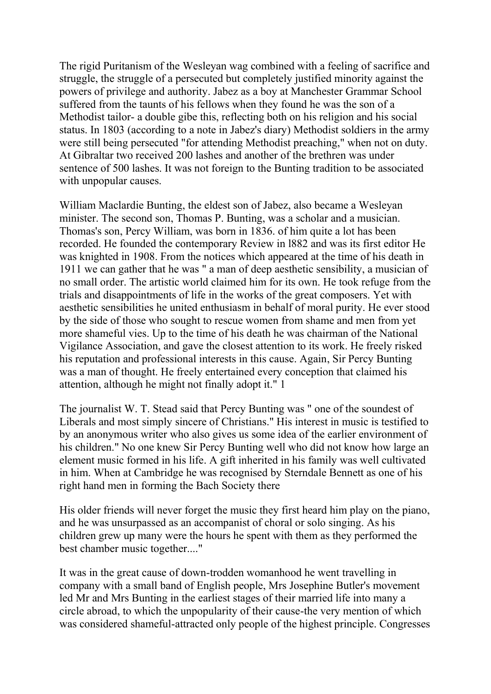The rigid Puritanism of the Wesleyan wag combined with a feeling of sacrifice and struggle, the struggle of a persecuted but completely justified minority against the powers of privilege and authority. Jabez as a boy at Manchester Grammar School suffered from the taunts of his fellows when they found he was the son of a Methodist tailor- a double gibe this, reflecting both on his religion and his social status. In 1803 (according to a note in Jabez's diary) Methodist soldiers in the army were still being persecuted "for attending Methodist preaching," when not on duty. At Gibraltar two received 200 lashes and another of the brethren was under sentence of 500 lashes. It was not foreign to the Bunting tradition to be associated with unpopular causes.

William Maclardie Bunting, the eldest son of Jabez, also became a Wesleyan minister. The second son, Thomas P. Bunting, was a scholar and a musician. Thomas's son, Percy William, was born in 1836. of him quite a lot has been recorded. He founded the contemporary Review in l882 and was its first editor He was knighted in 1908. From the notices which appeared at the time of his death in 1911 we can gather that he was " a man of deep aesthetic sensibility, a musician of no small order. The artistic world claimed him for its own. He took refuge from the trials and disappointments of life in the works of the great composers. Yet with aesthetic sensibilities he united enthusiasm in behalf of moral purity. He ever stood by the side of those who sought to rescue women from shame and men from yet more shameful vies. Up to the time of his death he was chairman of the National Vigilance Association, and gave the closest attention to its work. He freely risked his reputation and professional interests in this cause. Again, Sir Percy Bunting was a man of thought. He freely entertained every conception that claimed his attention, although he might not finally adopt it." 1

The journalist W. T. Stead said that Percy Bunting was " one of the soundest of Liberals and most simply sincere of Christians." His interest in music is testified to by an anonymous writer who also gives us some idea of the earlier environment of his children." No one knew Sir Percy Bunting well who did not know how large an element music formed in his life. A gift inherited in his family was well cultivated in him. When at Cambridge he was recognised by Sterndale Bennett as one of his right hand men in forming the Bach Society there

His older friends will never forget the music they first heard him play on the piano, and he was unsurpassed as an accompanist of choral or solo singing. As his children grew up many were the hours he spent with them as they performed the best chamber music together...."

It was in the great cause of down-trodden womanhood he went travelling in company with a small band of English people, Mrs Josephine Butler's movement led Mr and Mrs Bunting in the earliest stages of their married life into many a circle abroad, to which the unpopularity of their cause-the very mention of which was considered shameful-attracted only people of the highest principle. Congresses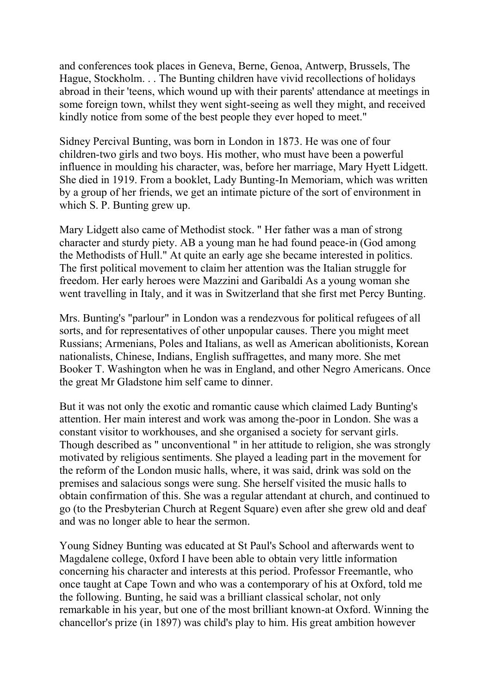and conferences took places in Geneva, Berne, Genoa, Antwerp, Brussels, The Hague, Stockholm. . . The Bunting children have vivid recollections of holidays abroad in their 'teens, which wound up with their parents' attendance at meetings in some foreign town, whilst they went sight-seeing as well they might, and received kindly notice from some of the best people they ever hoped to meet."

Sidney Percival Bunting, was born in London in 1873. He was one of four children-two girls and two boys. His mother, who must have been a powerful influence in moulding his character, was, before her marriage, Mary Hyett Lidgett. She died in 1919. From a booklet, Lady Bunting-In Memoriam, which was written by a group of her friends, we get an intimate picture of the sort of environment in which S. P. Bunting grew up.

Mary Lidgett also came of Methodist stock. " Her father was a man of strong character and sturdy piety. AB a young man he had found peace-in (God among the Methodists of Hull." At quite an early age she became interested in politics. The first political movement to claim her attention was the Italian struggle for freedom. Her early heroes were Mazzini and Garibaldi As a young woman she went travelling in Italy, and it was in Switzerland that she first met Percy Bunting.

Mrs. Bunting's "parlour" in London was a rendezvous for political refugees of all sorts, and for representatives of other unpopular causes. There you might meet Russians; Armenians, Poles and Italians, as well as American abolitionists, Korean nationalists, Chinese, Indians, English suffragettes, and many more. She met Booker T. Washington when he was in England, and other Negro Americans. Once the great Mr Gladstone him self came to dinner.

But it was not only the exotic and romantic cause which claimed Lady Bunting's attention. Her main interest and work was among the-poor in London. She was a constant visitor to workhouses, and she organised a society for servant girls. Though described as " unconventional " in her attitude to religion, she was strongly motivated by religious sentiments. She played a leading part in the movement for the reform of the London music halls, where, it was said, drink was sold on the premises and salacious songs were sung. She herself visited the music halls to obtain confirmation of this. She was a regular attendant at church, and continued to go (to the Presbyterian Church at Regent Square) even after she grew old and deaf and was no longer able to hear the sermon.

Young Sidney Bunting was educated at St Paul's School and afterwards went to Magdalene college, 0xford I have been able to obtain very little information concerning his character and interests at this period. Professor Freemantle, who once taught at Cape Town and who was a contemporary of his at Oxford, told me the following. Bunting, he said was a brilliant classical scholar, not only remarkable in his year, but one of the most brilliant known-at Oxford. Winning the chancellor's prize (in 1897) was child's play to him. His great ambition however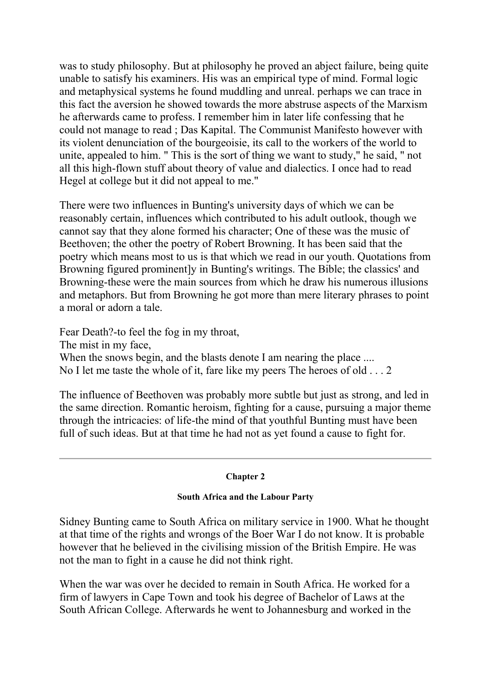was to study philosophy. But at philosophy he proved an abject failure, being quite unable to satisfy his examiners. His was an empirical type of mind. Formal logic and metaphysical systems he found muddling and unreal. perhaps we can trace in this fact the aversion he showed towards the more abstruse aspects of the Marxism he afterwards came to profess. I remember him in later life confessing that he could not manage to read ; Das Kapital. The Communist Manifesto however with its violent denunciation of the bourgeoisie, its call to the workers of the world to unite, appealed to him. " This is the sort of thing we want to study," he said, " not all this high-flown stuff about theory of value and dialectics. I once had to read Hegel at college but it did not appeal to me."

There were two influences in Bunting's university days of which we can be reasonably certain, influences which contributed to his adult outlook, though we cannot say that they alone formed his character; One of these was the music of Beethoven; the other the poetry of Robert Browning. It has been said that the poetry which means most to us is that which we read in our youth. Quotations from Browning figured prominent]y in Bunting's writings. The Bible; the classics' and Browning-these were the main sources from which he draw his numerous illusions and metaphors. But from Browning he got more than mere literary phrases to point a moral or adorn a tale.

Fear Death?-to feel the fog in my throat,

The mist in my face,

When the snows begin, and the blasts denote I am nearing the place .... No I let me taste the whole of it, fare like my peers The heroes of old . . . 2

The influence of Beethoven was probably more subtle but just as strong, and led in the same direction. Romantic heroism, fighting for a cause, pursuing a major theme through the intricacies: of life-the mind of that youthful Bunting must have been full of such ideas. But at that time he had not as yet found a cause to fight for.

## **Chapter 2**

## **South Africa and the Labour Party**

Sidney Bunting came to South Africa on military service in 1900. What he thought at that time of the rights and wrongs of the Boer War I do not know. It is probable however that he believed in the civilising mission of the British Empire. He was not the man to fight in a cause he did not think right.

When the war was over he decided to remain in South Africa. He worked for a firm of lawyers in Cape Town and took his degree of Bachelor of Laws at the South African College. Afterwards he went to Johannesburg and worked in the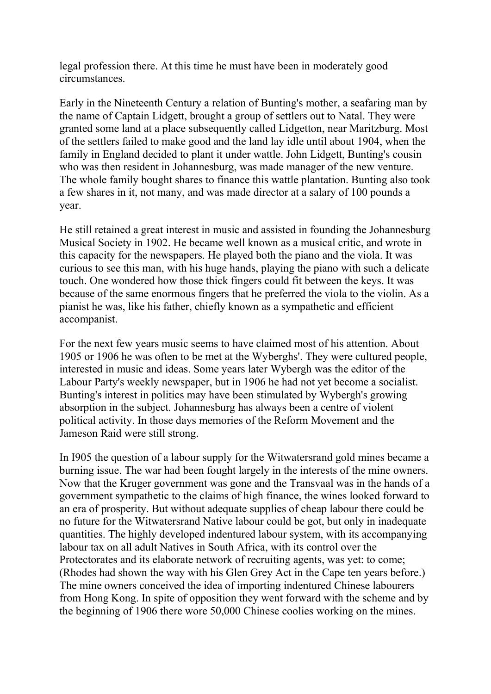legal profession there. At this time he must have been in moderately good circumstances.

Early in the Nineteenth Century a relation of Bunting's mother, a seafaring man by the name of Captain Lidgett, brought a group of settlers out to Natal. They were granted some land at a place subsequently called Lidgetton, near Maritzburg. Most of the settlers failed to make good and the land lay idle until about 1904, when the family in England decided to plant it under wattle. John Lidgett, Bunting's cousin who was then resident in Johannesburg, was made manager of the new venture. The whole family bought shares to finance this wattle plantation. Bunting also took a few shares in it, not many, and was made director at a salary of 100 pounds a year.

He still retained a great interest in music and assisted in founding the Johannesburg Musical Society in 1902. He became well known as a musical critic, and wrote in this capacity for the newspapers. He played both the piano and the viola. It was curious to see this man, with his huge hands, playing the piano with such a delicate touch. One wondered how those thick fingers could fit between the keys. It was because of the same enormous fingers that he preferred the viola to the violin. As a pianist he was, like his father, chiefly known as a sympathetic and efficient accompanist.

For the next few years music seems to have claimed most of his attention. About 1905 or 1906 he was often to be met at the Wyberghs'. They were cultured people, interested in music and ideas. Some years later Wybergh was the editor of the Labour Party's weekly newspaper, but in 1906 he had not yet become a socialist. Bunting's interest in politics may have been stimulated by Wybergh's growing absorption in the subject. Johannesburg has always been a centre of violent political activity. In those days memories of the Reform Movement and the Jameson Raid were still strong.

In I905 the question of a labour supply for the Witwatersrand gold mines became a burning issue. The war had been fought largely in the interests of the mine owners. Now that the Kruger government was gone and the Transvaal was in the hands of a government sympathetic to the claims of high finance, the wines looked forward to an era of prosperity. But without adequate supplies of cheap labour there could be no future for the Witwatersrand Native labour could be got, but only in inadequate quantities. The highly developed indentured labour system, with its accompanying labour tax on all adult Natives in South Africa, with its control over the Protectorates and its elaborate network of recruiting agents, was yet: to come; (Rhodes had shown the way with his Glen Grey Act in the Cape ten years before.) The mine owners conceived the idea of importing indentured Chinese labourers from Hong Kong. In spite of opposition they went forward with the scheme and by the beginning of 1906 there wore 50,000 Chinese coolies working on the mines.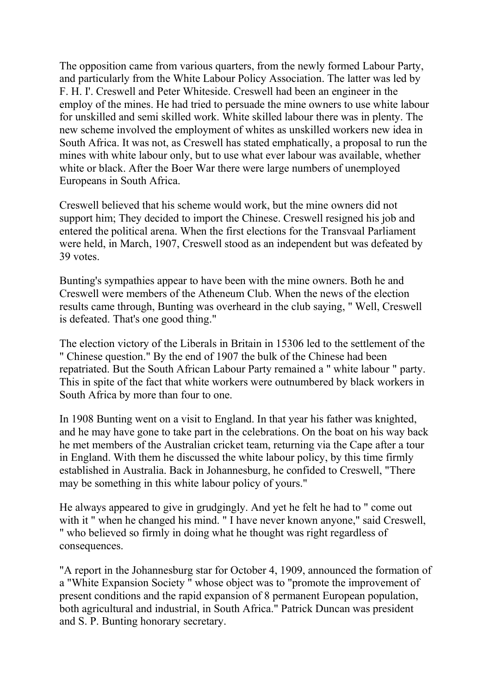The opposition came from various quarters, from the newly formed Labour Party, and particularly from the White Labour Policy Association. The latter was led by F. H. I'. Creswell and Peter Whiteside. Creswell had been an engineer in the employ of the mines. He had tried to persuade the mine owners to use white labour for unskilled and semi skilled work. White skilled labour there was in plenty. The new scheme involved the employment of whites as unskilled workers new idea in South Africa. It was not, as Creswell has stated emphatically, a proposal to run the mines with white labour only, but to use what ever labour was available, whether white or black. After the Boer War there were large numbers of unemployed Europeans in South Africa.

Creswell believed that his scheme would work, but the mine owners did not support him; They decided to import the Chinese. Creswell resigned his job and entered the political arena. When the first elections for the Transvaal Parliament were held, in March, 1907, Creswell stood as an independent but was defeated by 39 votes.

Bunting's sympathies appear to have been with the mine owners. Both he and Creswell were members of the Atheneum Club. When the news of the election results came through, Bunting was overheard in the club saying, " Well, Creswell is defeated. That's one good thing."

The election victory of the Liberals in Britain in 15306 led to the settlement of the " Chinese question." By the end of 1907 the bulk of the Chinese had been repatriated. But the South African Labour Party remained a " white labour " party. This in spite of the fact that white workers were outnumbered by black workers in South Africa by more than four to one.

In 1908 Bunting went on a visit to England. In that year his father was knighted, and he may have gone to take part in the celebrations. On the boat on his way back he met members of the Australian cricket team, returning via the Cape after a tour in England. With them he discussed the white labour policy, by this time firmly established in Australia. Back in Johannesburg, he confided to Creswell, "There may be something in this white labour policy of yours."

He always appeared to give in grudgingly. And yet he felt he had to " come out with it " when he changed his mind. " I have never known anyone," said Creswell, " who believed so firmly in doing what he thought was right regardless of consequences.

"A report in the Johannesburg star for October 4, 1909, announced the formation of a "White Expansion Society " whose object was to "promote the improvement of present conditions and the rapid expansion of 8 permanent European population, both agricultural and industrial, in South Africa." Patrick Duncan was president and S. P. Bunting honorary secretary.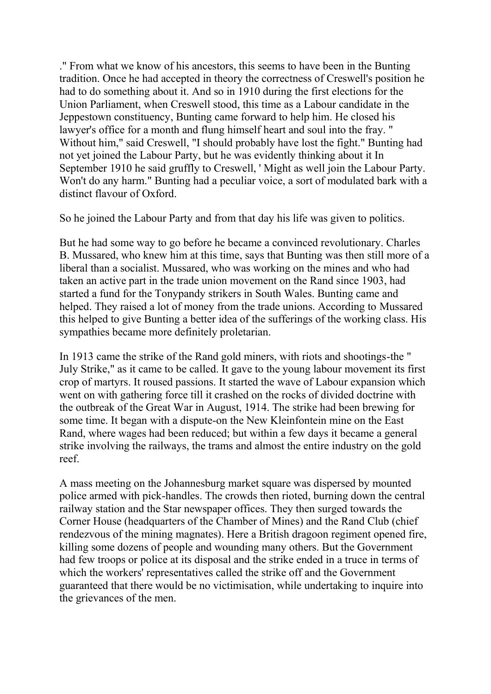." From what we know of his ancestors, this seems to have been in the Bunting tradition. Once he had accepted in theory the correctness of Creswell's position he had to do something about it. And so in 1910 during the first elections for the Union Parliament, when Creswell stood, this time as a Labour candidate in the Jeppestown constituency, Bunting came forward to help him. He closed his lawyer's office for a month and flung himself heart and soul into the fray. " Without him," said Creswell, "I should probably have lost the fight." Bunting had not yet joined the Labour Party, but he was evidently thinking about it In September 1910 he said gruffly to Creswell, ' Might as well join the Labour Party. Won't do any harm." Bunting had a peculiar voice, a sort of modulated bark with a distinct flavour of Oxford.

So he joined the Labour Party and from that day his life was given to politics.

But he had some way to go before he became a convinced revolutionary. Charles B. Mussared, who knew him at this time, says that Bunting was then still more of a liberal than a socialist. Mussared, who was working on the mines and who had taken an active part in the trade union movement on the Rand since 1903, had started a fund for the Tonypandy strikers in South Wales. Bunting came and helped. They raised a lot of money from the trade unions. According to Mussared this helped to give Bunting a better idea of the sufferings of the working class. His sympathies became more definitely proletarian.

In 1913 came the strike of the Rand gold miners, with riots and shootings-the " July Strike," as it came to be called. It gave to the young labour movement its first crop of martyrs. It roused passions. It started the wave of Labour expansion which went on with gathering force till it crashed on the rocks of divided doctrine with the outbreak of the Great War in August, 1914. The strike had been brewing for some time. It began with a dispute-on the New Kleinfontein mine on the East Rand, where wages had been reduced; but within a few days it became a general strike involving the railways, the trams and almost the entire industry on the gold reef.

A mass meeting on the Johannesburg market square was dispersed by mounted police armed with pick-handles. The crowds then rioted, burning down the central railway station and the Star newspaper offices. They then surged towards the Corner House (headquarters of the Chamber of Mines) and the Rand Club (chief rendezvous of the mining magnates). Here a British dragoon regiment opened fire, killing some dozens of people and wounding many others. But the Government had few troops or police at its disposal and the strike ended in a truce in terms of which the workers' representatives called the strike off and the Government guaranteed that there would be no victimisation, while undertaking to inquire into the grievances of the men.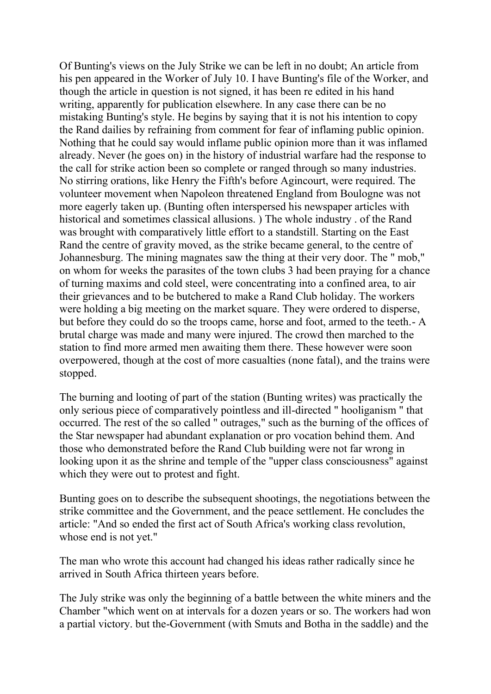Of Bunting's views on the July Strike we can be left in no doubt; An article from his pen appeared in the Worker of July 10. I have Bunting's file of the Worker, and though the article in question is not signed, it has been re edited in his hand writing, apparently for publication elsewhere. In any case there can be no mistaking Bunting's style. He begins by saying that it is not his intention to copy the Rand dailies by refraining from comment for fear of inflaming public opinion. Nothing that he could say would inflame public opinion more than it was inflamed already. Never (he goes on) in the history of industrial warfare had the response to the call for strike action been so complete or ranged through so many industries. No stirring orations, like Henry the Fifth's before Agincourt, were required. The volunteer movement when Napoleon threatened England from Boulogne was not more eagerly taken up. (Bunting often interspersed his newspaper articles with historical and sometimes classical allusions. ) The whole industry . of the Rand was brought with comparatively little effort to a standstill. Starting on the East Rand the centre of gravity moved, as the strike became general, to the centre of Johannesburg. The mining magnates saw the thing at their very door. The " mob," on whom for weeks the parasites of the town clubs 3 had been praying for a chance of turning maxims and cold steel, were concentrating into a confined area, to air their grievances and to be butchered to make a Rand Club holiday. The workers were holding a big meeting on the market square. They were ordered to disperse, but before they could do so the troops came, horse and foot, armed to the teeth.- A brutal charge was made and many were injured. The crowd then marched to the station to find more armed men awaiting them there. These however were soon overpowered, though at the cost of more casualties (none fatal), and the trains were stopped.

The burning and looting of part of the station (Bunting writes) was practically the only serious piece of comparatively pointless and ill-directed " hooliganism " that occurred. The rest of the so called " outrages," such as the burning of the offices of the Star newspaper had abundant explanation or pro vocation behind them. And those who demonstrated before the Rand Club building were not far wrong in looking upon it as the shrine and temple of the "upper class consciousness" against which they were out to protest and fight.

Bunting goes on to describe the subsequent shootings, the negotiations between the strike committee and the Government, and the peace settlement. He concludes the article: "And so ended the first act of South Africa's working class revolution, whose end is not yet."

The man who wrote this account had changed his ideas rather radically since he arrived in South Africa thirteen years before.

The July strike was only the beginning of a battle between the white miners and the Chamber "which went on at intervals for a dozen years or so. The workers had won a partial victory. but the-Government (with Smuts and Botha in the saddle) and the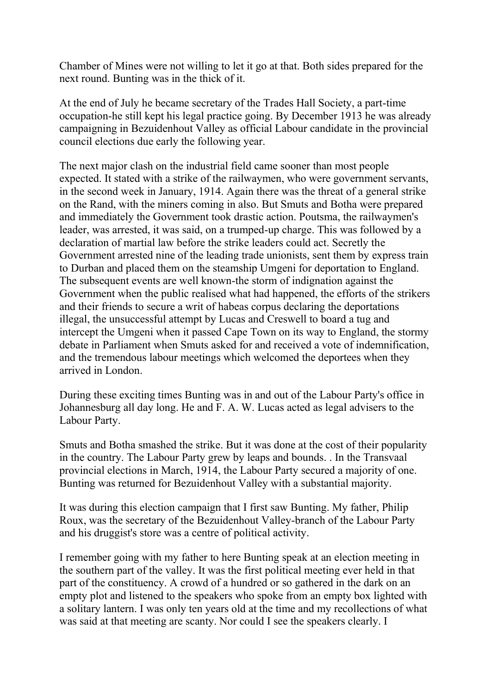Chamber of Mines were not willing to let it go at that. Both sides prepared for the next round. Bunting was in the thick of it.

At the end of July he became secretary of the Trades Hall Society, a part-time occupation-he still kept his legal practice going. By December 1913 he was already campaigning in Bezuidenhout Valley as official Labour candidate in the provincial council elections due early the following year.

The next major clash on the industrial field came sooner than most people expected. It stated with a strike of the railwaymen, who were government servants, in the second week in January, 1914. Again there was the threat of a general strike on the Rand, with the miners coming in also. But Smuts and Botha were prepared and immediately the Government took drastic action. Poutsma, the railwaymen's leader, was arrested, it was said, on a trumped-up charge. This was followed by a declaration of martial law before the strike leaders could act. Secretly the Government arrested nine of the leading trade unionists, sent them by express train to Durban and placed them on the steamship Umgeni for deportation to England. The subsequent events are well known-the storm of indignation against the Government when the public realised what had happened, the efforts of the strikers and their friends to secure a writ of habeas corpus declaring the deportations illegal, the unsuccessful attempt by Lucas and Creswell to board a tug and intercept the Umgeni when it passed Cape Town on its way to England, the stormy debate in Parliament when Smuts asked for and received a vote of indemnification, and the tremendous labour meetings which welcomed the deportees when they arrived in London.

During these exciting times Bunting was in and out of the Labour Party's office in Johannesburg all day long. He and F. A. W. Lucas acted as legal advisers to the Labour Party.

Smuts and Botha smashed the strike. But it was done at the cost of their popularity in the country. The Labour Party grew by leaps and bounds. . In the Transvaal provincial elections in March, 1914, the Labour Party secured a majority of one. Bunting was returned for Bezuidenhout Valley with a substantial majority.

It was during this election campaign that I first saw Bunting. My father, Philip Roux, was the secretary of the Bezuidenhout Valley-branch of the Labour Party and his druggist's store was a centre of political activity.

I remember going with my father to here Bunting speak at an election meeting in the southern part of the valley. It was the first political meeting ever held in that part of the constituency. A crowd of a hundred or so gathered in the dark on an empty plot and listened to the speakers who spoke from an empty box lighted with a solitary lantern. I was only ten years old at the time and my recollections of what was said at that meeting are scanty. Nor could I see the speakers clearly. I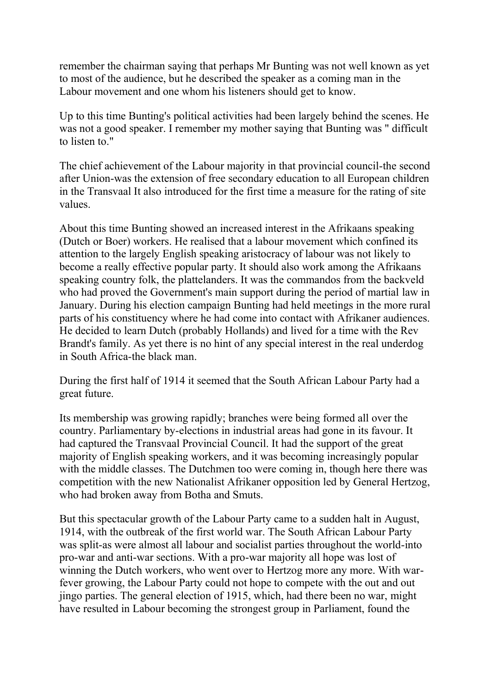remember the chairman saying that perhaps Mr Bunting was not well known as yet to most of the audience, but he described the speaker as a coming man in the Labour movement and one whom his listeners should get to know.

Up to this time Bunting's political activities had been largely behind the scenes. He was not a good speaker. I remember my mother saying that Bunting was " difficult to listen to."

The chief achievement of the Labour majority in that provincial council-the second after Union-was the extension of free secondary education to all European children in the Transvaal It also introduced for the first time a measure for the rating of site values.

About this time Bunting showed an increased interest in the Afrikaans speaking (Dutch or Boer) workers. He realised that a labour movement which confined its attention to the largely English speaking aristocracy of labour was not likely to become a really effective popular party. It should also work among the Afrikaans speaking country folk, the plattelanders. It was the commandos from the backveld who had proved the Government's main support during the period of martial law in January. During his election campaign Bunting had held meetings in the more rural parts of his constituency where he had come into contact with Afrikaner audiences. He decided to learn Dutch (probably Hollands) and lived for a time with the Rev Brandt's family. As yet there is no hint of any special interest in the real underdog in South Africa-the black man.

During the first half of 1914 it seemed that the South African Labour Party had a great future.

Its membership was growing rapidly; branches were being formed all over the country. Parliamentary by-elections in industrial areas had gone in its favour. It had captured the Transvaal Provincial Council. It had the support of the great majority of English speaking workers, and it was becoming increasingly popular with the middle classes. The Dutchmen too were coming in, though here there was competition with the new Nationalist Afrikaner opposition led by General Hertzog, who had broken away from Botha and Smuts.

But this spectacular growth of the Labour Party came to a sudden halt in August, 1914, with the outbreak of the first world war. The South African Labour Party was split-as were almost all labour and socialist parties throughout the world-into pro-war and anti-war sections. With a pro-war majority all hope was lost of winning the Dutch workers, who went over to Hertzog more any more. With warfever growing, the Labour Party could not hope to compete with the out and out jingo parties. The general election of 1915, which, had there been no war, might have resulted in Labour becoming the strongest group in Parliament, found the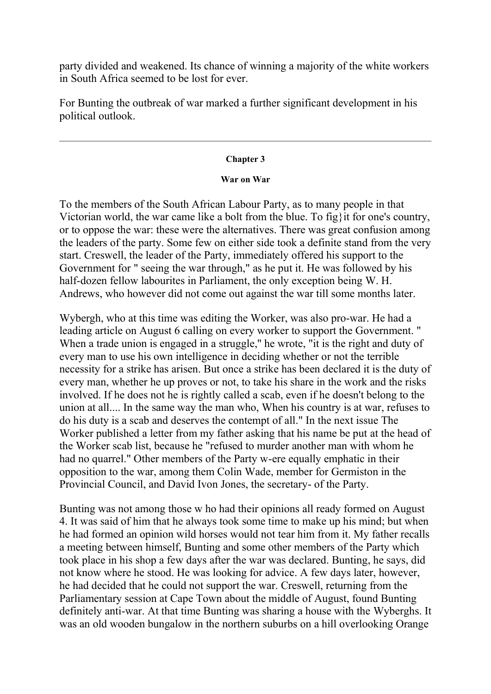party divided and weakened. Its chance of winning a majority of the white workers in South Africa seemed to be lost for ever.

For Bunting the outbreak of war marked a further significant development in his political outlook.

#### **Chapter 3**

## **War on War**

To the members of the South African Labour Party, as to many people in that Victorian world, the war came like a bolt from the blue. To fig}it for one's country, or to oppose the war: these were the alternatives. There was great confusion among the leaders of the party. Some few on either side took a definite stand from the very start. Creswell, the leader of the Party, immediately offered his support to the Government for " seeing the war through," as he put it. He was followed by his half-dozen fellow labourites in Parliament, the only exception being W. H. Andrews, who however did not come out against the war till some months later.

Wybergh, who at this time was editing the Worker, was also pro-war. He had a leading article on August 6 calling on every worker to support the Government. " When a trade union is engaged in a struggle," he wrote, "it is the right and duty of every man to use his own intelligence in deciding whether or not the terrible necessity for a strike has arisen. But once a strike has been declared it is the duty of every man, whether he up proves or not, to take his share in the work and the risks involved. If he does not he is rightly called a scab, even if he doesn't belong to the union at all.... In the same way the man who, When his country is at war, refuses to do his duty is a scab and deserves the contempt of all." In the next issue The Worker published a letter from my father asking that his name be put at the head of the Worker scab list, because he "refused to murder another man with whom he had no quarrel." Other members of the Party w-ere equally emphatic in their opposition to the war, among them Colin Wade, member for Germiston in the Provincial Council, and David Ivon Jones, the secretary- of the Party.

Bunting was not among those w ho had their opinions all ready formed on August 4. It was said of him that he always took some time to make up his mind; but when he had formed an opinion wild horses would not tear him from it. My father recalls a meeting between himself, Bunting and some other members of the Party which took place in his shop a few days after the war was declared. Bunting, he says, did not know where he stood. He was looking for advice. A few days later, however, he had decided that he could not support the war. Creswell, returning from the Parliamentary session at Cape Town about the middle of August, found Bunting definitely anti-war. At that time Bunting was sharing a house with the Wyberghs. It was an old wooden bungalow in the northern suburbs on a hill overlooking Orange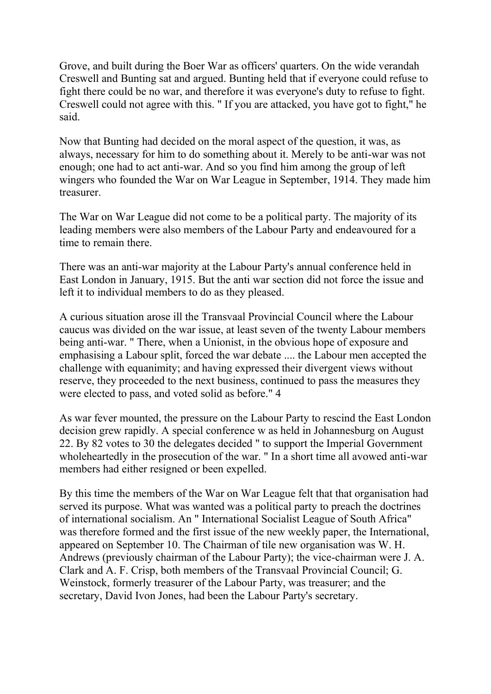Grove, and built during the Boer War as officers' quarters. On the wide verandah Creswell and Bunting sat and argued. Bunting held that if everyone could refuse to fight there could be no war, and therefore it was everyone's duty to refuse to fight. Creswell could not agree with this. " If you are attacked, you have got to fight," he said.

Now that Bunting had decided on the moral aspect of the question, it was, as always, necessary for him to do something about it. Merely to be anti-war was not enough; one had to act anti-war. And so you find him among the group of left wingers who founded the War on War League in September, 1914. They made him treasurer.

The War on War League did not come to be a political party. The majority of its leading members were also members of the Labour Party and endeavoured for a time to remain there.

There was an anti-war majority at the Labour Party's annual conference held in East London in January, 1915. But the anti war section did not force the issue and left it to individual members to do as they pleased.

A curious situation arose ill the Transvaal Provincial Council where the Labour caucus was divided on the war issue, at least seven of the twenty Labour members being anti-war. " There, when a Unionist, in the obvious hope of exposure and emphasising a Labour split, forced the war debate .... the Labour men accepted the challenge with equanimity; and having expressed their divergent views without reserve, they proceeded to the next business, continued to pass the measures they were elected to pass, and voted solid as before." 4

As war fever mounted, the pressure on the Labour Party to rescind the East London decision grew rapidly. A special conference w as held in Johannesburg on August 22. By 82 votes to 30 the delegates decided " to support the Imperial Government wholeheartedly in the prosecution of the war. " In a short time all avowed anti-war members had either resigned or been expelled.

By this time the members of the War on War League felt that that organisation had served its purpose. What was wanted was a political party to preach the doctrines of international socialism. An " International Socialist League of South Africa" was therefore formed and the first issue of the new weekly paper, the International, appeared on September 10. The Chairman of tile new organisation was W. H. Andrews (previously chairman of the Labour Party); the vice-chairman were J. A. Clark and A. F. Crisp, both members of the Transvaal Provincial Council; G. Weinstock, formerly treasurer of the Labour Party, was treasurer; and the secretary, David Ivon Jones, had been the Labour Party's secretary.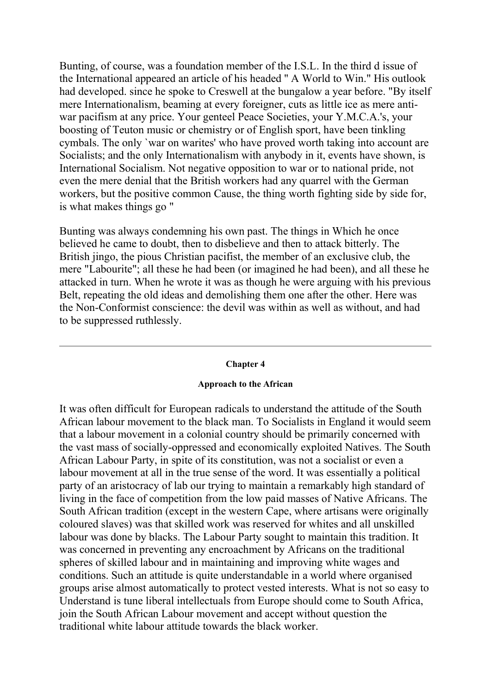Bunting, of course, was a foundation member of the I.S.L. In the third d issue of the International appeared an article of his headed '' A World to Win." His outlook had developed. since he spoke to Creswell at the bungalow a year before. "By itself mere Internationalism, beaming at every foreigner, cuts as little ice as mere antiwar pacifism at any price. Your genteel Peace Societies, your Y.M.C.A.'s, your boosting of Teuton music or chemistry or of English sport, have been tinkling cymbals. The only `war on warites' who have proved worth taking into account are Socialists; and the only Internationalism with anybody in it, events have shown, is International Socialism. Not negative opposition to war or to national pride, not even the mere denial that the British workers had any quarrel with the German workers, but the positive common Cause, the thing worth fighting side by side for, is what makes things go "

Bunting was always condemning his own past. The things in Which he once believed he came to doubt, then to disbelieve and then to attack bitterly. The British jingo, the pious Christian pacifist, the member of an exclusive club, the mere "Labourite"; all these he had been (or imagined he had been), and all these he attacked in turn. When he wrote it was as though he were arguing with his previous Belt, repeating the old ideas and demolishing them one after the other. Here was the Non-Conformist conscience: the devil was within as well as without, and had to be suppressed ruthlessly.

#### **Chapter 4**

#### **Approach to the African**

It was often difficult for European radicals to understand the attitude of the South African labour movement to the black man. To Socialists in England it would seem that a labour movement in a colonial country should be primarily concerned with the vast mass of socially-oppressed and economically exploited Natives. The South African Labour Party, in spite of its constitution, was not a socialist or even a labour movement at all in the true sense of the word. It was essentially a political party of an aristocracy of lab our trying to maintain a remarkably high standard of living in the face of competition from the low paid masses of Native Africans. The South African tradition (except in the western Cape, where artisans were originally coloured slaves) was that skilled work was reserved for whites and all unskilled labour was done by blacks. The Labour Party sought to maintain this tradition. It was concerned in preventing any encroachment by Africans on the traditional spheres of skilled labour and in maintaining and improving white wages and conditions. Such an attitude is quite understandable in a world where organised groups arise almost automatically to protect vested interests. What is not so easy to Understand is tune liberal intellectuals from Europe should come to South Africa, join the South African Labour movement and accept without question the traditional white labour attitude towards the black worker.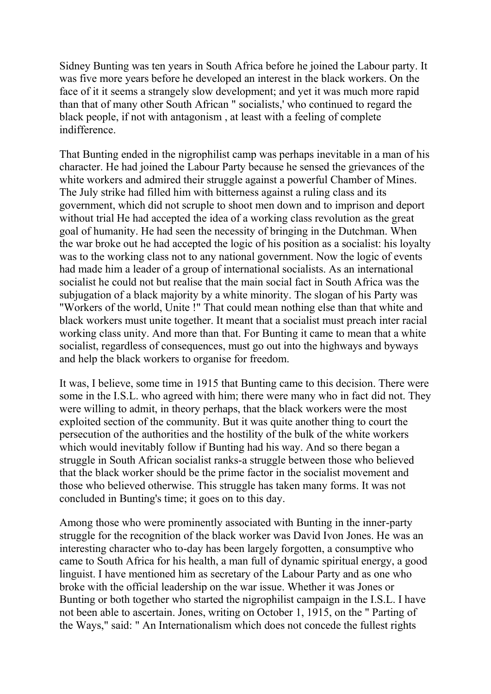Sidney Bunting was ten years in South Africa before he joined the Labour party. It was five more years before he developed an interest in the black workers. On the face of it it seems a strangely slow development; and yet it was much more rapid than that of many other South African " socialists,' who continued to regard the black people, if not with antagonism , at least with a feeling of complete indifference.

That Bunting ended in the nigrophilist camp was perhaps inevitable in a man of his character. He had joined the Labour Party because he sensed the grievances of the white workers and admired their struggle against a powerful Chamber of Mines. The July strike had filled him with bitterness against a ruling class and its government, which did not scruple to shoot men down and to imprison and deport without trial He had accepted the idea of a working class revolution as the great goal of humanity. He had seen the necessity of bringing in the Dutchman. When the war broke out he had accepted the logic of his position as a socialist: his loyalty was to the working class not to any national government. Now the logic of events had made him a leader of a group of international socialists. As an international socialist he could not but realise that the main social fact in South Africa was the subjugation of a black majority by a white minority. The slogan of his Party was "Workers of the world, Unite !" That could mean nothing else than that white and black workers must unite together. It meant that a socialist must preach inter racial working class unity. And more than that. For Bunting it came to mean that a white socialist, regardless of consequences, must go out into the highways and byways and help the black workers to organise for freedom.

It was, I believe, some time in 1915 that Bunting came to this decision. There were some in the I.S.L. who agreed with him; there were many who in fact did not. They were willing to admit, in theory perhaps, that the black workers were the most exploited section of the community. But it was quite another thing to court the persecution of the authorities and the hostility of the bulk of the white workers which would inevitably follow if Bunting had his way. And so there began a struggle in South African socialist ranks-a struggle between those who believed that the black worker should be the prime factor in the socialist movement and those who believed otherwise. This struggle has taken many forms. It was not concluded in Bunting's time; it goes on to this day.

Among those who were prominently associated with Bunting in the inner-party struggle for the recognition of the black worker was David Ivon Jones. He was an interesting character who to-day has been largely forgotten, a consumptive who came to South Africa for his health, a man full of dynamic spiritual energy, a good linguist. I have mentioned him as secretary of the Labour Party and as one who broke with the official leadership on the war issue. Whether it was Jones or Bunting or both together who started the nigrophilist campaign in the I.S.L. I have not been able to ascertain. Jones, writing on October 1, 1915, on the " Parting of the Ways," said: " An Internationalism which does not concede the fullest rights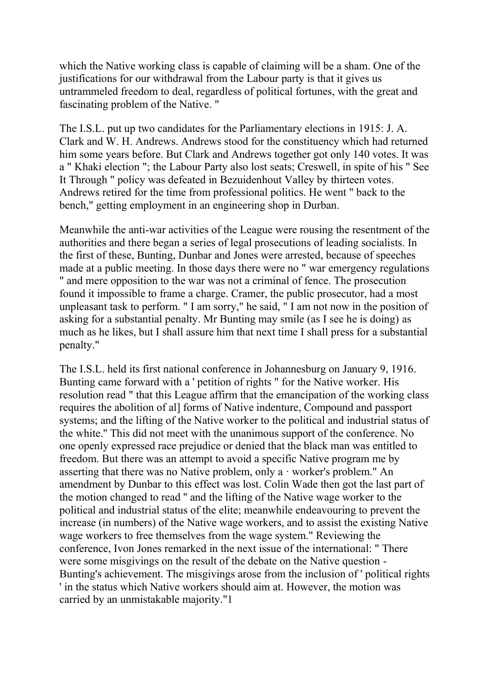which the Native working class is capable of claiming will be a sham. One of the justifications for our withdrawal from the Labour party is that it gives us untrammeled freedom to deal, regardless of political fortunes, with the great and fascinating problem of the Native. "

The I.S.L. put up two candidates for the Parliamentary elections in 1915: J. A. Clark and W. H. Andrews. Andrews stood for the constituency which had returned him some years before. But Clark and Andrews together got only 140 votes. It was a " Khaki election "; the Labour Party also lost seats; Creswell, in spite of his " See It Through " policy was defeated in Bezuidenhout Valley by thirteen votes. Andrews retired for the time from professional politics. He went " back to the bench," getting employment in an engineering shop in Durban.

Meanwhile the anti-war activities of the League were rousing the resentment of the authorities and there began a series of legal prosecutions of leading socialists. In the first of these, Bunting, Dunbar and Jones were arrested, because of speeches made at a public meeting. In those days there were no " war emergency regulations " and mere opposition to the war was not a criminal of fence. The prosecution found it impossible to frame a charge. Cramer, the public prosecutor, had a most unpleasant task to perform. " I am sorry," he said, " I am not now in the position of asking for a substantial penalty. Mr Bunting may smile (as I see he is doing) as much as he likes, but I shall assure him that next time I shall press for a substantial penalty."

The I.S.L. held its first national conference in Johannesburg on January 9, 1916. Bunting came forward with a ' petition of rights " for the Native worker. His resolution read " that this League affirm that the emancipation of the working class requires the abolition of al] forms of Native indenture, Compound and passport systems; and the lifting of the Native worker to the political and industrial status of the white.'' This did not meet with the unanimous support of the conference. No one openly expressed race prejudice or denied that the black man was entitled to freedom. But there was an attempt to avoid a specific Native program me by asserting that there was no Native problem, only a · worker's problem." An amendment by Dunbar to this effect was lost. Colin Wade then got the last part of the motion changed to read '' and the lifting of the Native wage worker to the political and industrial status of the elite; meanwhile endeavouring to prevent the increase (in numbers) of the Native wage workers, and to assist the existing Native wage workers to free themselves from the wage system." Reviewing the conference, Ivon Jones remarked in the next issue of the international: " There were some misgivings on the result of the debate on the Native question - Bunting's achievement. The misgivings arose from the inclusion of ' political rights ' in the status which Native workers should aim at. However, the motion was carried by an unmistakable majority."1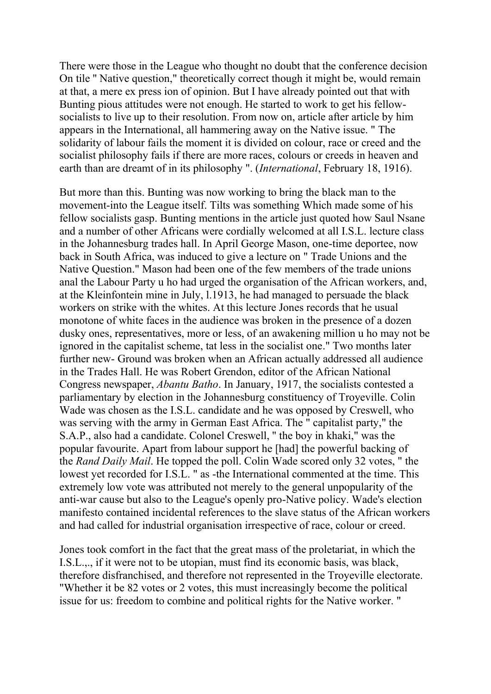There were those in the League who thought no doubt that the conference decision On tile '' Native question," theoretically correct though it might be, would remain at that, a mere ex press ion of opinion. But I have already pointed out that with Bunting pious attitudes were not enough. He started to work to get his fellowsocialists to live up to their resolution. From now on, article after article by him appears in the International, all hammering away on the Native issue. " The solidarity of labour fails the moment it is divided on colour, race or creed and the socialist philosophy fails if there are more races, colours or creeds in heaven and earth than are dreamt of in its philosophy ". (*International*, February 18, 1916).

But more than this. Bunting was now working to bring the black man to the movement-into the League itself. Tilts was something Which made some of his fellow socialists gasp. Bunting mentions in the article just quoted how Saul Nsane and a number of other Africans were cordially welcomed at all I.S.L. lecture class in the Johannesburg trades hall. In April George Mason, one-time deportee, now back in South Africa, was induced to give a lecture on " Trade Unions and the Native Question." Mason had been one of the few members of the trade unions anal the Labour Party u ho had urged the organisation of the African workers, and, at the Kleinfontein mine in July, l.1913, he had managed to persuade the black workers on strike with the whites. At this lecture Jones records that he usual monotone of white faces in the audience was broken in the presence of a dozen dusky ones, representatives, more or less, of an awakening million u ho may not be ignored in the capitalist scheme, tat less in the socialist one." Two months later further new- Ground was broken when an African actually addressed all audience in the Trades Hall. He was Robert Grendon, editor of the African National Congress newspaper, *Abantu Batho*. In January, 1917, the socialists contested a parliamentary by election in the Johannesburg constituency of Troyeville. Colin Wade was chosen as the I.S.L. candidate and he was opposed by Creswell, who was serving with the army in German East Africa. The " capitalist party," the S.A.P., also had a candidate. Colonel Creswell, '' the boy in khaki," was the popular favourite. Apart from labour support he [had] the powerful backing of the *Rand Daily Mail*. He topped the poll. Colin Wade scored only 32 votes, " the lowest yet recorded for I.S.L. " as -the International commented at the time. This extremely low vote was attributed not merely to the general unpopularity of the anti-war cause but also to the League's openly pro-Native policy. Wade's election manifesto contained incidental references to the slave status of the African workers and had called for industrial organisation irrespective of race, colour or creed.

Jones took comfort in the fact that the great mass of the proletariat, in which the I.S.L.,., if it were not to be utopian, must find its economic basis, was black, therefore disfranchised, and therefore not represented in the Troyeville electorate. "Whether it be 82 votes or 2 votes, this must increasingly become the political issue for us: freedom to combine and political rights for the Native worker. "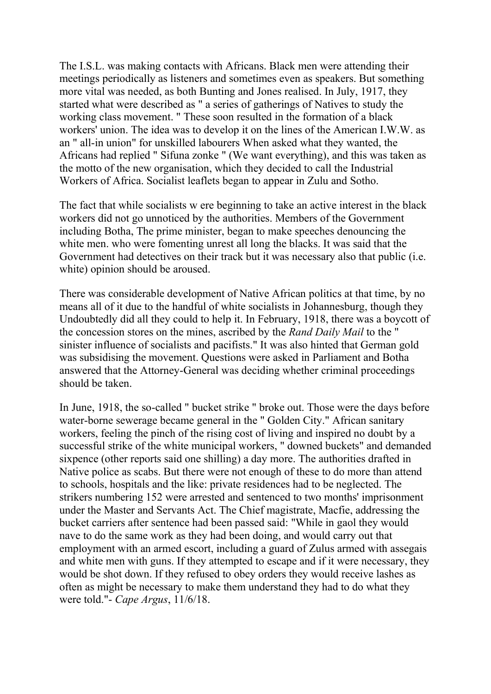The I.S.L. was making contacts with Africans. Black men were attending their meetings periodically as listeners and sometimes even as speakers. But something more vital was needed, as both Bunting and Jones realised. In July, 1917, they started what were described as " a series of gatherings of Natives to study the working class movement. " These soon resulted in the formation of a black workers' union. The idea was to develop it on the lines of the American I.W.W. as an " all-in union" for unskilled labourers When asked what they wanted, the Africans had replied " Sifuna zonke " (We want everything), and this was taken as the motto of the new organisation, which they decided to call the Industrial Workers of Africa. Socialist leaflets began to appear in Zulu and Sotho.

The fact that while socialists w ere beginning to take an active interest in the black workers did not go unnoticed by the authorities. Members of the Government including Botha, The prime minister, began to make speeches denouncing the white men. who were fomenting unrest all long the blacks. It was said that the Government had detectives on their track but it was necessary also that public (i.e. white) opinion should be aroused.

There was considerable development of Native African politics at that time, by no means all of it due to the handful of white socialists in Johannesburg, though they Undoubtedly did all they could to help it. In February, 1918, there was a boycott of the concession stores on the mines, ascribed by the *Rand Daily Mail* to the " sinister influence of socialists and pacifists." It was also hinted that German gold was subsidising the movement. Questions were asked in Parliament and Botha answered that the Attorney-General was deciding whether criminal proceedings should be taken.

In June, 1918, the so-called " bucket strike " broke out. Those were the days before water-borne sewerage became general in the " Golden City." African sanitary workers, feeling the pinch of the rising cost of living and inspired no doubt by a successful strike of the white municipal workers, " downed buckets" and demanded sixpence (other reports said one shilling) a day more. The authorities drafted in Native police as scabs. But there were not enough of these to do more than attend to schools, hospitals and the like: private residences had to be neglected. The strikers numbering 152 were arrested and sentenced to two months' imprisonment under the Master and Servants Act. The Chief magistrate, Macfie, addressing the bucket carriers after sentence had been passed said: "While in gaol they would nave to do the same work as they had been doing, and would carry out that employment with an armed escort, including a guard of Zulus armed with assegais and white men with guns. If they attempted to escape and if it were necessary, they would be shot down. If they refused to obey orders they would receive lashes as often as might be necessary to make them understand they had to do what they were told."- *Cape Argus*, 11/6/18.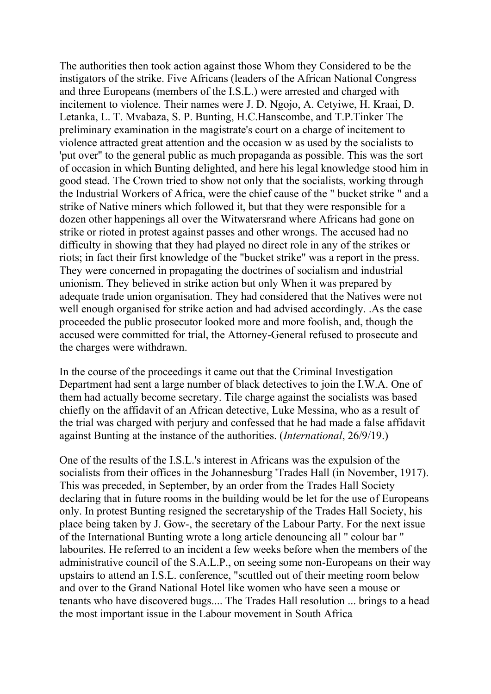The authorities then took action against those Whom they Considered to be the instigators of the strike. Five Africans (leaders of the African National Congress and three Europeans (members of the I.S.L.) were arrested and charged with incitement to violence. Their names were J. D. Ngojo, A. Cetyiwe, H. Kraai, D. Letanka, L. T. Mvabaza, S. P. Bunting, H.C.Hanscombe, and T.P.Tinker The preliminary examination in the magistrate's court on a charge of incitement to violence attracted great attention and the occasion w as used by the socialists to 'put over'' to the general public as much propaganda as possible. This was the sort of occasion in which Bunting delighted, and here his legal knowledge stood him in good stead. The Crown tried to show not only that the socialists, working through the Industrial Workers of Africa, were the chief cause of the " bucket strike " and a strike of Native miners which followed it, but that they were responsible for a dozen other happenings all over the Witwatersrand where Africans had gone on strike or rioted in protest against passes and other wrongs. The accused had no difficulty in showing that they had played no direct role in any of the strikes or riots; in fact their first knowledge of the "bucket strike" was a report in the press. They were concerned in propagating the doctrines of socialism and industrial unionism. They believed in strike action but only When it was prepared by adequate trade union organisation. They had considered that the Natives were not well enough organised for strike action and had advised accordingly. .As the case proceeded the public prosecutor looked more and more foolish, and, though the accused were committed for trial, the Attorney-General refused to prosecute and the charges were withdrawn.

In the course of the proceedings it came out that the Criminal Investigation Department had sent a large number of black detectives to join the I.W.A. One of them had actually become secretary. Tile charge against the socialists was based chiefly on the affidavit of an African detective, Luke Messina, who as a result of the trial was charged with perjury and confessed that he had made a false affidavit against Bunting at the instance of the authorities. (*International*, 26/9/19.)

One of the results of the I.S.L.'s interest in Africans was the expulsion of the socialists from their offices in the Johannesburg 'Trades Hall (in November, 1917). This was preceded, in September, by an order from the Trades Hall Society declaring that in future rooms in the building would be let for the use of Europeans only. In protest Bunting resigned the secretaryship of the Trades Hall Society, his place being taken by J. Gow-, the secretary of the Labour Party. For the next issue of the International Bunting wrote a long article denouncing all " colour bar " labourites. He referred to an incident a few weeks before when the members of the administrative council of the S.A.L.P., on seeing some non-Europeans on their way upstairs to attend an I.S.L. conference, "scuttled out of their meeting room below and over to the Grand National Hotel like women who have seen a mouse or tenants who have discovered bugs.... The Trades Hall resolution ... brings to a head the most important issue in the Labour movement in South Africa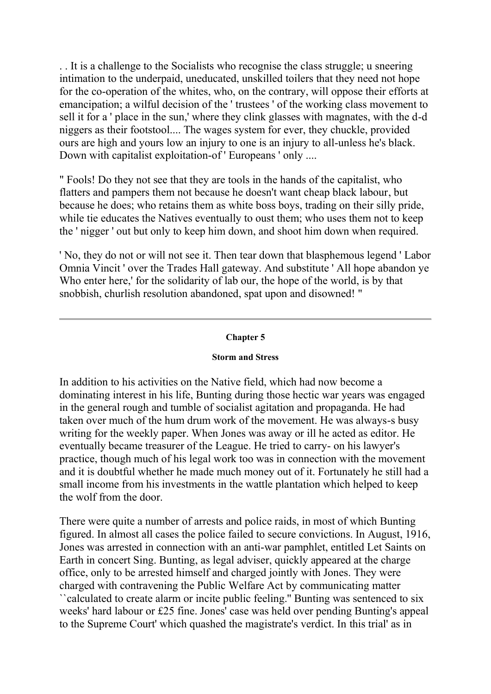. . It is a challenge to the Socialists who recognise the class struggle; u sneering intimation to the underpaid, uneducated, unskilled toilers that they need not hope for the co-operation of the whites, who, on the contrary, will oppose their efforts at emancipation; a wilful decision of the ' trustees ' of the working class movement to sell it for a ' place in the sun,' where they clink glasses with magnates, with the d-d niggers as their footstool.... The wages system for ever, they chuckle, provided ours are high and yours low an injury to one is an injury to all-unless he's black. Down with capitalist exploitation-of ' Europeans ' only ....

" Fools! Do they not see that they are tools in the hands of the capitalist, who flatters and pampers them not because he doesn't want cheap black labour, but because he does; who retains them as white boss boys, trading on their silly pride, while tie educates the Natives eventually to oust them; who uses them not to keep the ' nigger ' out but only to keep him down, and shoot him down when required.

' No, they do not or will not see it. Then tear down that blasphemous legend ' Labor Omnia Vincit ' over the Trades Hall gateway. And substitute ' All hope abandon ye Who enter here,' for the solidarity of lab our, the hope of the world, is by that snobbish, churlish resolution abandoned, spat upon and disowned! "

## **Chapter 5**

#### **Storm and Stress**

In addition to his activities on the Native field, which had now become a dominating interest in his life, Bunting during those hectic war years was engaged in the general rough and tumble of socialist agitation and propaganda. He had taken over much of the hum drum work of the movement. He was always-s busy writing for the weekly paper. When Jones was away or ill he acted as editor. He eventually became treasurer of the League. He tried to carry- on his lawyer's practice, though much of his legal work too was in connection with the movement and it is doubtful whether he made much money out of it. Fortunately he still had a small income from his investments in the wattle plantation which helped to keep the wolf from the door.

There were quite a number of arrests and police raids, in most of which Bunting figured. In almost all cases the police failed to secure convictions. In August, 1916, Jones was arrested in connection with an anti-war pamphlet, entitled Let Saints on Earth in concert Sing. Bunting, as legal adviser, quickly appeared at the charge office, only to be arrested himself and charged jointly with Jones. They were charged with contravening the Public Welfare Act by communicating matter ``calculated to create alarm or incite public feeling.'' Bunting was sentenced to six weeks' hard labour or £25 fine. Jones' case was held over pending Bunting's appeal to the Supreme Court' which quashed the magistrate's verdict. In this trial' as in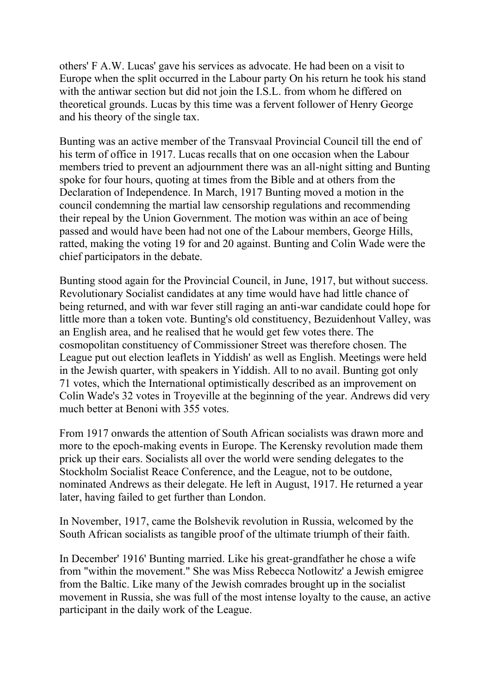others' F A.W. Lucas' gave his services as advocate. He had been on a visit to Europe when the split occurred in the Labour party On his return he took his stand with the antiwar section but did not join the I.S.L. from whom he differed on theoretical grounds. Lucas by this time was a fervent follower of Henry George and his theory of the single tax.

Bunting was an active member of the Transvaal Provincial Council till the end of his term of office in 1917. Lucas recalls that on one occasion when the Labour members tried to prevent an adjournment there was an all-night sitting and Bunting spoke for four hours, quoting at times from the Bible and at others from the Declaration of Independence. In March, 1917 Bunting moved a motion in the council condemning the martial law censorship regulations and recommending their repeal by the Union Government. The motion was within an ace of being passed and would have been had not one of the Labour members, George Hills, ratted, making the voting 19 for and 20 against. Bunting and Colin Wade were the chief participators in the debate.

Bunting stood again for the Provincial Council, in June, 1917, but without success. Revolutionary Socialist candidates at any time would have had little chance of being returned, and with war fever still raging an anti-war candidate could hope for little more than a token vote. Bunting's old constituency, Bezuidenhout Valley, was an English area, and he realised that he would get few votes there. The cosmopolitan constituency of Commissioner Street was therefore chosen. The League put out election leaflets in Yiddish' as well as English. Meetings were held in the Jewish quarter, with speakers in Yiddish. All to no avail. Bunting got only 71 votes, which the International optimistically described as an improvement on Colin Wade's 32 votes in Troyeville at the beginning of the year. Andrews did very much better at Benoni with 355 votes.

From 1917 onwards the attention of South African socialists was drawn more and more to the epoch-making events in Europe. The Kerensky revolution made them prick up their ears. Socialists all over the world were sending delegates to the Stockholm Socialist Reace Conference, and the League, not to be outdone, nominated Andrews as their delegate. He left in August, 1917. He returned a year later, having failed to get further than London.

In November, 1917, came the Bolshevik revolution in Russia, welcomed by the South African socialists as tangible proof of the ultimate triumph of their faith.

In December' 1916' Bunting married. Like his great-grandfather he chose a wife from "within the movement." She was Miss Rebecca Notlowitz' a Jewish emigree from the Baltic. Like many of the Jewish comrades brought up in the socialist movement in Russia, she was full of the most intense loyalty to the cause, an active participant in the daily work of the League.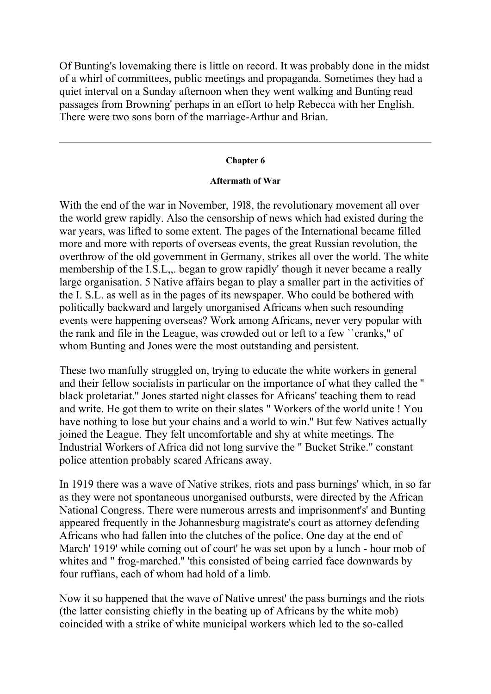Of Bunting's lovemaking there is little on record. It was probably done in the midst of a whirl of committees, public meetings and propaganda. Sometimes they had a quiet interval on a Sunday afternoon when they went walking and Bunting read passages from Browning' perhaps in an effort to help Rebecca with her English. There were two sons born of the marriage-Arthur and Brian.

#### **Chapter 6**

#### **Aftermath of War**

With the end of the war in November, 19l8, the revolutionary movement all over the world grew rapidly. Also the censorship of news which had existed during the war years, was lifted to some extent. The pages of the International became filled more and more with reports of overseas events, the great Russian revolution, the overthrow of the old government in Germany, strikes all over the world. The white membership of the I.S.L, began to grow rapidly' though it never became a really large organisation. 5 Native affairs began to play a smaller part in the activities of the I. S.L. as well as in the pages of its newspaper. Who could be bothered with politically backward and largely unorganised Africans when such resounding events were happening overseas? Work among Africans, never very popular with the rank and file in the League, was crowded out or left to a few ``cranks,'' of whom Bunting and Jones were the most outstanding and persistent.

These two manfully struggled on, trying to educate the white workers in general and their fellow socialists in particular on the importance of what they called the '' black proletariat.'' Jones started night classes for Africans' teaching them to read and write. He got them to write on their slates " Workers of the world unite ! You have nothing to lose but your chains and a world to win.'' But few Natives actually joined the League. They felt uncomfortable and shy at white meetings. The Industrial Workers of Africa did not long survive the " Bucket Strike." constant police attention probably scared Africans away.

In 1919 there was a wave of Native strikes, riots and pass burnings' which, in so far as they were not spontaneous unorganised outbursts, were directed by the African National Congress. There were numerous arrests and imprisonment's' and Bunting appeared frequently in the Johannesburg magistrate's court as attorney defending Africans who had fallen into the clutches of the police. One day at the end of March' 1919' while coming out of court' he was set upon by a lunch - hour mob of whites and " frog-marched." 'this consisted of being carried face downwards by four ruffians, each of whom had hold of a limb.

Now it so happened that the wave of Native unrest' the pass burnings and the riots (the latter consisting chiefly in the beating up of Africans by the white mob) coincided with a strike of white municipal workers which led to the so-called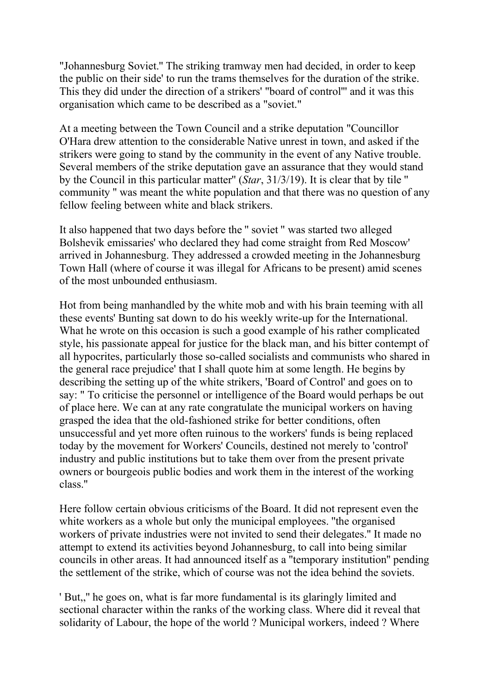"Johannesburg Soviet.'' The striking tramway men had decided, in order to keep the public on their side' to run the trams themselves for the duration of the strike. This they did under the direction of a strikers' "board of control''' and it was this organisation which came to be described as a "soviet."

At a meeting between the Town Council and a strike deputation "Councillor O'Hara drew attention to the considerable Native unrest in town, and asked if the strikers were going to stand by the community in the event of any Native trouble. Several members of the strike deputation gave an assurance that they would stand by the Council in this particular matter'' (*Star*, 31/3/19). It is clear that by tile '' community '' was meant the white population and that there was no question of any fellow feeling between white and black strikers.

It also happened that two days before the '' soviet '' was started two alleged Bolshevik emissaries' who declared they had come straight from Red Moscow' arrived in Johannesburg. They addressed a crowded meeting in the Johannesburg Town Hall (where of course it was illegal for Africans to be present) amid scenes of the most unbounded enthusiasm.

Hot from being manhandled by the white mob and with his brain teeming with all these events' Bunting sat down to do his weekly write-up for the International. What he wrote on this occasion is such a good example of his rather complicated style, his passionate appeal for justice for the black man, and his bitter contempt of all hypocrites, particularly those so-called socialists and communists who shared in the general race prejudice' that I shall quote him at some length. He begins by describing the setting up of the white strikers, 'Board of Control' and goes on to say: " To criticise the personnel or intelligence of the Board would perhaps be out of place here. We can at any rate congratulate the municipal workers on having grasped the idea that the old-fashioned strike for better conditions, often unsuccessful and yet more often ruinous to the workers' funds is being replaced today by the movement for Workers' Councils, destined not merely to 'control' industry and public institutions but to take them over from the present private owners or bourgeois public bodies and work them in the interest of the working class.''

Here follow certain obvious criticisms of the Board. It did not represent even the white workers as a whole but only the municipal employees. "the organised workers of private industries were not invited to send their delegates.'' It made no attempt to extend its activities beyond Johannesburg, to call into being similar councils in other areas. It had announced itself as a ''temporary institution'' pending the settlement of the strike, which of course was not the idea behind the soviets.

' But,,'' he goes on, what is far more fundamental is its glaringly limited and sectional character within the ranks of the working class. Where did it reveal that solidarity of Labour, the hope of the world ? Municipal workers, indeed ? Where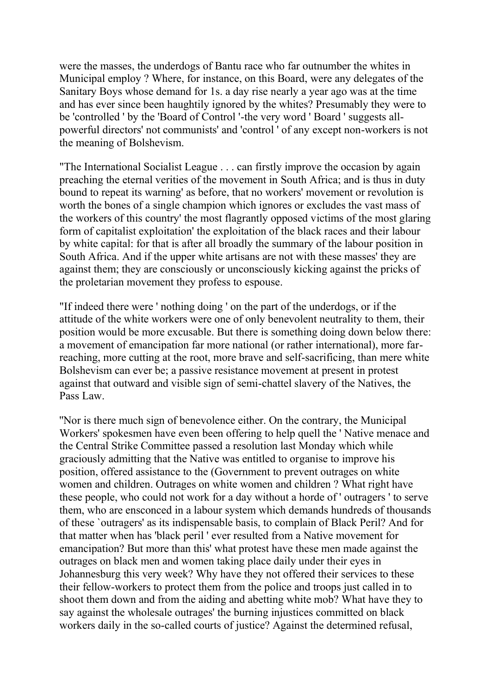were the masses, the underdogs of Bantu race who far outnumber the whites in Municipal employ ? Where, for instance, on this Board, were any delegates of the Sanitary Boys whose demand for 1s. a day rise nearly a year ago was at the time and has ever since been haughtily ignored by the whites? Presumably they were to be 'controlled ' by the 'Board of Control '-the very word ' Board ' suggests allpowerful directors' not communists' and 'control ' of any except non-workers is not the meaning of Bolshevism.

"The International Socialist League . . . can firstly improve the occasion by again preaching the eternal verities of the movement in South Africa; and is thus in duty bound to repeat its warning' as before, that no workers' movement or revolution is worth the bones of a single champion which ignores or excludes the vast mass of the workers of this country' the most flagrantly opposed victims of the most glaring form of capitalist exploitation' the exploitation of the black races and their labour by white capital: for that is after all broadly the summary of the labour position in South Africa. And if the upper white artisans are not with these masses' they are against them; they are consciously or unconsciously kicking against the pricks of the proletarian movement they profess to espouse.

"If indeed there were ' nothing doing ' on the part of the underdogs, or if the attitude of the white workers were one of only benevolent neutrality to them, their position would be more excusable. But there is something doing down below there: a movement of emancipation far more national (or rather international), more farreaching, more cutting at the root, more brave and self-sacrificing, than mere white Bolshevism can ever be; a passive resistance movement at present in protest against that outward and visible sign of semi-chattel slavery of the Natives, the Pass Law.

''Nor is there much sign of benevolence either. On the contrary, the Municipal Workers' spokesmen have even been offering to help quell the ' Native menace and the Central Strike Committee passed a resolution last Monday which while graciously admitting that the Native was entitled to organise to improve his position, offered assistance to the (Government to prevent outrages on white women and children. Outrages on white women and children ? What right have these people, who could not work for a day without a horde of ' outragers ' to serve them, who are ensconced in a labour system which demands hundreds of thousands of these `outragers' as its indispensable basis, to complain of Black Peril? And for that matter when has 'black peril ' ever resulted from a Native movement for emancipation? But more than this' what protest have these men made against the outrages on black men and women taking place daily under their eyes in Johannesburg this very week? Why have they not offered their services to these their fellow-workers to protect them from the police and troops just called in to shoot them down and from the aiding and abetting white mob? What have they to say against the wholesale outrages' the burning injustices committed on black workers daily in the so-called courts of justice? Against the determined refusal,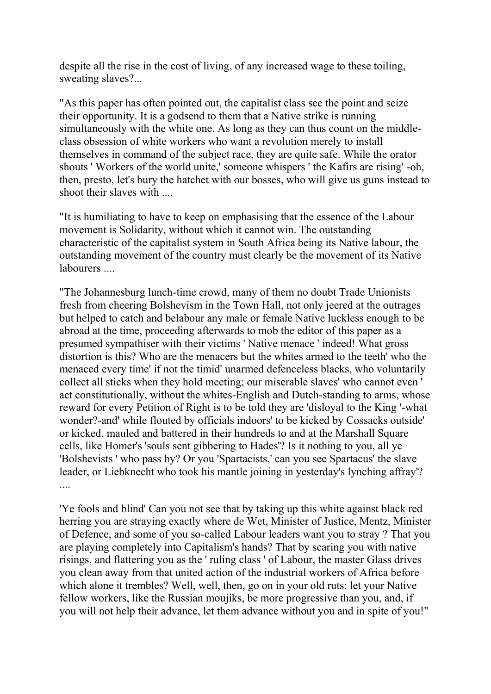despite all the rise in the cost of living, of any increased wage to these toiling, sweating slaves?...

"As this paper has often pointed out, the capitalist class see the point and seize their opportunity. It is a godsend to them that a Native strike is running simultaneously with the white one. As long as they can thus count on the middleclass obsession of white workers who want a revolution merely to install themselves in command of the subject race, they are quite safe. While the orator shouts ' Workers of the world unite,' someone whispers ' the Kafirs are rising' -oh, then, presto, let's bury the hatchet with our bosses, who will give us guns instead to shoot their slaves with ....

"It is humiliating to have to keep on emphasising that the essence of the Labour movement is Solidarity, without which it cannot win. The outstanding characteristic of the capitalist system in South Africa being its Native labour, the outstanding movement of the country must clearly be the movement of its Native labourers ....

"The Johannesburg lunch-time crowd, many of them no doubt Trade Unionists fresh from cheering Bolshevism in the Town Hall, not only jeered at the outrages but helped to catch and belabour any male or female Native luckless enough to be abroad at the time, proceeding afterwards to mob the editor of this paper as a presumed sympathiser with their victims ' Native menace ' indeed! What gross distortion is this? Who are the menacers but the whites armed to the teeth' who the menaced every time' if not the timid' unarmed defenceless blacks, who voluntarily collect all sticks when they hold meeting; our miserable slaves' who cannot even ' act constitutionally, without the whites-English and Dutch-standing to arms, whose reward for every Petition of Right is to be told they are 'disloyal to the King '-what wonder?-and' while flouted by officials indoors' to be kicked by Cossacks outside' or kicked, mauled and battered in their hundreds to and at the Marshall Square cells, like Homer's 'souls sent gibbering to Hades'? Is it nothing to you, all ye 'Bolshevists ' who pass by? Or you 'Spartacists,' can you see Spartacus' the slave leader, or Liebknecht who took his mantle joining in yesterday's lynching affray'?

'Ye fools and blind' Can you not see that by taking up this white against black red herring you are straying exactly where de Wet, Minister of Justice, Mentz, Minister of Defence, and some of you so-called Labour leaders want you to stray ? That you are playing completely into Capitalism's hands? That by scaring you with native risings, and flattering you as the ' ruling class ' of Labour, the master Glass drives you clean away from that united action of the industrial workers of Africa before which alone it trembles? Well, well, then, go on in your old ruts: let your Native fellow workers, like the Russian moujiks, be more progressive than you, and, if you will not help their advance, let them advance without you and in spite of you!"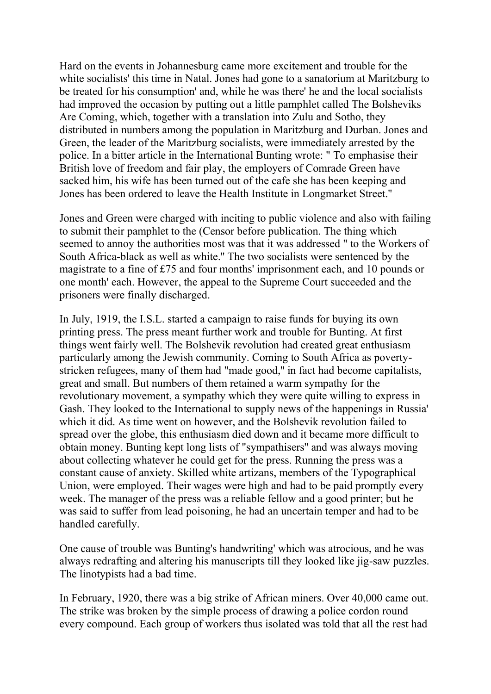Hard on the events in Johannesburg came more excitement and trouble for the white socialists' this time in Natal. Jones had gone to a sanatorium at Maritzburg to be treated for his consumption' and, while he was there' he and the local socialists had improved the occasion by putting out a little pamphlet called The Bolsheviks Are Coming, which, together with a translation into Zulu and Sotho, they distributed in numbers among the population in Maritzburg and Durban. Jones and Green, the leader of the Maritzburg socialists, were immediately arrested by the police. In a bitter article in the International Bunting wrote: " To emphasise their British love of freedom and fair play, the employers of Comrade Green have sacked him, his wife has been turned out of the cafe she has been keeping and Jones has been ordered to leave the Health Institute in Longmarket Street.''

Jones and Green were charged with inciting to public violence and also with failing to submit their pamphlet to the (Censor before publication. The thing which seemed to annoy the authorities most was that it was addressed " to the Workers of South Africa-black as well as white.'' The two socialists were sentenced by the magistrate to a fine of £75 and four months' imprisonment each, and 10 pounds or one month' each. However, the appeal to the Supreme Court succeeded and the prisoners were finally discharged.

In July, 1919, the I.S.L. started a campaign to raise funds for buying its own printing press. The press meant further work and trouble for Bunting. At first things went fairly well. The Bolshevik revolution had created great enthusiasm particularly among the Jewish community. Coming to South Africa as povertystricken refugees, many of them had "made good,'' in fact had become capitalists, great and small. But numbers of them retained a warm sympathy for the revolutionary movement, a sympathy which they were quite willing to express in Gash. They looked to the International to supply news of the happenings in Russia' which it did. As time went on however, and the Bolshevik revolution failed to spread over the globe, this enthusiasm died down and it became more difficult to obtain money. Bunting kept long lists of "sympathisers'' and was always moving about collecting whatever he could get for the press. Running the press was a constant cause of anxiety. Skilled white artizans, members of the Typographical Union, were employed. Their wages were high and had to be paid promptly every week. The manager of the press was a reliable fellow and a good printer; but he was said to suffer from lead poisoning, he had an uncertain temper and had to be handled carefully.

One cause of trouble was Bunting's handwriting' which was atrocious, and he was always redrafting and altering his manuscripts till they looked like jig-saw puzzles. The linotypists had a bad time.

In February, 1920, there was a big strike of African miners. Over 40,000 came out. The strike was broken by the simple process of drawing a police cordon round every compound. Each group of workers thus isolated was told that all the rest had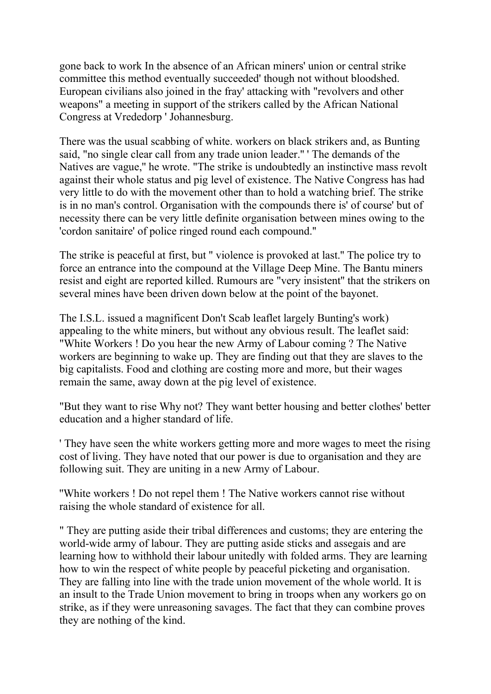gone back to work In the absence of an African miners' union or central strike committee this method eventually succeeded' though not without bloodshed. European civilians also joined in the fray' attacking with "revolvers and other weapons" a meeting in support of the strikers called by the African National Congress at Vrededorp ' Johannesburg.

There was the usual scabbing of white. workers on black strikers and, as Bunting said, "no single clear call from any trade union leader.'' ' The demands of the Natives are vague,'' he wrote. "The strike is undoubtedly an instinctive mass revolt against their whole status and pig level of existence. The Native Congress has had very little to do with the movement other than to hold a watching brief. The strike is in no man's control. Organisation with the compounds there is' of course' but of necessity there can be very little definite organisation between mines owing to the 'cordon sanitaire' of police ringed round each compound.''

The strike is peaceful at first, but '' violence is provoked at last.'' The police try to force an entrance into the compound at the Village Deep Mine. The Bantu miners resist and eight are reported killed. Rumours are "very insistent'' that the strikers on several mines have been driven down below at the point of the bayonet.

The I.S.L. issued a magnificent Don't Scab leaflet largely Bunting's work) appealing to the white miners, but without any obvious result. The leaflet said: "White Workers ! Do you hear the new Army of Labour coming ? The Native workers are beginning to wake up. They are finding out that they are slaves to the big capitalists. Food and clothing are costing more and more, but their wages remain the same, away down at the pig level of existence.

"But they want to rise Why not? They want better housing and better clothes' better education and a higher standard of life.

' They have seen the white workers getting more and more wages to meet the rising cost of living. They have noted that our power is due to organisation and they are following suit. They are uniting in a new Army of Labour.

''White workers ! Do not repel them ! The Native workers cannot rise without raising the whole standard of existence for all.

" They are putting aside their tribal differences and customs; they are entering the world-wide army of labour. They are putting aside sticks and assegais and are learning how to withhold their labour unitedly with folded arms. They are learning how to win the respect of white people by peaceful picketing and organisation. They are falling into line with the trade union movement of the whole world. It is an insult to the Trade Union movement to bring in troops when any workers go on strike, as if they were unreasoning savages. The fact that they can combine proves they are nothing of the kind.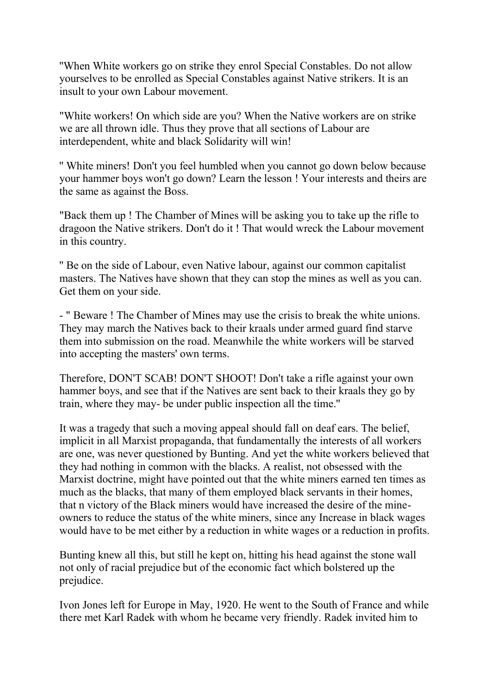''When White workers go on strike they enrol Special Constables. Do not allow yourselves to be enrolled as Special Constables against Native strikers. It is an insult to your own Labour movement.

"White workers! On which side are you? When the Native workers are on strike we are all thrown idle. Thus they prove that all sections of Labour are interdependent, white and black Solidarity will win!

'' White miners! Don't you feel humbled when you cannot go down below because your hammer boys won't go down? Learn the lesson ! Your interests and theirs are the same as against the Boss.

"Back them up ! The Chamber of Mines will be asking you to take up the rifle to dragoon the Native strikers. Don't do it ! That would wreck the Labour movement in this country.

'' Be on the side of Labour, even Native labour, against our common capitalist masters. The Natives have shown that they can stop the mines as well as you can. Get them on your side.

- " Beware ! The Chamber of Mines may use the crisis to break the white unions. They may march the Natives back to their kraals under armed guard find starve them into submission on the road. Meanwhile the white workers will be starved into accepting the masters' own terms.

Therefore, DON'T SCAB! DON'T SHOOT! Don't take a rifle against your own hammer boys, and see that if the Natives are sent back to their kraals they go by train, where they may- be under public inspection all the time.''

It was a tragedy that such a moving appeal should fall on deaf ears. The belief, implicit in all Marxist propaganda, that fundamentally the interests of all workers are one, was never questioned by Bunting. And yet the white workers believed that they had nothing in common with the blacks. A realist, not obsessed with the Marxist doctrine, might have pointed out that the white miners earned ten times as much as the blacks, that many of them employed black servants in their homes, that n victory of the Black miners would have increased the desire of the mineowners to reduce the status of the white miners, since any Increase in black wages would have to be met either by a reduction in white wages or a reduction in profits.

Bunting knew all this, but still he kept on, hitting his head against the stone wall not only of racial prejudice but of the economic fact which bolstered up the prejudice.

Ivon Jones left for Europe in May, 1920. He went to the South of France and while there met Karl Radek with whom he became very friendly. Radek invited him to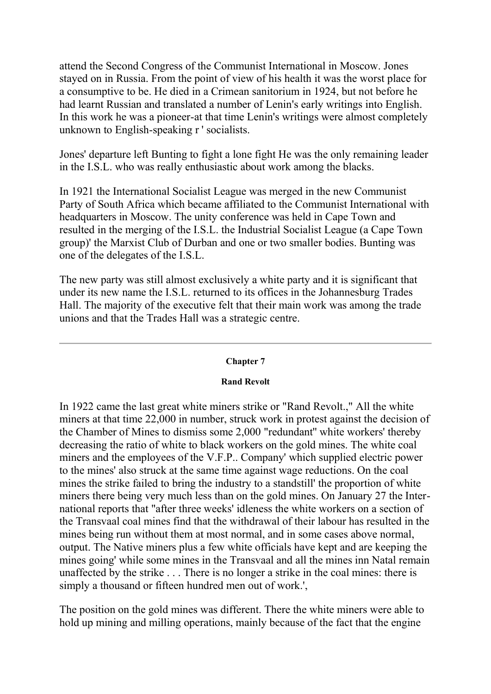attend the Second Congress of the Communist International in Moscow. Jones stayed on in Russia. From the point of view of his health it was the worst place for a consumptive to be. He died in a Crimean sanitorium in 1924, but not before he had learnt Russian and translated a number of Lenin's early writings into English. In this work he was a pioneer-at that time Lenin's writings were almost completely unknown to English-speaking r ' socialists.

Jones' departure left Bunting to fight a lone fight He was the only remaining leader in the I.S.L. who was really enthusiastic about work among the blacks.

In 1921 the International Socialist League was merged in the new Communist Party of South Africa which became affiliated to the Communist International with headquarters in Moscow. The unity conference was held in Cape Town and resulted in the merging of the I.S.L. the Industrial Socialist League (a Cape Town group)' the Marxist Club of Durban and one or two smaller bodies. Bunting was one of the delegates of the I.S.L.

The new party was still almost exclusively a white party and it is significant that under its new name the I.S.L. returned to its offices in the Johannesburg Trades Hall. The majority of the executive felt that their main work was among the trade unions and that the Trades Hall was a strategic centre.

## **Chapter 7**

#### **Rand Revolt**

In 1922 came the last great white miners strike or "Rand Revolt.," All the white miners at that time 22,000 in number, struck work in protest against the decision of the Chamber of Mines to dismiss some 2,000 "redundant'' white workers' thereby decreasing the ratio of white to black workers on the gold mines. The white coal miners and the employees of the V.F.P.. Company' which supplied electric power to the mines' also struck at the same time against wage reductions. On the coal mines the strike failed to bring the industry to a standstill' the proportion of white miners there being very much less than on the gold mines. On January 27 the International reports that "after three weeks' idleness the white workers on a section of the Transvaal coal mines find that the withdrawal of their labour has resulted in the mines being run without them at most normal, and in some cases above normal, output. The Native miners plus a few white officials have kept and are keeping the mines going' while some mines in the Transvaal and all the mines inn Natal remain unaffected by the strike . . . There is no longer a strike in the coal mines: there is simply a thousand or fifteen hundred men out of work.',

The position on the gold mines was different. There the white miners were able to hold up mining and milling operations, mainly because of the fact that the engine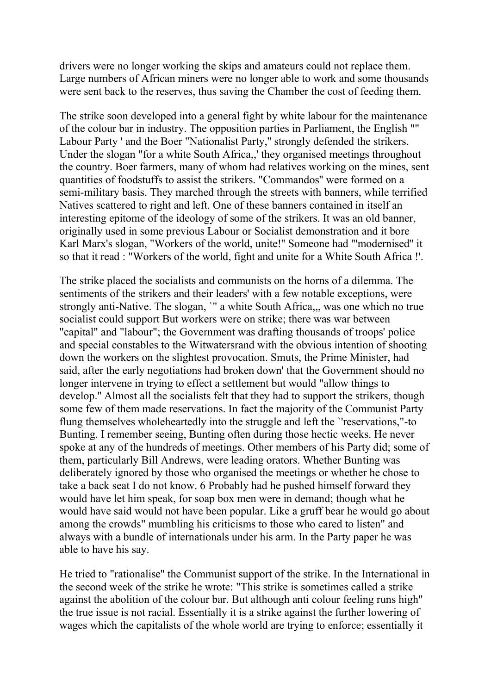drivers were no longer working the skips and amateurs could not replace them. Large numbers of African miners were no longer able to work and some thousands were sent back to the reserves, thus saving the Chamber the cost of feeding them.

The strike soon developed into a general fight by white labour for the maintenance of the colour bar in industry. The opposition parties in Parliament, the English "" Labour Party ' and the Boer "Nationalist Party,'' strongly defended the strikers. Under the slogan "for a white South Africa,,' they organised meetings throughout the country. Boer farmers, many of whom had relatives working on the mines, sent quantities of foodstuffs to assist the strikers. "Commandos'' were formed on a semi-military basis. They marched through the streets with banners, while terrified Natives scattered to right and left. One of these banners contained in itself an interesting epitome of the ideology of some of the strikers. It was an old banner, originally used in some previous Labour or Socialist demonstration and it bore Karl Marx's slogan, "Workers of the world, unite!'' Someone had "'modernised'' it so that it read : "Workers of the world, fight and unite for a White South Africa !'.

The strike placed the socialists and communists on the horns of a dilemma. The sentiments of the strikers and their leaders' with a few notable exceptions, were strongly anti-Native. The slogan, `" a white South Africa,,, was one which no true socialist could support But workers were on strike; there was war between "capital" and "labour"; the Government was drafting thousands of troops' police and special constables to the Witwatersrand with the obvious intention of shooting down the workers on the slightest provocation. Smuts, the Prime Minister, had said, after the early negotiations had broken down' that the Government should no longer intervene in trying to effect a settlement but would "allow things to develop.'' Almost all the socialists felt that they had to support the strikers, though some few of them made reservations. In fact the majority of the Communist Party flung themselves wholeheartedly into the struggle and left the `'reservations,"-to Bunting. I remember seeing, Bunting often during those hectic weeks. He never spoke at any of the hundreds of meetings. Other members of his Party did; some of them, particularly Bill Andrews, were leading orators. Whether Bunting was deliberately ignored by those who organised the meetings or whether he chose to take a back seat I do not know. 6 Probably had he pushed himself forward they would have let him speak, for soap box men were in demand; though what he would have said would not have been popular. Like a gruff bear he would go about among the crowds" mumbling his criticisms to those who cared to listen" and always with a bundle of internationals under his arm. In the Party paper he was able to have his say.

He tried to "rationalise'' the Communist support of the strike. In the International in the second week of the strike he wrote: "This strike is sometimes called a strike against the abolition of the colour bar. But although anti colour feeling runs high" the true issue is not racial. Essentially it is a strike against the further lowering of wages which the capitalists of the whole world are trying to enforce; essentially it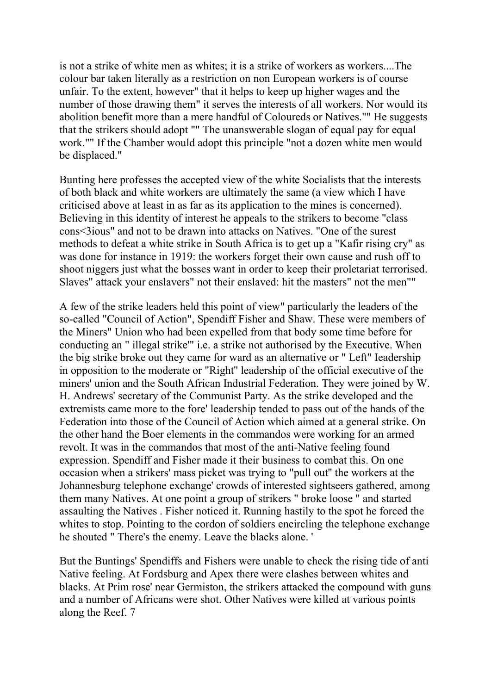is not a strike of white men as whites; it is a strike of workers as workers....The colour bar taken literally as a restriction on non European workers is of course unfair. To the extent, however" that it helps to keep up higher wages and the number of those drawing them" it serves the interests of all workers. Nor would its abolition benefit more than a mere handful of Coloureds or Natives."" He suggests that the strikers should adopt "" The unanswerable slogan of equal pay for equal work."" If the Chamber would adopt this principle "not a dozen white men would be displaced."

Bunting here professes the accepted view of the white Socialists that the interests of both black and white workers are ultimately the same (a view which I have criticised above at least in as far as its application to the mines is concerned). Believing in this identity of interest he appeals to the strikers to become "class cons<3ious" and not to be drawn into attacks on Natives. "One of the surest methods to defeat a white strike in South Africa is to get up a "Kafir rising cry" as was done for instance in 1919: the workers forget their own cause and rush off to shoot niggers just what the bosses want in order to keep their proletariat terrorised. Slaves" attack your enslavers" not their enslaved: hit the masters" not the men""

A few of the strike leaders held this point of view" particularly the leaders of the so-called "Council of Action", Spendiff Fisher and Shaw. These were members of the Miners" Union who had been expelled from that body some time before for conducting an " illegal strike'" i.e. a strike not authorised by the Executive. When the big strike broke out they came for ward as an alternative or " Left" Ieadership in opposition to the moderate or "Right'' leadership of the official executive of the miners' union and the South African Industrial Federation. They were joined by W. H. Andrews' secretary of the Communist Party. As the strike developed and the extremists came more to the fore' leadership tended to pass out of the hands of the Federation into those of the Council of Action which aimed at a general strike. On the other hand the Boer elements in the commandos were working for an armed revolt. It was in the commandos that most of the anti-Native feeling found expression. Spendiff and Fisher made it their business to combat this. On one occasion when a strikers' mass picket was trying to "pull out'' the workers at the Johannesburg telephone exchange' crowds of interested sightseers gathered, among them many Natives. At one point a group of strikers " broke loose " and started assaulting the Natives . Fisher noticed it. Running hastily to the spot he forced the whites to stop. Pointing to the cordon of soldiers encircling the telephone exchange he shouted " There's the enemy. Leave the blacks alone. '

But the Buntings' Spendiffs and Fishers were unable to check the rising tide of anti Native feeling. At Fordsburg and Apex there were clashes between whites and blacks. At Prim rose' near Germiston, the strikers attacked the compound with guns and a number of Africans were shot. Other Natives were killed at various points along the Reef. 7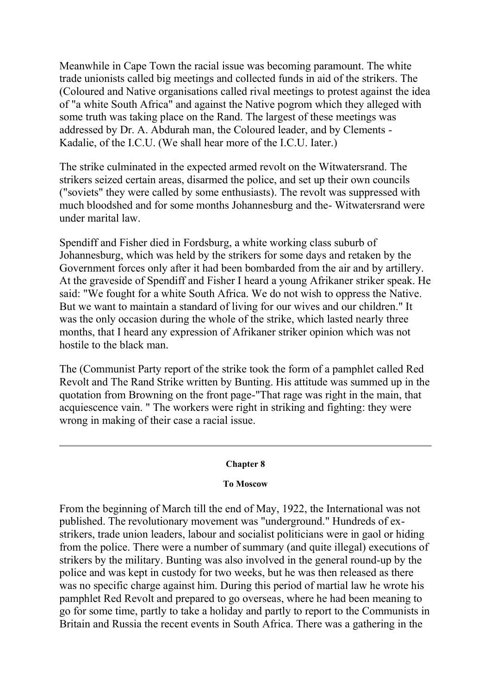Meanwhile in Cape Town the racial issue was becoming paramount. The white trade unionists called big meetings and collected funds in aid of the strikers. The (Coloured and Native organisations called rival meetings to protest against the idea of "a white South Africa" and against the Native pogrom which they alleged with some truth was taking place on the Rand. The largest of these meetings was addressed by Dr. A. Abdurah man, the Coloured leader, and by Clements - Kadalie, of the I.C.U. (We shall hear more of the I.C.U. Iater.)

The strike culminated in the expected armed revolt on the Witwatersrand. The strikers seized certain areas, disarmed the police, and set up their own councils ("soviets" they were called by some enthusiasts). The revolt was suppressed with much bloodshed and for some months Johannesburg and the- Witwatersrand were under marital law.

Spendiff and Fisher died in Fordsburg, a white working class suburb of Johannesburg, which was held by the strikers for some days and retaken by the Government forces only after it had been bombarded from the air and by artillery. At the graveside of Spendiff and Fisher I heard a young Afrikaner striker speak. He said: "We fought for a white South Africa. We do not wish to oppress the Native. But we want to maintain a standard of living for our wives and our children." It was the only occasion during the whole of the strike, which lasted nearly three months, that I heard any expression of Afrikaner striker opinion which was not hostile to the black man.

The (Communist Party report of the strike took the form of a pamphlet called Red Revolt and The Rand Strike written by Bunting. His attitude was summed up in the quotation from Browning on the front page-"That rage was right in the main, that acquiescence vain. " The workers were right in striking and fighting: they were wrong in making of their case a racial issue.

#### **Chapter 8**

## **To Moscow**

From the beginning of March till the end of May, 1922, the International was not published. The revolutionary movement was "underground." Hundreds of exstrikers, trade union leaders, labour and socialist politicians were in gaol or hiding from the police. There were a number of summary (and quite illegal) executions of strikers by the military. Bunting was also involved in the general round-up by the police and was kept in custody for two weeks, but he was then released as there was no specific charge against him. During this period of martial law he wrote his pamphlet Red Revolt and prepared to go overseas, where he had been meaning to go for some time, partly to take a holiday and partly to report to the Communists in Britain and Russia the recent events in South Africa. There was a gathering in the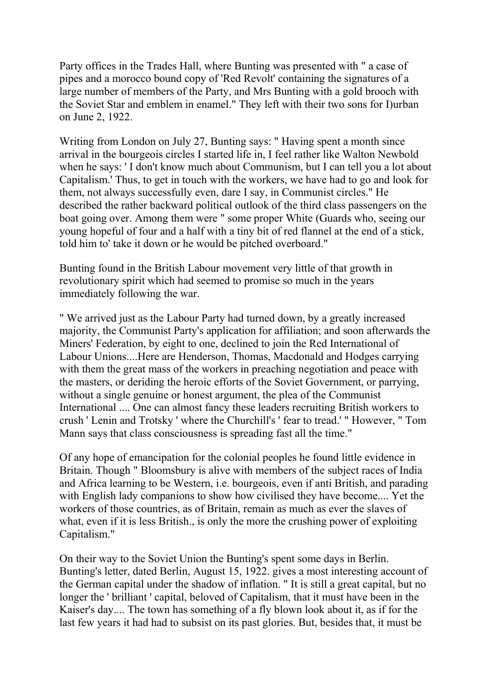Party offices in the Trades Hall, where Bunting was presented with " a case of pipes and a morocco bound copy of 'Red Revolt' containing the signatures of a large number of members of the Party, and Mrs Bunting with a gold brooch with the Soviet Star and emblem in enamel." They left with their two sons for I)urban on June 2, 1922.

Writing from London on July 27, Bunting says: " Having spent a month since arrival in the bourgeois circles I started life in, I feel rather like Walton Newbold when he says: ' I don't know much about Communism, but I can tell you a lot about Capitalism.' Thus, to get in touch with the workers, we have had to go and look for them, not always successfully even, dare I say, in Communist circles." He described the rather backward political outlook of the third class passengers on the boat going over. Among them were " some proper White (Guards who, seeing our young hopeful of four and a half with a tiny bit of red flannel at the end of a stick, told him to' take it down or he would be pitched overboard."

Bunting found in the British Labour movement very little of that growth in revolutionary spirit which had seemed to promise so much in the years immediately following the war.

" We arrived just as the Labour Party had turned down, by a greatly increased majority, the Communist Party's application for affiliation; and soon afterwards the Miners' Federation, by eight to one, declined to join the Red International of Labour Unions....Here are Henderson, Thomas, Macdonald and Hodges carrying with them the great mass of the workers in preaching negotiation and peace with the masters, or deriding the heroic efforts of the Soviet Government, or parrying, without a single genuine or honest argument, the plea of the Communist International .... One can almost fancy these leaders recruiting British workers to crush ' Lenin and Trotsky ' where the Churchill's ' fear to tread.' " However, " Tom Mann says that class consciousness is spreading fast all the time."

Of any hope of emancipation for the colonial peoples he found little evidence in Britain. Though " Bloomsbury is alive with members of the subject races of India and Africa learning to be Western, i.e. bourgeois, even if anti British, and parading with English lady companions to show how civilised they have become.... Yet the workers of those countries, as of Britain, remain as much as ever the slaves of what, even if it is less British., is only the more the crushing power of exploiting Capitalism."

On their way to the Soviet Union the Bunting's spent some days in Berlin. Bunting's letter, dated Berlin, August 15, 1922. gives a most interesting account of the German capital under the shadow of inflation. " It is still a great capital, but no longer the ' brilliant ' capital, beloved of Capitalism, that it must have been in the Kaiser's day.... The town has something of a fly blown look about it, as if for the last few years it had had to subsist on its past glories. But, besides that, it must be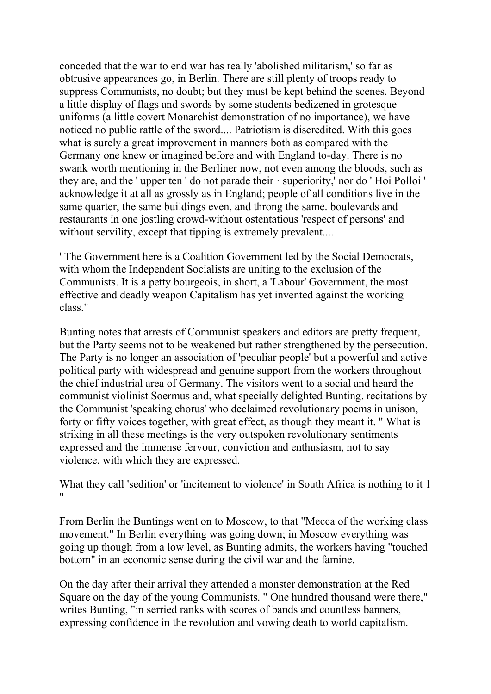conceded that the war to end war has really 'abolished militarism,' so far as obtrusive appearances go, in Berlin. There are still plenty of troops ready to suppress Communists, no doubt; but they must be kept behind the scenes. Beyond a little display of flags and swords by some students bedizened in grotesque uniforms (a little covert Monarchist demonstration of no importance), we have noticed no public rattle of the sword.... Patriotism is discredited. With this goes what is surely a great improvement in manners both as compared with the Germany one knew or imagined before and with England to-day. There is no swank worth mentioning in the Berliner now, not even among the bloods, such as they are, and the ' upper ten ' do not parade their · superiority,' nor do ' Hoi Polloi ' acknowledge it at all as grossly as in England; people of all conditions live in the same quarter, the same buildings even, and throng the same. boulevards and restaurants in one jostling crowd-without ostentatious 'respect of persons' and without servility, except that tipping is extremely prevalent....

' The Government here is a Coalition Government led by the Social Democrats, with whom the Independent Socialists are uniting to the exclusion of the Communists. It is a petty bourgeois, in short, a 'Labour' Government, the most effective and deadly weapon Capitalism has yet invented against the working class."

Bunting notes that arrests of Communist speakers and editors are pretty frequent, but the Party seems not to be weakened but rather strengthened by the persecution. The Party is no longer an association of 'peculiar people' but a powerful and active political party with widespread and genuine support from the workers throughout the chief industrial area of Germany. The visitors went to a social and heard the communist violinist Soermus and, what specially delighted Bunting. recitations by the Communist 'speaking chorus' who declaimed revolutionary poems in unison, forty or fifty voices together, with great effect, as though they meant it. " What is striking in all these meetings is the very outspoken revolutionary sentiments expressed and the immense fervour, conviction and enthusiasm, not to say violence, with which they are expressed.

What they call 'sedition' or 'incitement to violence' in South Africa is nothing to it 1 "

From Berlin the Buntings went on to Moscow, to that "Mecca of the working class movement." In Berlin everything was going down; in Moscow everything was going up though from a low level, as Bunting admits, the workers having "touched bottom" in an economic sense during the civil war and the famine.

On the day after their arrival they attended a monster demonstration at the Red Square on the day of the young Communists. " One hundred thousand were there," writes Bunting, "in serried ranks with scores of bands and countless banners, expressing confidence in the revolution and vowing death to world capitalism.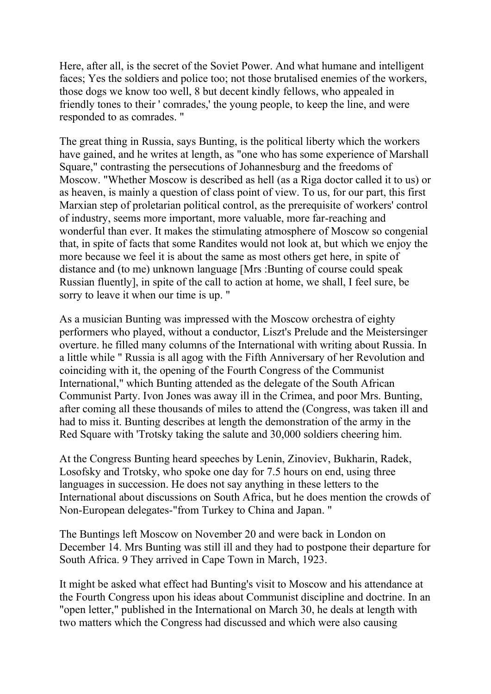Here, after all, is the secret of the Soviet Power. And what humane and intelligent faces; Yes the soldiers and police too; not those brutalised enemies of the workers, those dogs we know too well, 8 but decent kindly fellows, who appealed in friendly tones to their ' comrades,' the young people, to keep the line, and were responded to as comrades. "

The great thing in Russia, says Bunting, is the political liberty which the workers have gained, and he writes at length, as "one who has some experience of Marshall Square," contrasting the persecutions of Johannesburg and the freedoms of Moscow. "Whether Moscow is described as hell (as a Riga doctor called it to us) or as heaven, is mainly a question of class point of view. To us, for our part, this first Marxian step of proletarian political control, as the prerequisite of workers' control of industry, seems more important, more valuable, more far-reaching and wonderful than ever. It makes the stimulating atmosphere of Moscow so congenial that, in spite of facts that some Randites would not look at, but which we enjoy the more because we feel it is about the same as most others get here, in spite of distance and (to me) unknown language [Mrs :Bunting of course could speak Russian fluently], in spite of the call to action at home, we shall, I feel sure, be sorry to leave it when our time is up. "

As a musician Bunting was impressed with the Moscow orchestra of eighty performers who played, without a conductor, Liszt's Prelude and the Meistersinger overture. he filled many columns of the International with writing about Russia. In a little while " Russia is all agog with the Fifth Anniversary of her Revolution and coinciding with it, the opening of the Fourth Congress of the Communist International," which Bunting attended as the delegate of the South African Communist Party. Ivon Jones was away ill in the Crimea, and poor Mrs. Bunting, after coming all these thousands of miles to attend the (Congress, was taken ill and had to miss it. Bunting describes at length the demonstration of the army in the Red Square with 'Trotsky taking the salute and 30,000 soldiers cheering him.

At the Congress Bunting heard speeches by Lenin, Zinoviev, Bukharin, Radek, Losofsky and Trotsky, who spoke one day for 7.5 hours on end, using three languages in succession. He does not say anything in these letters to the International about discussions on South Africa, but he does mention the crowds of Non-European delegates-"from Turkey to China and Japan. "

The Buntings left Moscow on November 20 and were back in London on December 14. Mrs Bunting was still ill and they had to postpone their departure for South Africa. 9 They arrived in Cape Town in March, 1923.

It might be asked what effect had Bunting's visit to Moscow and his attendance at the Fourth Congress upon his ideas about Communist discipline and doctrine. In an "open letter," published in the International on March 30, he deals at length with two matters which the Congress had discussed and which were also causing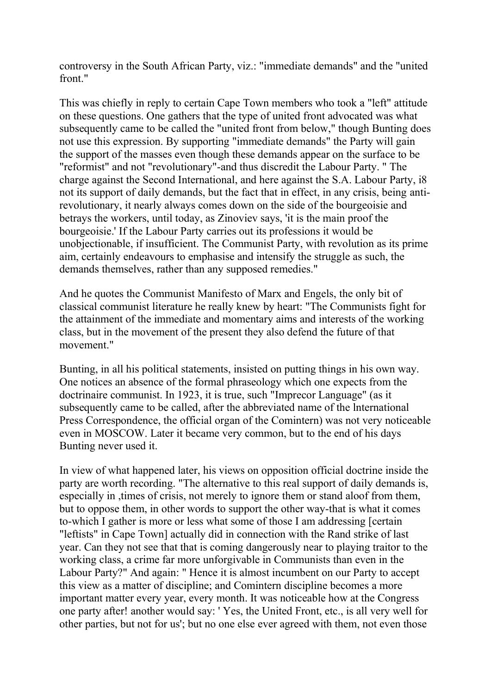controversy in the South African Party, viz.: "immediate demands" and the "united front."

This was chiefly in reply to certain Cape Town members who took a "left" attitude on these questions. One gathers that the type of united front advocated was what subsequently came to be called the "united front from below," though Bunting does not use this expression. By supporting "immediate demands" the Party will gain the support of the masses even though these demands appear on the surface to be "reformist" and not "revolutionary"-and thus discredit the Labour Party. " The charge against the Second International, and here against the S.A. Labour Party, i8 not its support of daily demands, but the fact that in effect, in any crisis, being antirevolutionary, it nearly always comes down on the side of the bourgeoisie and betrays the workers, until today, as Zinoviev says, 'it is the main proof the bourgeoisie.' If the Labour Party carries out its professions it would be unobjectionable, if insufficient. The Communist Party, with revolution as its prime aim, certainly endeavours to emphasise and intensify the struggle as such, the demands themselves, rather than any supposed remedies."

And he quotes the Communist Manifesto of Marx and Engels, the only bit of classical communist literature he really knew by heart: "The Communists fight for the attainment of the immediate and momentary aims and interests of the working class, but in the movement of the present they also defend the future of that movement."

Bunting, in all his political statements, insisted on putting things in his own way. One notices an absence of the formal phraseology which one expects from the doctrinaire communist. In 1923, it is true, such "Imprecor Language" (as it subsequently came to be called, after the abbreviated name of the lnternational Press Correspondence, the official organ of the Comintern) was not very noticeable even in MOSCOW. Later it became very common, but to the end of his days Bunting never used it.

In view of what happened later, his views on opposition official doctrine inside the party are worth recording. "The alternative to this real support of daily demands is, especially in ,times of crisis, not merely to ignore them or stand aloof from them, but to oppose them, in other words to support the other way-that is what it comes to-which I gather is more or less what some of those I am addressing [certain "leftists" in Cape Town] actually did in connection with the Rand strike of last year. Can they not see that that is coming dangerously near to playing traitor to the working class, a crime far more unforgivable in Communists than even in the Labour Party?" And again: " Hence it is almost incumbent on our Party to accept this view as a matter of discipline; and Comintern discipline becomes a more important matter every year, every month. It was noticeable how at the Congress one party after! another would say: ' Yes, the United Front, etc., is all very well for other parties, but not for us'; but no one else ever agreed with them, not even those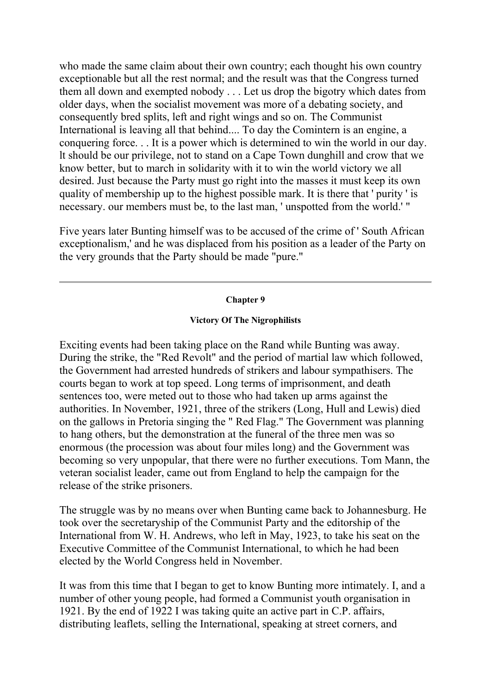who made the same claim about their own country; each thought his own country exceptionable but all the rest normal; and the result was that the Congress turned them all down and exempted nobody . . . Let us drop the bigotry which dates from older days, when the socialist movement was more of a debating society, and consequently bred splits, left and right wings and so on. The Communist International is leaving all that behind.... To day the Comintern is an engine, a conquering force. . . It is a power which is determined to win the world in our day. lt should be our privilege, not to stand on a Cape Town dunghill and crow that we know better, but to march in solidarity with it to win the world victory we all desired. Just because the Party must go right into the masses it must keep its own quality of membership up to the highest possible mark. It is there that ' purity ' is necessary. our members must be, to the last man, ' unspotted from the world.' "

Five years later Bunting himself was to be accused of the crime of ' South African exceptionalism,' and he was displaced from his position as a leader of the Party on the very grounds that the Party should be made "pure."

## **Chapter 9**

# **Victory Of The Nigrophilists**

Exciting events had been taking place on the Rand while Bunting was away. During the strike, the "Red Revolt" and the period of martial law which followed, the Government had arrested hundreds of strikers and labour sympathisers. The courts began to work at top speed. Long terms of imprisonment, and death sentences too, were meted out to those who had taken up arms against the authorities. In November, 1921, three of the strikers (Long, Hull and Lewis) died on the gallows in Pretoria singing the " Red Flag." The Government was planning to hang others, but the demonstration at the funeral of the three men was so enormous (the procession was about four miles long) and the Government was becoming so very unpopular, that there were no further executions. Tom Mann, the veteran socialist leader, came out from England to help the campaign for the release of the strike prisoners.

The struggle was by no means over when Bunting came back to Johannesburg. He took over the secretaryship of the Communist Party and the editorship of the International from W. H. Andrews, who left in May, 1923, to take his seat on the Executive Committee of the Communist International, to which he had been elected by the World Congress held in November.

It was from this time that I began to get to know Bunting more intimately. I, and a number of other young people, had formed a Communist youth organisation in 1921. By the end of 1922 I was taking quite an active part in C.P. affairs, distributing leaflets, selling the International, speaking at street corners, and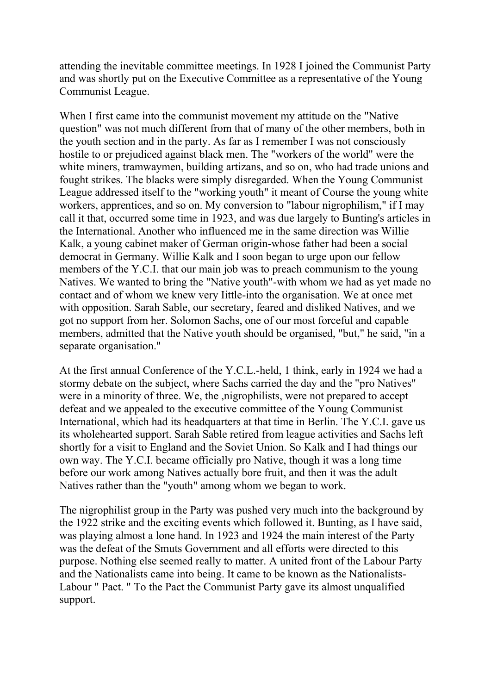attending the inevitable committee meetings. In 1928 I joined the Communist Party and was shortly put on the Executive Committee as a representative of the Young Communist League.

When I first came into the communist movement my attitude on the "Native question" was not much different from that of many of the other members, both in the youth section and in the party. As far as I remember I was not consciously hostile to or prejudiced against black men. The "workers of the world" were the white miners, tramwaymen, building artizans, and so on, who had trade unions and fought strikes. The blacks were simply disregarded. When the Young Communist League addressed itself to the "working youth" it meant of Course the young white workers, apprentices, and so on. My conversion to "labour nigrophilism," if I may call it that, occurred some time in 1923, and was due largely to Bunting's articles in the International. Another who influenced me in the same direction was Willie Kalk, a young cabinet maker of German origin-whose father had been a social democrat in Germany. Willie Kalk and I soon began to urge upon our fellow members of the Y.C.I. that our main job was to preach communism to the young Natives. We wanted to bring the "Native youth"-with whom we had as yet made no contact and of whom we knew very Iittle-into the organisation. We at once met with opposition. Sarah Sable, our secretary, feared and disliked Natives, and we got no support from her. Solomon Sachs, one of our most forceful and capable members, admitted that the Native youth should be organised, "but," he said, "in a separate organisation."

At the first annual Conference of the Y.C.L.-held, 1 think, early in 1924 we had a stormy debate on the subject, where Sachs carried the day and the "pro Natives" were in a minority of three. We, the ,nigrophilists, were not prepared to accept defeat and we appealed to the executive committee of the Young Communist International, which had its headquarters at that time in Berlin. The Y.C.I. gave us its wholehearted support. Sarah Sable retired from league activities and Sachs left shortly for a visit to England and the Soviet Union. So Kalk and I had things our own way. The Y.C.I. became officially pro Native, though it was a long time before our work among Natives actually bore fruit, and then it was the adult Natives rather than the "youth" among whom we began to work.

The nigrophilist group in the Party was pushed very much into the background by the 1922 strike and the exciting events which followed it. Bunting, as I have said, was playing almost a lone hand. In 1923 and 1924 the main interest of the Party was the defeat of the Smuts Government and all efforts were directed to this purpose. Nothing else seemed really to matter. A united front of the Labour Party and the Nationalists came into being. It came to be known as the Nationalists-Labour " Pact. " To the Pact the Communist Party gave its almost unqualified support.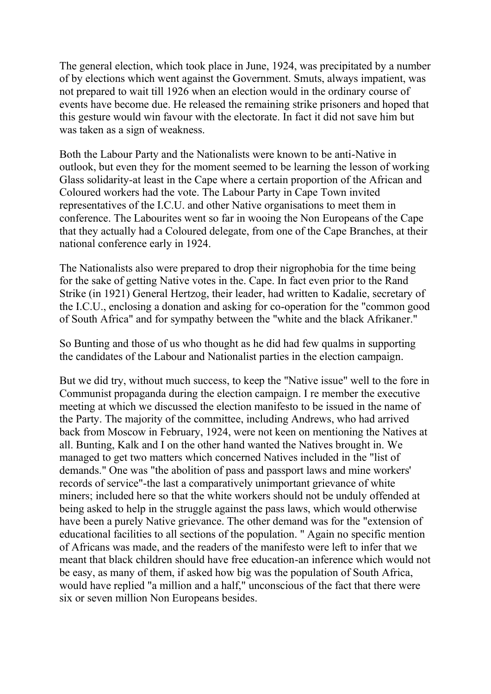The general election, which took place in June, 1924, was precipitated by a number of by elections which went against the Government. Smuts, always impatient, was not prepared to wait till 1926 when an election would in the ordinary course of events have become due. He released the remaining strike prisoners and hoped that this gesture would win favour with the electorate. In fact it did not save him but was taken as a sign of weakness.

Both the Labour Party and the Nationalists were known to be anti-Native in outlook, but even they for the moment seemed to be learning the lesson of working Glass solidarity-at least in the Cape where a certain proportion of the African and Coloured workers had the vote. The Labour Party in Cape Town invited representatives of the I.C.U. and other Native organisations to meet them in conference. The Labourites went so far in wooing the Non Europeans of the Cape that they actually had a Coloured delegate, from one of the Cape Branches, at their national conference early in 1924.

The Nationalists also were prepared to drop their nigrophobia for the time being for the sake of getting Native votes in the. Cape. In fact even prior to the Rand Strike (in 1921) General Hertzog, their leader, had written to Kadalie, secretary of the I.C.U., enclosing a donation and asking for co-operation for the "common good of South Africa" and for sympathy between the "white and the black Afrikaner."

So Bunting and those of us who thought as he did had few qualms in supporting the candidates of the Labour and Nationalist parties in the election campaign.

But we did try, without much success, to keep the "Native issue" well to the fore in Communist propaganda during the election campaign. I re member the executive meeting at which we discussed the election manifesto to be issued in the name of the Party. The majority of the committee, including Andrews, who had arrived back from Moscow in February, 1924, were not keen on mentioning the Natives at all. Bunting, Kalk and I on the other hand wanted the Natives brought in. We managed to get two matters which concerned Natives included in the "list of demands." One was "the abolition of pass and passport laws and mine workers' records of service"-the last a comparatively unimportant grievance of white miners; included here so that the white workers should not be unduly offended at being asked to help in the struggle against the pass laws, which would otherwise have been a purely Native grievance. The other demand was for the "extension of educational facilities to all sections of the population. " Again no specific mention of Africans was made, and the readers of the manifesto were left to infer that we meant that black children should have free education-an inference which would not be easy, as many of them, if asked how big was the population of South Africa, would have replied "a million and a half," unconscious of the fact that there were six or seven million Non Europeans besides.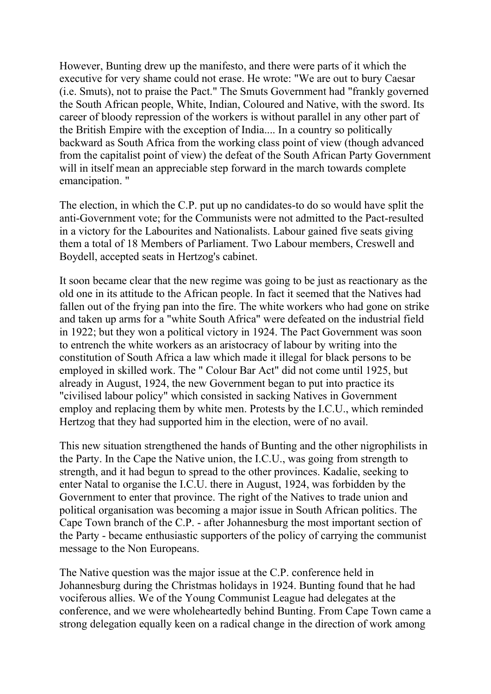However, Bunting drew up the manifesto, and there were parts of it which the executive for very shame could not erase. He wrote: "We are out to bury Caesar (i.e. Smuts), not to praise the Pact." The Smuts Government had "frankly governed the South African people, White, Indian, Coloured and Native, with the sword. Its career of bloody repression of the workers is without parallel in any other part of the British Empire with the exception of India.... In a country so politically backward as South Africa from the working class point of view (though advanced from the capitalist point of view) the defeat of the South African Party Government will in itself mean an appreciable step forward in the march towards complete emancipation. "

The election, in which the C.P. put up no candidates-to do so would have split the anti-Government vote; for the Communists were not admitted to the Pact-resulted in a victory for the Labourites and Nationalists. Labour gained five seats giving them a total of 18 Members of Parliament. Two Labour members, Creswell and Boydell, accepted seats in Hertzog's cabinet.

It soon became clear that the new regime was going to be just as reactionary as the old one in its attitude to the African people. In fact it seemed that the Natives had fallen out of the frying pan into the fire. The white workers who had gone on strike and taken up arms for a "white South Africa" were defeated on the industrial field in 1922; but they won a political victory in 1924. The Pact Government was soon to entrench the white workers as an aristocracy of labour by writing into the constitution of South Africa a law which made it illegal for black persons to be employed in skilled work. The " Colour Bar Act" did not come until 1925, but already in August, 1924, the new Government began to put into practice its "civilised labour policy" which consisted in sacking Natives in Government employ and replacing them by white men. Protests by the I.C.U., which reminded Hertzog that they had supported him in the election, were of no avail.

This new situation strengthened the hands of Bunting and the other nigrophilists in the Party. In the Cape the Native union, the I.C.U., was going from strength to strength, and it had begun to spread to the other provinces. Kadalie, seeking to enter Natal to organise the I.C.U. there in August, 1924, was forbidden by the Government to enter that province. The right of the Natives to trade union and political organisation was becoming a major issue in South African politics. The Cape Town branch of the C.P. - after Johannesburg the most important section of the Party - became enthusiastic supporters of the policy of carrying the communist message to the Non Europeans.

The Native question was the major issue at the C.P. conference held in Johannesburg during the Christmas holidays in 1924. Bunting found that he had vociferous allies. We of the Young Communist League had delegates at the conference, and we were wholeheartedly behind Bunting. From Cape Town came a strong delegation equally keen on a radical change in the direction of work among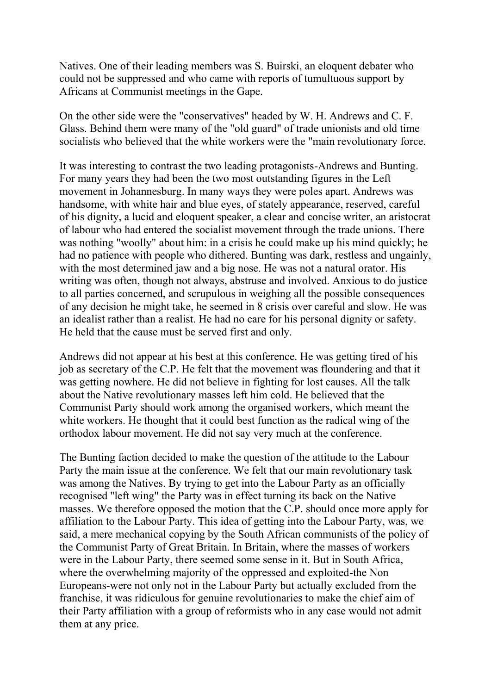Natives. One of their leading members was S. Buirski, an eloquent debater who could not be suppressed and who came with reports of tumultuous support by Africans at Communist meetings in the Gape.

On the other side were the "conservatives" headed by W. H. Andrews and C. F. Glass. Behind them were many of the "old guard" of trade unionists and old time socialists who believed that the white workers were the "main revolutionary force.

It was interesting to contrast the two leading protagonists-Andrews and Bunting. For many years they had been the two most outstanding figures in the Left movement in Johannesburg. In many ways they were poles apart. Andrews was handsome, with white hair and blue eyes, of stately appearance, reserved, careful of his dignity, a lucid and eloquent speaker, a clear and concise writer, an aristocrat of labour who had entered the socialist movement through the trade unions. There was nothing "woolly" about him: in a crisis he could make up his mind quickly; he had no patience with people who dithered. Bunting was dark, restless and ungainly, with the most determined jaw and a big nose. He was not a natural orator. His writing was often, though not always, abstruse and involved. Anxious to do justice to all parties concerned, and scrupulous in weighing all the possible consequences of any decision he might take, he seemed in 8 crisis over careful and slow. He was an idealist rather than a realist. He had no care for his personal dignity or safety. He held that the cause must be served first and only.

Andrews did not appear at his best at this conference. He was getting tired of his job as secretary of the C.P. He felt that the movement was floundering and that it was getting nowhere. He did not believe in fighting for lost causes. All the talk about the Native revolutionary masses left him cold. He believed that the Communist Party should work among the organised workers, which meant the white workers. He thought that it could best function as the radical wing of the orthodox labour movement. He did not say very much at the conference.

The Bunting faction decided to make the question of the attitude to the Labour Party the main issue at the conference. We felt that our main revolutionary task was among the Natives. By trying to get into the Labour Party as an officially recognised ''left wing" the Party was in effect turning its back on the Native masses. We therefore opposed the motion that the C.P. should once more apply for affiliation to the Labour Party. This idea of getting into the Labour Party, was, we said, a mere mechanical copying by the South African communists of the policy of the Communist Party of Great Britain. In Britain, where the masses of workers were in the Labour Party, there seemed some sense in it. But in South Africa, where the overwhelming majority of the oppressed and exploited-the Non Europeans-were not only not in the Labour Party but actually excluded from the franchise, it was ridiculous for genuine revolutionaries to make the chief aim of their Party affiliation with a group of reformists who in any case would not admit them at any price.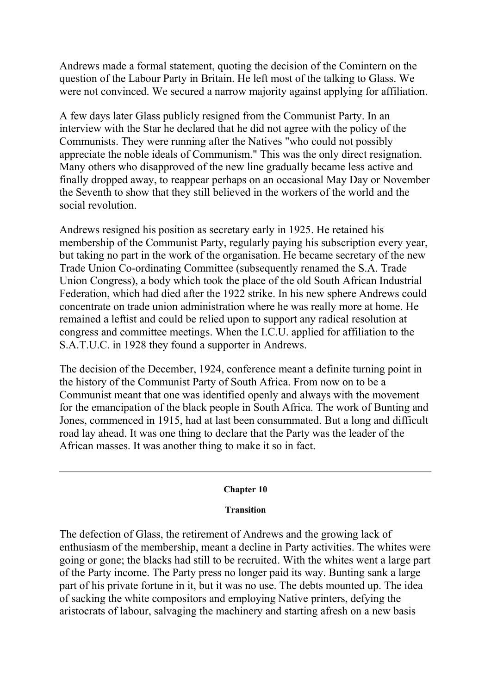Andrews made a formal statement, quoting the decision of the Comintern on the question of the Labour Party in Britain. He left most of the talking to Glass. We were not convinced. We secured a narrow majority against applying for affiliation.

A few days later Glass publicly resigned from the Communist Party. In an interview with the Star he declared that he did not agree with the policy of the Communists. They were running after the Natives "who could not possibly appreciate the noble ideals of Communism." This was the only direct resignation. Many others who disapproved of the new line gradually became less active and finally dropped away, to reappear perhaps on an occasional May Day or November the Seventh to show that they still believed in the workers of the world and the social revolution.

Andrews resigned his position as secretary early in 1925. He retained his membership of the Communist Party, regularly paying his subscription every year, but taking no part in the work of the organisation. He became secretary of the new Trade Union Co-ordinating Committee (subsequently renamed the S.A. Trade Union Congress), a body which took the place of the old South African Industrial Federation, which had died after the 1922 strike. In his new sphere Andrews could concentrate on trade union administration where he was really more at home. He remained a leftist and could be relied upon to support any radical resolution at congress and committee meetings. When the I.C.U. applied for affiliation to the S.A.T.U.C. in 1928 they found a supporter in Andrews.

The decision of the December, 1924, conference meant a definite turning point in the history of the Communist Party of South Africa. From now on to be a Communist meant that one was identified openly and always with the movement for the emancipation of the black people in South Africa. The work of Bunting and Jones, commenced in 1915, had at last been consummated. But a long and difficult road lay ahead. It was one thing to declare that the Party was the leader of the African masses. It was another thing to make it so in fact.

## **Chapter 10**

#### **Transition**

The defection of Glass, the retirement of Andrews and the growing lack of enthusiasm of the membership, meant a decline in Party activities. The whites were going or gone; the blacks had still to be recruited. With the whites went a large part of the Party income. The Party press no longer paid its way. Bunting sank a large part of his private fortune in it, but it was no use. The debts mounted up. The idea of sacking the white compositors and employing Native printers, defying the aristocrats of labour, salvaging the machinery and starting afresh on a new basis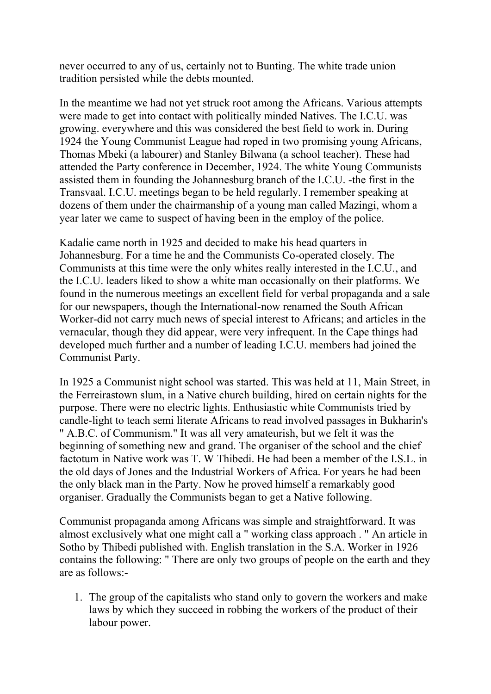never occurred to any of us, certainly not to Bunting. The white trade union tradition persisted while the debts mounted.

In the meantime we had not yet struck root among the Africans. Various attempts were made to get into contact with politically minded Natives. The I.C.U. was growing. everywhere and this was considered the best field to work in. During 1924 the Young Communist League had roped in two promising young Africans, Thomas Mbeki (a labourer) and Stanley Bilwana (a school teacher). These had attended the Party conference in December, 1924. The white Young Communists assisted them in founding the Johannesburg branch of the I.C.U. -the first in the Transvaal. I.C.U. meetings began to be held regularly. I remember speaking at dozens of them under the chairmanship of a young man called Mazingi, whom a year later we came to suspect of having been in the employ of the police.

Kadalie came north in 1925 and decided to make his head quarters in Johannesburg. For a time he and the Communists Co-operated closely. The Communists at this time were the only whites really interested in the I.C.U., and the I.C.U. leaders liked to show a white man occasionally on their platforms. We found in the numerous meetings an excellent field for verbal propaganda and a sale for our newspapers, though the International-now renamed the South African Worker-did not carry much news of special interest to Africans; and articles in the vernacular, though they did appear, were very infrequent. In the Cape things had developed much further and a number of leading I.C.U. members had joined the Communist Party.

In 1925 a Communist night school was started. This was held at 11, Main Street, in the Ferreirastown slum, in a Native church building, hired on certain nights for the purpose. There were no electric lights. Enthusiastic white Communists tried by candle-light to teach semi literate Africans to read involved passages in Bukharin's " A.B.C. of Communism." It was all very amateurish, but we felt it was the beginning of something new and grand. The organiser of the school and the chief factotum in Native work was T. W Thibedi. He had been a member of the I.S.L. in the old days of Jones and the Industrial Workers of Africa. For years he had been the only black man in the Party. Now he proved himself a remarkably good organiser. Gradually the Communists began to get a Native following.

Communist propaganda among Africans was simple and straightforward. It was almost exclusively what one might call a " working class approach . " An article in Sotho by Thibedi published with. English translation in the S.A. Worker in 1926 contains the following: " There are only two groups of people on the earth and they are as follows:-

1. The group of the capitalists who stand only to govern the workers and make laws by which they succeed in robbing the workers of the product of their labour power.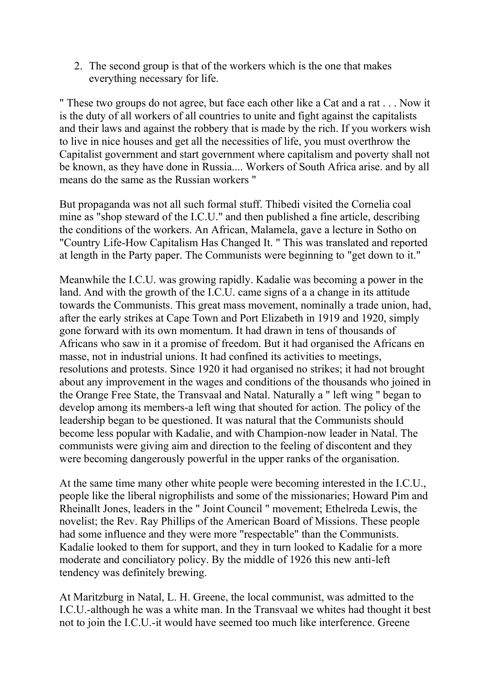2. The second group is that of the workers which is the one that makes everything necessary for life.

" These two groups do not agree, but face each other like a Cat and a rat . . . Now it is the duty of all workers of all countries to unite and fight against the capitalists and their laws and against the robbery that is made by the rich. If you workers wish to live in nice houses and get all the necessities of life, you must overthrow the Capitalist government and start government where capitalism and poverty shall not be known, as they have done in Russia.... Workers of South Africa arise. and by all means do the same as the Russian workers "

But propaganda was not all such formal stuff. Thibedi visited the Cornelia coal mine as "shop steward of the I.C.U." and then published a fine article, describing the conditions of the workers. An African, Malamela, gave a lecture in Sotho on "Country Life-How Capitalism Has Changed It. " This was translated and reported at length in the Party paper. The Communists were beginning to "get down to it."

Meanwhile the I.C.U. was growing rapidly. Kadalie was becoming a power in the land. And with the growth of the I.C.U. came signs of a a change in its attitude towards the Communists. This great mass movement, nominally a trade union, had, after the early strikes at Cape Town and Port Elizabeth in 1919 and 1920, simply gone forward with its own momentum. It had drawn in tens of thousands of Africans who saw in it a promise of freedom. But it had organised the Africans en masse, not in industrial unions. It had confined its activities to meetings, resolutions and protests. Since 1920 it had organised no strikes; it had not brought about any improvement in the wages and conditions of the thousands who joined in the Orange Free State, the Transvaal and Natal. Naturally a " left wing " began to develop among its members-a left wing that shouted for action. The policy of the leadership began to be questioned. It was natural that the Communists should become less popular with Kadalie, and with Champion-now leader in Natal. The communists were giving aim and direction to the feeling of discontent and they were becoming dangerously powerful in the upper ranks of the organisation.

At the same time many other white people were becoming interested in the I.C.U., people like the liberal nigrophilists and some of the missionaries; Howard Pim and Rheinallt Jones, leaders in the " Joint Council " movement; Ethelreda Lewis, the novelist; the Rev. Ray Phillips of the American Board of Missions. These people had some influence and they were more "respectable" than the Communists. Kadalie looked to them for support, and they in turn looked to Kadalie for a more moderate and conciliatory policy. By the middle of 1926 this new anti-left tendency was definitely brewing.

At Maritzburg in Natal, L. H. Greene, the local communist, was admitted to the I.C.U.-although he was a white man. In the Transvaal we whites had thought it best not to join the I.C.U.-it would have seemed too much like interference. Greene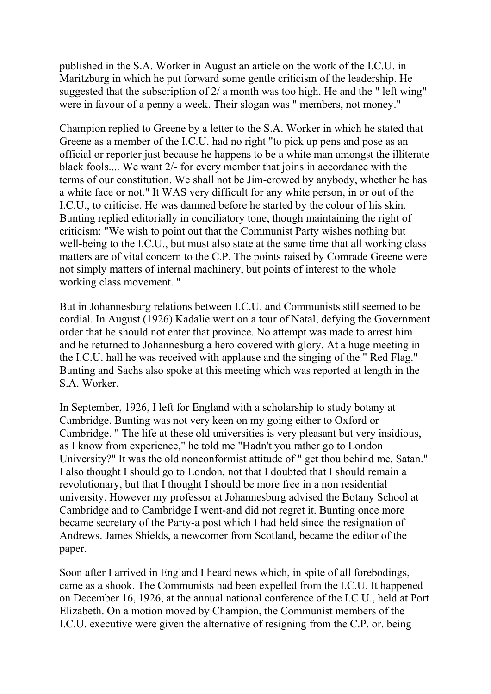published in the S.A. Worker in August an article on the work of the I.C.U. in Maritzburg in which he put forward some gentle criticism of the leadership. He suggested that the subscription of 2/ a month was too high. He and the " left wing" were in favour of a penny a week. Their slogan was " members, not money."

Champion replied to Greene by a letter to the S.A. Worker in which he stated that Greene as a member of the I.C.U. had no right "to pick up pens and pose as an official or reporter just because he happens to be a white man amongst the illiterate black fools.... We want 2/- for every member that joins in accordance with the terms of our constitution. We shall not be Jim-crowed by anybody, whether he has a white face or not." It WAS very difficult for any white person, in or out of the I.C.U., to criticise. He was damned before he started by the colour of his skin. Bunting replied editorially in conciliatory tone, though maintaining the right of criticism: "We wish to point out that the Communist Party wishes nothing but well-being to the I.C.U., but must also state at the same time that all working class matters are of vital concern to the C.P. The points raised by Comrade Greene were not simply matters of internal machinery, but points of interest to the whole working class movement. "

But in Johannesburg relations between I.C.U. and Communists still seemed to be cordial. In August (1926) Kadalie went on a tour of Natal, defying the Government order that he should not enter that province. No attempt was made to arrest him and he returned to Johannesburg a hero covered with glory. At a huge meeting in the I.C.U. hall he was received with applause and the singing of the " Red Flag." Bunting and Sachs also spoke at this meeting which was reported at length in the S.A. Worker.

In September, 1926, I left for England with a scholarship to study botany at Cambridge. Bunting was not very keen on my going either to Oxford or Cambridge. " The life at these old universities is very pleasant but very insidious, as I know from experience," he told me "Hadn't you rather go to London University?" It was the old nonconformist attitude of " get thou behind me, Satan." I also thought I should go to London, not that I doubted that I should remain a revolutionary, but that I thought I should be more free in a non residential university. However my professor at Johannesburg advised the Botany School at Cambridge and to Cambridge I went-and did not regret it. Bunting once more became secretary of the Party-a post which I had held since the resignation of Andrews. James Shields, a newcomer from Scotland, became the editor of the paper.

Soon after I arrived in England I heard news which, in spite of all forebodings, came as a shook. The Communists had been expelled from the I.C.U. It happened on December 16, 1926, at the annual national conference of the I.C.U., held at Port Elizabeth. On a motion moved by Champion, the Communist members of the I.C.U. executive were given the alternative of resigning from the C.P. or. being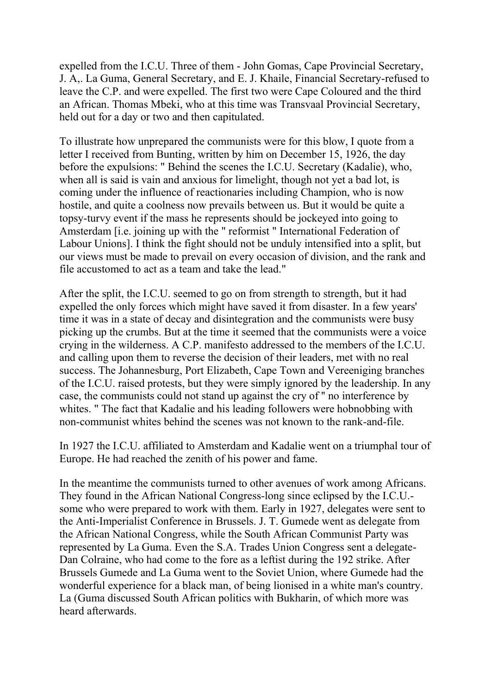expelled from the I.C.U. Three of them - John Gomas, Cape Provincial Secretary, J. A,. La Guma, General Secretary, and E. J. Khaile, Financial Secretary-refused to leave the C.P. and were expelled. The first two were Cape Coloured and the third an African. Thomas Mbeki, who at this time was Transvaal Provincial Secretary, held out for a day or two and then capitulated.

To illustrate how unprepared the communists were for this blow, I quote from a letter I received from Bunting, written by him on December 15, 1926, the day before the expulsions: " Behind the scenes the I.C.U. Secretary (Kadalie), who, when all is said is vain and anxious for limelight, though not yet a bad lot, is coming under the influence of reactionaries including Champion, who is now hostile, and quite a coolness now prevails between us. But it would be quite a topsy-turvy event if the mass he represents should be jockeyed into going to Amsterdam [i.e. joining up with the " reformist " International Federation of Labour Unions]. I think the fight should not be unduly intensified into a split, but our views must be made to prevail on every occasion of division, and the rank and file accustomed to act as a team and take the lead."

After the split, the I.C.U. seemed to go on from strength to strength, but it had expelled the only forces which might have saved it from disaster. In a few years' time it was in a state of decay and disintegration and the communists were busy picking up the crumbs. But at the time it seemed that the communists were a voice crying in the wilderness. A C.P. manifesto addressed to the members of the I.C.U. and calling upon them to reverse the decision of their leaders, met with no real success. The Johannesburg, Port Elizabeth, Cape Town and Vereeniging branches of the I.C.U. raised protests, but they were simply ignored by the leadership. In any case, the communists could not stand up against the cry of '' no interference by whites. " The fact that Kadalie and his leading followers were hobnobbing with non-communist whites behind the scenes was not known to the rank-and-file.

In 1927 the I.C.U. affiliated to Amsterdam and Kadalie went on a triumphal tour of Europe. He had reached the zenith of his power and fame.

In the meantime the communists turned to other avenues of work among Africans. They found in the African National Congress-long since eclipsed by the I.C.U. some who were prepared to work with them. Early in 1927, delegates were sent to the Anti-Imperialist Conference in Brussels. J. T. Gumede went as delegate from the African National Congress, while the South African Communist Party was represented by La Guma. Even the S.A. Trades Union Congress sent a delegate-Dan Colraine, who had come to the fore as a leftist during the 192 strike. After Brussels Gumede and La Guma went to the Soviet Union, where Gumede had the wonderful experience for a black man, of being lionised in a white man's country. La (Guma discussed South African politics with Bukharin, of which more was heard afterwards.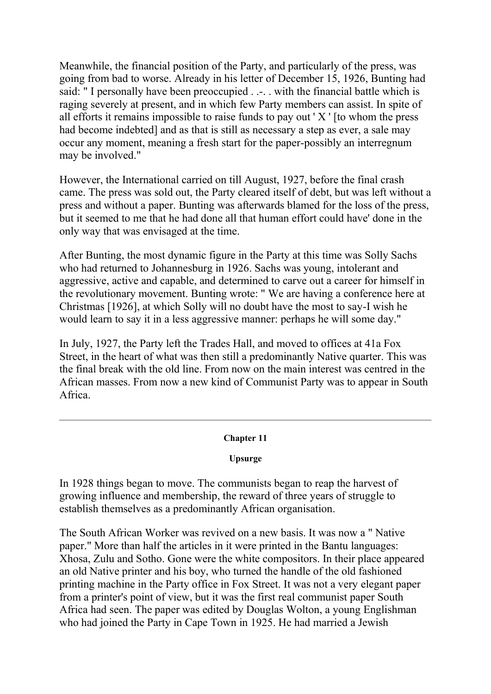Meanwhile, the financial position of the Party, and particularly of the press, was going from bad to worse. Already in his letter of December 15, 1926, Bunting had said: " I personally have been preoccupied . .-. . with the financial battle which is raging severely at present, and in which few Party members can assist. In spite of all efforts it remains impossible to raise funds to pay out ' X ' [to whom the press had become indebted] and as that is still as necessary a step as ever, a sale may occur any moment, meaning a fresh start for the paper-possibly an interregnum may be involved."

However, the International carried on till August, 1927, before the final crash came. The press was sold out, the Party cleared itself of debt, but was left without a press and without a paper. Bunting was afterwards blamed for the loss of the press, but it seemed to me that he had done all that human effort could have' done in the only way that was envisaged at the time.

After Bunting, the most dynamic figure in the Party at this time was Solly Sachs who had returned to Johannesburg in 1926. Sachs was young, intolerant and aggressive, active and capable, and determined to carve out a career for himself in the revolutionary movement. Bunting wrote: " We are having a conference here at Christmas [1926], at which Solly will no doubt have the most to say-I wish he would learn to say it in a less aggressive manner: perhaps he will some day."

In July, 1927, the Party left the Trades Hall, and moved to offices at 41a Fox Street, in the heart of what was then still a predominantly Native quarter. This was the final break with the old line. From now on the main interest was centred in the African masses. From now a new kind of Communist Party was to appear in South Africa.

# **Chapter 11**

# **Upsurge**

In 1928 things began to move. The communists began to reap the harvest of growing influence and membership, the reward of three years of struggle to establish themselves as a predominantly African organisation.

The South African Worker was revived on a new basis. It was now a " Native paper." More than half the articles in it were printed in the Bantu languages: Xhosa, Zulu and Sotho. Gone were the white compositors. In their place appeared an old Native printer and his boy, who turned the handle of the old fashioned printing machine in the Party office in Fox Street. It was not a very elegant paper from a printer's point of view, but it was the first real communist paper South Africa had seen. The paper was edited by Douglas Wolton, a young Englishman who had joined the Party in Cape Town in 1925. He had married a Jewish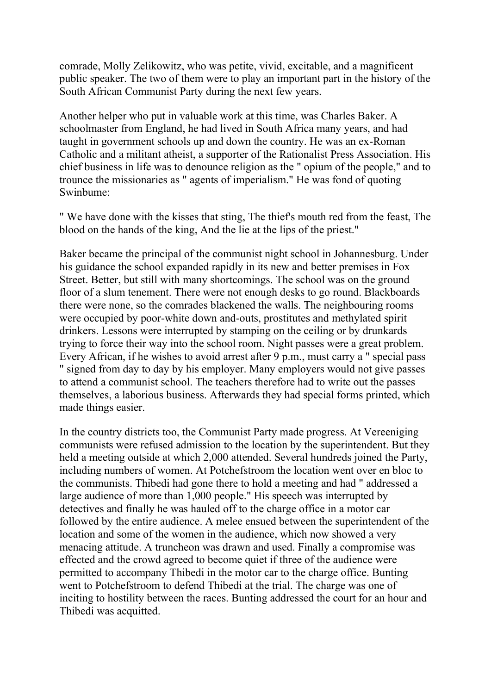comrade, Molly Zelikowitz, who was petite, vivid, excitable, and a magnificent public speaker. The two of them were to play an important part in the history of the South African Communist Party during the next few years.

Another helper who put in valuable work at this time, was Charles Baker. A schoolmaster from England, he had lived in South Africa many years, and had taught in government schools up and down the country. He was an ex-Roman Catholic and a militant atheist, a supporter of the Rationalist Press Association. His chief business in life was to denounce religion as the " opium of the people," and to trounce the missionaries as " agents of imperialism." He was fond of quoting Swinbume:

" We have done with the kisses that sting, The thief's mouth red from the feast, The blood on the hands of the king, And the lie at the lips of the priest."

Baker became the principal of the communist night school in Johannesburg. Under his guidance the school expanded rapidly in its new and better premises in Fox Street. Better, but still with many shortcomings. The school was on the ground floor of a slum tenement. There were not enough desks to go round. Blackboards there were none, so the comrades blackened the walls. The neighbouring rooms were occupied by poor-white down and-outs, prostitutes and methylated spirit drinkers. Lessons were interrupted by stamping on the ceiling or by drunkards trying to force their way into the school room. Night passes were a great problem. Every African, if he wishes to avoid arrest after 9 p.m., must carry a " special pass " signed from day to day by his employer. Many employers would not give passes to attend a communist school. The teachers therefore had to write out the passes themselves, a laborious business. Afterwards they had special forms printed, which made things easier.

In the country districts too, the Communist Party made progress. At Vereeniging communists were refused admission to the location by the superintendent. But they held a meeting outside at which 2,000 attended. Several hundreds joined the Party, including numbers of women. At Potchefstroom the location went over en bloc to the communists. Thibedi had gone there to hold a meeting and had " addressed a large audience of more than 1,000 people." His speech was interrupted by detectives and finally he was hauled off to the charge office in a motor car followed by the entire audience. A melee ensued between the superintendent of the location and some of the women in the audience, which now showed a very menacing attitude. A truncheon was drawn and used. Finally a compromise was effected and the crowd agreed to become quiet if three of the audience were permitted to accompany Thibedi in the motor car to the charge office. Bunting went to Potchefstroom to defend Thibedi at the trial. The charge was one of inciting to hostility between the races. Bunting addressed the court for an hour and Thibedi was acquitted.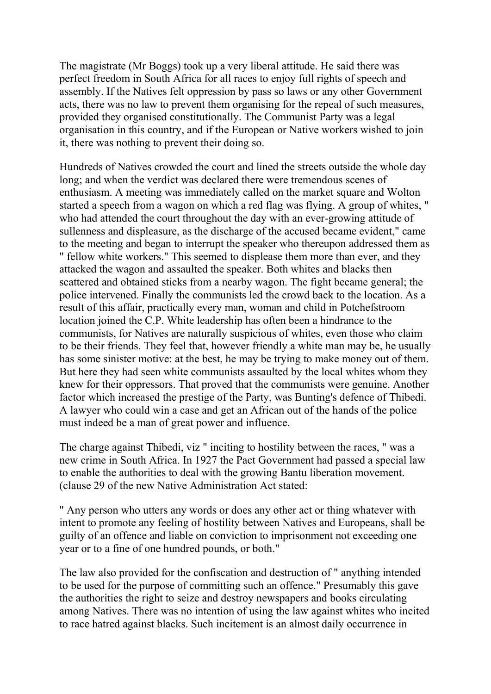The magistrate (Mr Boggs) took up a very liberal attitude. He said there was perfect freedom in South Africa for all races to enjoy full rights of speech and assembly. If the Natives felt oppression by pass so laws or any other Government acts, there was no law to prevent them organising for the repeal of such measures, provided they organised constitutionally. The Communist Party was a legal organisation in this country, and if the European or Native workers wished to join it, there was nothing to prevent their doing so.

Hundreds of Natives crowded the court and lined the streets outside the whole day long; and when the verdict was declared there were tremendous scenes of enthusiasm. A meeting was immediately called on the market square and Wolton started a speech from a wagon on which a red flag was flying. A group of whites, " who had attended the court throughout the day with an ever-growing attitude of sullenness and displeasure, as the discharge of the accused became evident," came to the meeting and began to interrupt the speaker who thereupon addressed them as " fellow white workers." This seemed to displease them more than ever, and they attacked the wagon and assaulted the speaker. Both whites and blacks then scattered and obtained sticks from a nearby wagon. The fight became general; the police intervened. Finally the communists led the crowd back to the location. As a result of this affair, practically every man, woman and child in Potchefstroom location joined the C.P. White leadership has often been a hindrance to the communists, for Natives are naturally suspicious of whites, even those who claim to be their friends. They feel that, however friendly a white man may be, he usually has some sinister motive: at the best, he may be trying to make money out of them. But here they had seen white communists assaulted by the local whites whom they knew for their oppressors. That proved that the communists were genuine. Another factor which increased the prestige of the Party, was Bunting's defence of Thibedi. A lawyer who could win a case and get an African out of the hands of the police must indeed be a man of great power and influence.

The charge against Thibedi, viz " inciting to hostility between the races, " was a new crime in South Africa. In 1927 the Pact Government had passed a special law to enable the authorities to deal with the growing Bantu liberation movement. (clause 29 of the new Native Administration Act stated:

" Any person who utters any words or does any other act or thing whatever with intent to promote any feeling of hostility between Natives and Europeans, shall be guilty of an offence and liable on conviction to imprisonment not exceeding one year or to a fine of one hundred pounds, or both."

The law also provided for the confiscation and destruction of " anything intended to be used for the purpose of committing such an offence." Presumably this gave the authorities the right to seize and destroy newspapers and books circulating among Natives. There was no intention of using the law against whites who incited to race hatred against blacks. Such incitement is an almost daily occurrence in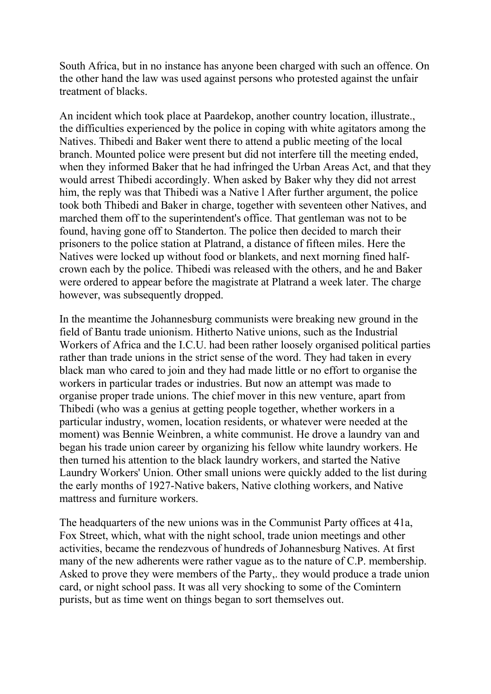South Africa, but in no instance has anyone been charged with such an offence. On the other hand the law was used against persons who protested against the unfair treatment of blacks.

An incident which took place at Paardekop, another country location, illustrate., the difficulties experienced by the police in coping with white agitators among the Natives. Thibedi and Baker went there to attend a public meeting of the local branch. Mounted police were present but did not interfere till the meeting ended, when they informed Baker that he had infringed the Urban Areas Act, and that they would arrest Thibedi accordingly. When asked by Baker why they did not arrest him, the reply was that Thibedi was a Native l After further argument, the police took both Thibedi and Baker in charge, together with seventeen other Natives, and marched them off to the superintendent's office. That gentleman was not to be found, having gone off to Standerton. The police then decided to march their prisoners to the police station at Platrand, a distance of fifteen miles. Here the Natives were locked up without food or blankets, and next morning fined halfcrown each by the police. Thibedi was released with the others, and he and Baker were ordered to appear before the magistrate at Platrand a week later. The charge however, was subsequently dropped.

In the meantime the Johannesburg communists were breaking new ground in the field of Bantu trade unionism. Hitherto Native unions, such as the Industrial Workers of Africa and the I.C.U. had been rather loosely organised political parties rather than trade unions in the strict sense of the word. They had taken in every black man who cared to join and they had made little or no effort to organise the workers in particular trades or industries. But now an attempt was made to organise proper trade unions. The chief mover in this new venture, apart from Thibedi (who was a genius at getting people together, whether workers in a particular industry, women, location residents, or whatever were needed at the moment) was Bennie Weinbren, a white communist. He drove a laundry van and began his trade union career by organizing his fellow white laundry workers. He then turned his attention to the black laundry workers, and started the Native Laundry Workers' Union. Other small unions were quickly added to the list during the early months of 1927-Native bakers, Native clothing workers, and Native mattress and furniture workers.

The headquarters of the new unions was in the Communist Party offices at 41a, Fox Street, which, what with the night school, trade union meetings and other activities, became the rendezvous of hundreds of Johannesburg Natives. At first many of the new adherents were rather vague as to the nature of C.P. membership. Asked to prove they were members of the Party,. they would produce a trade union card, or night school pass. It was all very shocking to some of the Comintern purists, but as time went on things began to sort themselves out.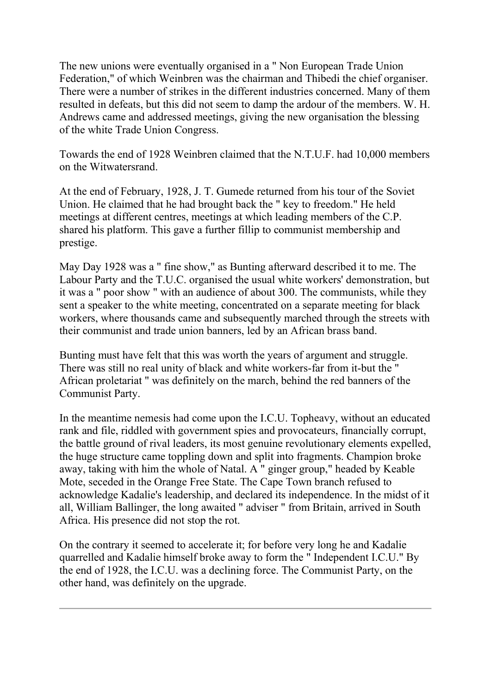The new unions were eventually organised in a " Non European Trade Union Federation," of which Weinbren was the chairman and Thibedi the chief organiser. There were a number of strikes in the different industries concerned. Many of them resulted in defeats, but this did not seem to damp the ardour of the members. W. H. Andrews came and addressed meetings, giving the new organisation the blessing of the white Trade Union Congress.

Towards the end of 1928 Weinbren claimed that the N.T.U.F. had 10,000 members on the Witwatersrand.

At the end of February, 1928, J. T. Gumede returned from his tour of the Soviet Union. He claimed that he had brought back the " key to freedom." He held meetings at different centres, meetings at which leading members of the C.P. shared his platform. This gave a further fillip to communist membership and prestige.

May Day 1928 was a " fine show," as Bunting afterward described it to me. The Labour Party and the T.U.C. organised the usual white workers' demonstration, but it was a " poor show " with an audience of about 300. The communists, while they sent a speaker to the white meeting, concentrated on a separate meeting for black workers, where thousands came and subsequently marched through the streets with their communist and trade union banners, led by an African brass band.

Bunting must have felt that this was worth the years of argument and struggle. There was still no real unity of black and white workers-far from it-but the " African proletariat " was definitely on the march, behind the red banners of the Communist Party.

In the meantime nemesis had come upon the I.C.U. Topheavy, without an educated rank and file, riddled with government spies and provocateurs, financially corrupt, the battle ground of rival leaders, its most genuine revolutionary elements expelled, the huge structure came toppling down and split into fragments. Champion broke away, taking with him the whole of Natal. A " ginger group," headed by Keable Mote, seceded in the Orange Free State. The Cape Town branch refused to acknowledge Kadalie's leadership, and declared its independence. In the midst of it all, William Ballinger, the long awaited " adviser " from Britain, arrived in South Africa. His presence did not stop the rot.

On the contrary it seemed to accelerate it; for before very long he and Kadalie quarrelled and Kadalie himself broke away to form the " Independent I.C.U." By the end of 1928, the I.C.U. was a declining force. The Communist Party, on the other hand, was definitely on the upgrade.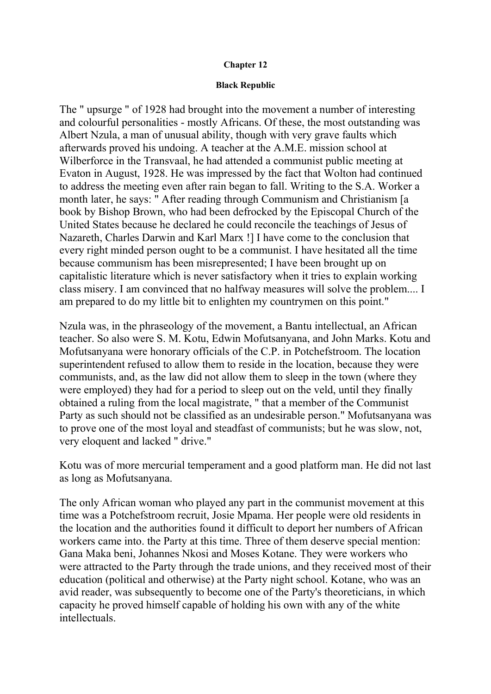## **Chapter 12**

#### **Black Republic**

The " upsurge " of 1928 had brought into the movement a number of interesting and colourful personalities - mostly Africans. Of these, the most outstanding was Albert Nzula, a man of unusual ability, though with very grave faults which afterwards proved his undoing. A teacher at the A.M.E. mission school at Wilberforce in the Transvaal, he had attended a communist public meeting at Evaton in August, 1928. He was impressed by the fact that Wolton had continued to address the meeting even after rain began to fall. Writing to the S.A. Worker a month later, he says: " After reading through Communism and Christianism [a book by Bishop Brown, who had been defrocked by the Episcopal Church of the United States because he declared he could reconcile the teachings of Jesus of Nazareth, Charles Darwin and Karl Marx !] I have come to the conclusion that every right minded person ought to be a communist. I have hesitated all the time because communism has been misrepresented; I have been brought up on capitalistic literature which is never satisfactory when it tries to explain working class misery. I am convinced that no halfway measures will solve the problem.... I am prepared to do my little bit to enlighten my countrymen on this point."

Nzula was, in the phraseology of the movement, a Bantu intellectual, an African teacher. So also were S. M. Kotu, Edwin Mofutsanyana, and John Marks. Kotu and Mofutsanyana were honorary officials of the C.P. in Potchefstroom. The location superintendent refused to allow them to reside in the location, because they were communists, and, as the law did not allow them to sleep in the town (where they were employed) they had for a period to sleep out on the veld, until they finally obtained a ruling from the local magistrate, " that a member of the Communist Party as such should not be classified as an undesirable person." Mofutsanyana was to prove one of the most loyal and steadfast of communists; but he was slow, not, very eloquent and lacked " drive."

Kotu was of more mercurial temperament and a good platform man. He did not last as long as Mofutsanyana.

The only African woman who played any part in the communist movement at this time was a Potchefstroom recruit, Josie Mpama. Her people were old residents in the location and the authorities found it difficult to deport her numbers of African workers came into. the Party at this time. Three of them deserve special mention: Gana Maka beni, Johannes Nkosi and Moses Kotane. They were workers who were attracted to the Party through the trade unions, and they received most of their education (political and otherwise) at the Party night school. Kotane, who was an avid reader, was subsequently to become one of the Party's theoreticians, in which capacity he proved himself capable of holding his own with any of the white intellectuals.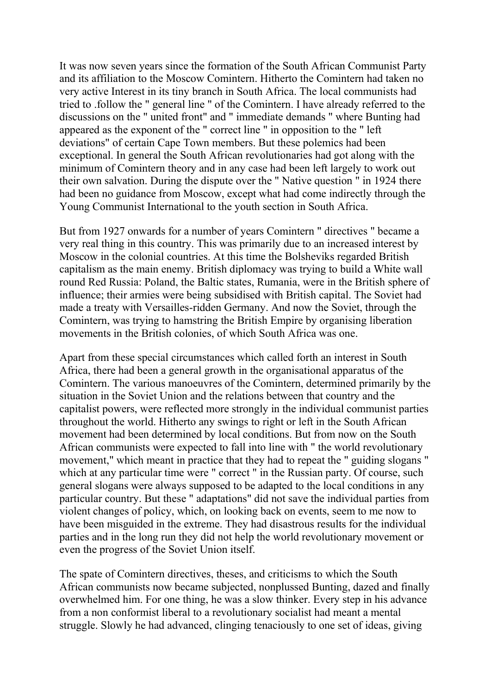It was now seven years since the formation of the South African Communist Party and its affiliation to the Moscow Comintern. Hitherto the Comintern had taken no very active Interest in its tiny branch in South Africa. The local communists had tried to .follow the " general line " of the Comintern. I have already referred to the discussions on the " united front" and " immediate demands " where Bunting had appeared as the exponent of the " correct line " in opposition to the " left deviations" of certain Cape Town members. But these polemics had been exceptional. In general the South African revolutionaries had got along with the minimum of Comintern theory and in any case had been left largely to work out their own salvation. During the dispute over the " Native question " in 1924 there had been no guidance from Moscow, except what had come indirectly through the Young Communist International to the youth section in South Africa.

But from 1927 onwards for a number of years Comintern " directives " became a very real thing in this country. This was primarily due to an increased interest by Moscow in the colonial countries. At this time the Bolsheviks regarded British capitalism as the main enemy. British diplomacy was trying to build a White wall round Red Russia: Poland, the Baltic states, Rumania, were in the British sphere of influence; their armies were being subsidised with British capital. The Soviet had made a treaty with Versailles-ridden Germany. And now the Soviet, through the Comintern, was trying to hamstring the British Empire by organising liberation movements in the British colonies, of which South Africa was one.

Apart from these special circumstances which called forth an interest in South Africa, there had been a general growth in the organisational apparatus of the Comintern. The various manoeuvres of the Comintern, determined primarily by the situation in the Soviet Union and the relations between that country and the capitalist powers, were reflected more strongly in the individual communist parties throughout the world. Hitherto any swings to right or left in the South African movement had been determined by local conditions. But from now on the South African communists were expected to fall into line with " the world revolutionary movement," which meant in practice that they had to repeat the " guiding slogans " which at any particular time were " correct " in the Russian party. Of course, such general slogans were always supposed to be adapted to the local conditions in any particular country. But these " adaptations" did not save the individual parties from violent changes of policy, which, on looking back on events, seem to me now to have been misguided in the extreme. They had disastrous results for the individual parties and in the long run they did not help the world revolutionary movement or even the progress of the Soviet Union itself.

The spate of Comintern directives, theses, and criticisms to which the South African communists now became subjected, nonplussed Bunting, dazed and finally overwhelmed him. For one thing, he was a slow thinker. Every step in his advance from a non conformist liberal to a revolutionary socialist had meant a mental struggle. Slowly he had advanced, clinging tenaciously to one set of ideas, giving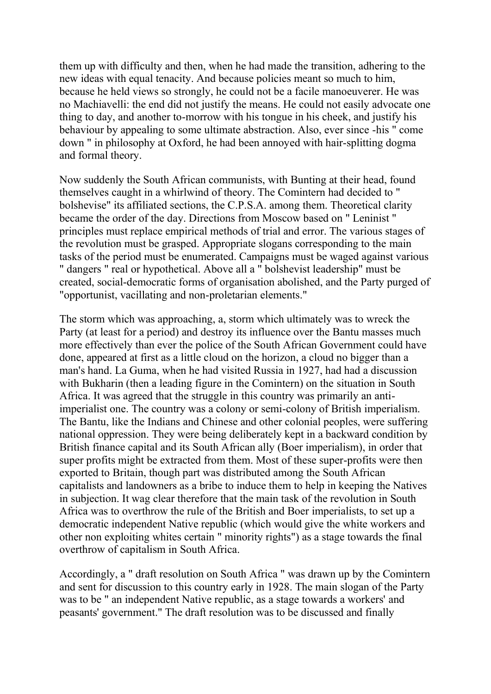them up with difficulty and then, when he had made the transition, adhering to the new ideas with equal tenacity. And because policies meant so much to him, because he held views so strongly, he could not be a facile manoeuverer. He was no Machiavelli: the end did not justify the means. He could not easily advocate one thing to day, and another to-morrow with his tongue in his cheek, and justify his behaviour by appealing to some ultimate abstraction. Also, ever since -his " come down " in philosophy at Oxford, he had been annoyed with hair-splitting dogma and formal theory.

Now suddenly the South African communists, with Bunting at their head, found themselves caught in a whirlwind of theory. The Comintern had decided to " bolshevise" its affiliated sections, the C.P.S.A. among them. Theoretical clarity became the order of the day. Directions from Moscow based on " Leninist " principles must replace empirical methods of trial and error. The various stages of the revolution must be grasped. Appropriate slogans corresponding to the main tasks of the period must be enumerated. Campaigns must be waged against various " dangers " real or hypothetical. Above all a " bolshevist leadership" must be created, social-democratic forms of organisation abolished, and the Party purged of "opportunist, vacillating and non-proletarian elements."

The storm which was approaching, a, storm which ultimately was to wreck the Party (at least for a period) and destroy its influence over the Bantu masses much more effectively than ever the police of the South African Government could have done, appeared at first as a little cloud on the horizon, a cloud no bigger than a man's hand. La Guma, when he had visited Russia in 1927, had had a discussion with Bukharin (then a leading figure in the Comintern) on the situation in South Africa. It was agreed that the struggle in this country was primarily an antiimperialist one. The country was a colony or semi-colony of British imperialism. The Bantu, like the Indians and Chinese and other colonial peoples, were suffering national oppression. They were being deliberately kept in a backward condition by British finance capital and its South African ally (Boer imperialism), in order that super profits might be extracted from them. Most of these super-profits were then exported to Britain, though part was distributed among the South African capitalists and landowners as a bribe to induce them to help in keeping the Natives in subjection. It wag clear therefore that the main task of the revolution in South Africa was to overthrow the rule of the British and Boer imperialists, to set up a democratic independent Native republic (which would give the white workers and other non exploiting whites certain " minority rights") as a stage towards the final overthrow of capitalism in South Africa.

Accordingly, a " draft resolution on South Africa " was drawn up by the Comintern and sent for discussion to this country early in 1928. The main slogan of the Party was to be " an independent Native republic, as a stage towards a workers' and peasants' government." The draft resolution was to be discussed and finally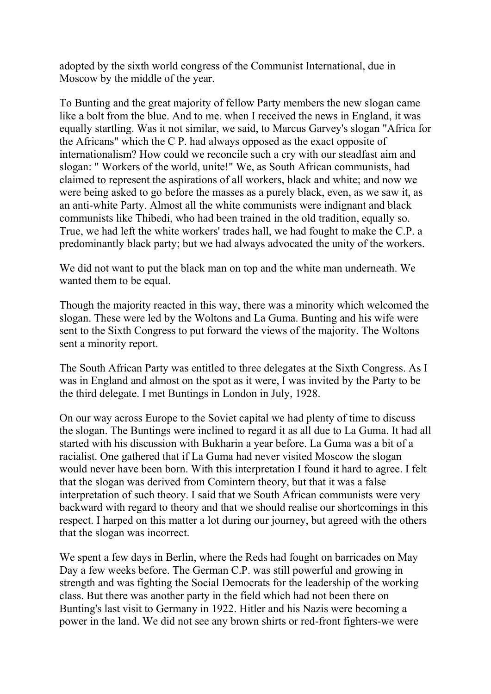adopted by the sixth world congress of the Communist International, due in Moscow by the middle of the year.

To Bunting and the great majority of fellow Party members the new slogan came like a bolt from the blue. And to me. when I received the news in England, it was equally startling. Was it not similar, we said, to Marcus Garvey's slogan "Africa for the Africans" which the C P. had always opposed as the exact opposite of internationalism? How could we reconcile such a cry with our steadfast aim and slogan: " Workers of the world, unite!" We, as South African communists, had claimed to represent the aspirations of all workers, black and white; and now we were being asked to go before the masses as a purely black, even, as we saw it, as an anti-white Party. Almost all the white communists were indignant and black communists like Thibedi, who had been trained in the old tradition, equally so. True, we had left the white workers' trades hall, we had fought to make the C.P. a predominantly black party; but we had always advocated the unity of the workers.

We did not want to put the black man on top and the white man underneath. We wanted them to be equal.

Though the majority reacted in this way, there was a minority which welcomed the slogan. These were led by the Woltons and La Guma. Bunting and his wife were sent to the Sixth Congress to put forward the views of the majority. The Woltons sent a minority report.

The South African Party was entitled to three delegates at the Sixth Congress. As I was in England and almost on the spot as it were, I was invited by the Party to be the third delegate. I met Buntings in London in July, 1928.

On our way across Europe to the Soviet capital we had plenty of time to discuss the slogan. The Buntings were inclined to regard it as all due to La Guma. It had all started with his discussion with Bukharin a year before. La Guma was a bit of a racialist. One gathered that if La Guma had never visited Moscow the slogan would never have been born. With this interpretation I found it hard to agree. I felt that the slogan was derived from Comintern theory, but that it was a false interpretation of such theory. I said that we South African communists were very backward with regard to theory and that we should realise our shortcomings in this respect. I harped on this matter a lot during our journey, but agreed with the others that the slogan was incorrect.

We spent a few days in Berlin, where the Reds had fought on barricades on May Day a few weeks before. The German C.P. was still powerful and growing in strength and was fighting the Social Democrats for the leadership of the working class. But there was another party in the field which had not been there on Bunting's last visit to Germany in 1922. Hitler and his Nazis were becoming a power in the land. We did not see any brown shirts or red-front fighters-we were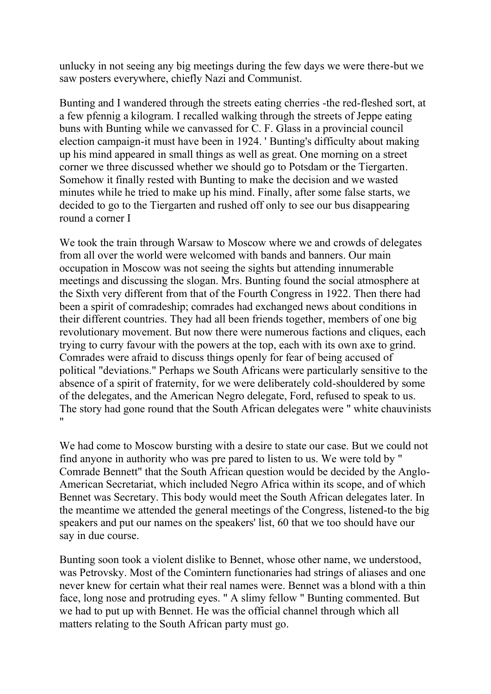unlucky in not seeing any big meetings during the few days we were there-but we saw posters everywhere, chiefly Nazi and Communist.

Bunting and I wandered through the streets eating cherries -the red-fleshed sort, at a few pfennig a kilogram. I recalled walking through the streets of Jeppe eating buns with Bunting while we canvassed for C. F. Glass in a provincial council election campaign-it must have been in 1924. ' Bunting's difficulty about making up his mind appeared in small things as well as great. One morning on a street corner we three discussed whether we should go to Potsdam or the Tiergarten. Somehow it finally rested with Bunting to make the decision and we wasted minutes while he tried to make up his mind. Finally, after some false starts, we decided to go to the Tiergarten and rushed off only to see our bus disappearing round a corner I

We took the train through Warsaw to Moscow where we and crowds of delegates from all over the world were welcomed with bands and banners. Our main occupation in Moscow was not seeing the sights but attending innumerable meetings and discussing the slogan. Mrs. Bunting found the social atmosphere at the Sixth very different from that of the Fourth Congress in 1922. Then there had been a spirit of comradeship; comrades had exchanged news about conditions in their different countries. They had all been friends together, members of one big revolutionary movement. But now there were numerous factions and cliques, each trying to curry favour with the powers at the top, each with its own axe to grind. Comrades were afraid to discuss things openly for fear of being accused of political "deviations." Perhaps we South Africans were particularly sensitive to the absence of a spirit of fraternity, for we were deliberately cold-shouldered by some of the delegates, and the American Negro delegate, Ford, refused to speak to us. The story had gone round that the South African delegates were " white chauvinists "

We had come to Moscow bursting with a desire to state our case. But we could not find anyone in authority who was pre pared to listen to us. We were told by " Comrade Bennett" that the South African question would be decided by the Anglo-American Secretariat, which included Negro Africa within its scope, and of which Bennet was Secretary. This body would meet the South African delegates later. In the meantime we attended the general meetings of the Congress, listened-to the big speakers and put our names on the speakers' list, 60 that we too should have our say in due course.

Bunting soon took a violent dislike to Bennet, whose other name, we understood, was Petrovsky. Most of the Comintern functionaries had strings of aliases and one never knew for certain what their real names were. Bennet was a blond with a thin face, long nose and protruding eyes. " A slimy fellow " Bunting commented. But we had to put up with Bennet. He was the official channel through which all matters relating to the South African party must go.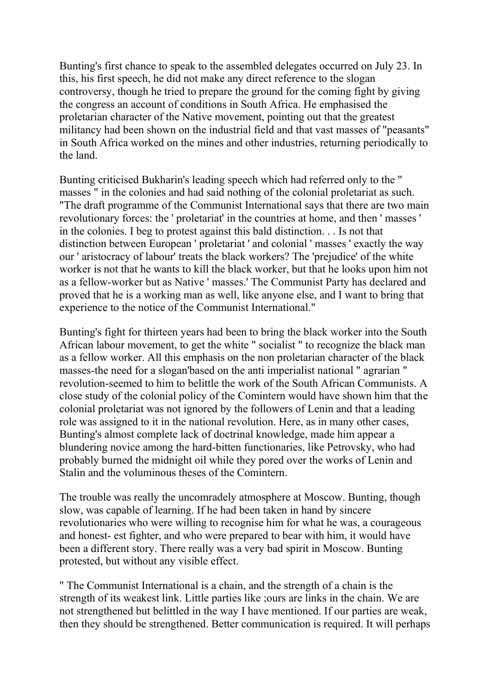Bunting's first chance to speak to the assembled delegates occurred on July 23. In this, his first speech, he did not make any direct reference to the slogan controversy, though he tried to prepare the ground for the coming fight by giving the congress an account of conditions in South Africa. He emphasised the proletarian character of the Native movement, pointing out that the greatest militancy had been shown on the industrial field and that vast masses of "peasants" in South Africa worked on the mines and other industries, returning periodically to the land.

Bunting criticised Bukharin's leading speech which had referred only to the " masses " in the colonies and had said nothing of the colonial proletariat as such. "The draft programme of the Communist International says that there are two main revolutionary forces: the ' proletariat' in the countries at home, and then ' masses ' in the colonies. I beg to protest against this bald distinction. . . Is not that distinction between European ' proletariat ' and colonial ' masses ' exactly the way our ' aristocracy of labour' treats the black workers? The 'prejudice' of the white worker is not that he wants to kill the black worker, but that he looks upon him not as a fellow-worker but as Native ' masses.' The Communist Party has declared and proved that he is a working man as well, like anyone else, and I want to bring that experience to the notice of the Communist International."

Bunting's fight for thirteen years had been to bring the black worker into the South African labour movement, to get the white " socialist " to recognize the black man as a fellow worker. All this emphasis on the non proletarian character of the black masses-the need for a slogan'based on the anti imperialist national " agrarian " revolution-seemed to him to belittle the work of the South African Communists. A close study of the colonial policy of the Comintern would have shown him that the colonial proletariat was not ignored by the followers of Lenin and that a leading role was assigned to it in the national revolution. Here, as in many other cases, Bunting's almost complete lack of doctrinal knowledge, made him appear a blundering novice among the hard-bitten functionaries, like Petrovsky, who had probably burned the midnight oil while they pored over the works of Lenin and Stalin and the voluminous theses of the Comintern.

The trouble was really the uncomradely atmosphere at Moscow. Bunting, though slow, was capable of learning. If he had been taken in hand by sincere revolutionaries who were willing to recognise him for what he was, a courageous and honest- est fighter, and who were prepared to bear with him, it would have been a different story. There really was a very bad spirit in Moscow. Bunting protested, but without any visible effect.

" The Communist International is a chain, and the strength of a chain is the strength of its weakest link. Little parties like ;ours are links in the chain. We are not strengthened but belittled in the way I have mentioned. If our parties are weak, then they should be strengthened. Better communication is required. It will perhaps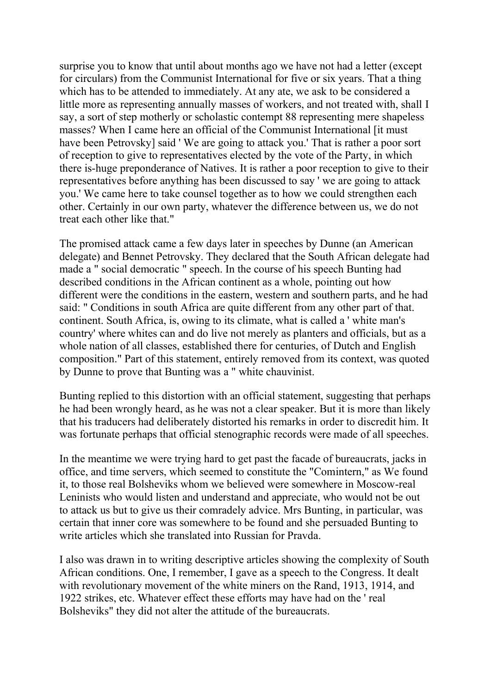surprise you to know that until about months ago we have not had a letter (except for circulars) from the Communist International for five or six years. That a thing which has to be attended to immediately. At any ate, we ask to be considered a little more as representing annually masses of workers, and not treated with, shall I say, a sort of step motherly or scholastic contempt 88 representing mere shapeless masses? When I came here an official of the Communist International [it must have been Petrovsky] said ' We are going to attack you.' That is rather a poor sort of reception to give to representatives elected by the vote of the Party, in which there is-huge preponderance of Natives. It is rather a poor reception to give to their representatives before anything has been discussed to say ' we are going to attack you.' We came here to take counsel together as to how we could strengthen each other. Certainly in our own party, whatever the difference between us, we do not treat each other like that."

The promised attack came a few days later in speeches by Dunne (an American delegate) and Bennet Petrovsky. They declared that the South African delegate had made a " social democratic " speech. In the course of his speech Bunting had described conditions in the African continent as a whole, pointing out how different were the conditions in the eastern, western and southern parts, and he had said: " Conditions in south Africa are quite different from any other part of that. continent. South Africa, is, owing to its climate, what is called a ' white man's country' where whites can and do live not merely as planters and officials, but as a whole nation of all classes, established there for centuries, of Dutch and English composition." Part of this statement, entirely removed from its context, was quoted by Dunne to prove that Bunting was a " white chauvinist.

Bunting replied to this distortion with an official statement, suggesting that perhaps he had been wrongly heard, as he was not a clear speaker. But it is more than likely that his traducers had deliberately distorted his remarks in order to discredit him. It was fortunate perhaps that official stenographic records were made of all speeches.

In the meantime we were trying hard to get past the facade of bureaucrats, jacks in office, and time servers, which seemed to constitute the "Comintern," as We found it, to those real Bolsheviks whom we believed were somewhere in Moscow-real Leninists who would listen and understand and appreciate, who would not be out to attack us but to give us their comradely advice. Mrs Bunting, in particular, was certain that inner core was somewhere to be found and she persuaded Bunting to write articles which she translated into Russian for Pravda.

I also was drawn in to writing descriptive articles showing the complexity of South African conditions. One, I remember, I gave as a speech to the Congress. It dealt with revolutionary movement of the white miners on the Rand, 1913, 1914, and 1922 strikes, etc. Whatever effect these efforts may have had on the ' real Bolsheviks" they did not alter the attitude of the bureaucrats.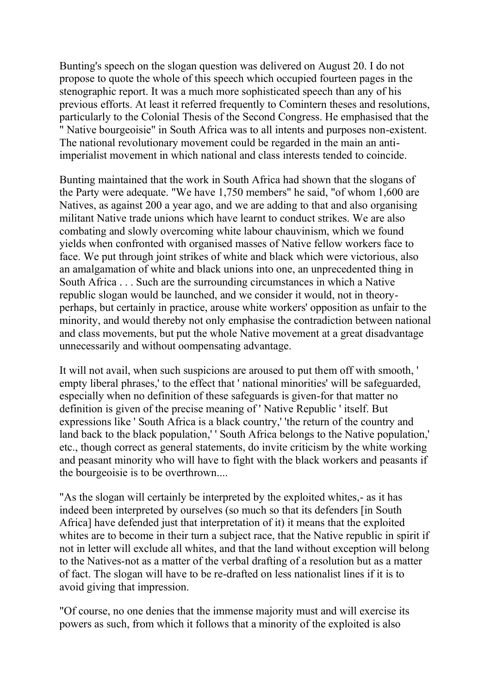Bunting's speech on the slogan question was delivered on August 20. I do not propose to quote the whole of this speech which occupied fourteen pages in the stenographic report. It was a much more sophisticated speech than any of his previous efforts. At least it referred frequently to Comintern theses and resolutions, particularly to the Colonial Thesis of the Second Congress. He emphasised that the " Native bourgeoisie" in South Africa was to all intents and purposes non-existent. The national revolutionary movement could be regarded in the main an antiimperialist movement in which national and class interests tended to coincide.

Bunting maintained that the work in South Africa had shown that the slogans of the Party were adequate. "We have 1,750 members" he said, "of whom 1,600 are Natives, as against 200 a year ago, and we are adding to that and also organising militant Native trade unions which have learnt to conduct strikes. We are also combating and slowly overcoming white labour chauvinism, which we found yields when confronted with organised masses of Native fellow workers face to face. We put through joint strikes of white and black which were victorious, also an amalgamation of white and black unions into one, an unprecedented thing in South Africa . . . Such are the surrounding circumstances in which a Native republic slogan would be launched, and we consider it would, not in theoryperhaps, but certainly in practice, arouse white workers' opposition as unfair to the minority, and would thereby not only emphasise the contradiction between national and class movements, but put the whole Native movement at a great disadvantage unnecessarily and without oompensating advantage.

It will not avail, when such suspicions are aroused to put them off with smooth, ' empty liberal phrases,' to the effect that ' national minorities' will be safeguarded, especially when no definition of these safeguards is given-for that matter no definition is given of the precise meaning of ' Native Republic ' itself. But expressions like ' South Africa is a black country,' 'the return of the country and land back to the black population,' ' South Africa belongs to the Native population,' etc., though correct as general statements, do invite criticism by the white working and peasant minority who will have to fight with the black workers and peasants if the bourgeoisie is to be overthrown....

"As the slogan will certainly be interpreted by the exploited whites,- as it has indeed been interpreted by ourselves (so much so that its defenders [in South Africa] have defended just that interpretation of it) it means that the exploited whites are to become in their turn a subject race, that the Native republic in spirit if not in letter will exclude all whites, and that the land without exception will belong to the Natives-not as a matter of the verbal drafting of a resolution but as a matter of fact. The slogan will have to be re-drafted on less nationalist lines if it is to avoid giving that impression.

"Of course, no one denies that the immense majority must and will exercise its powers as such, from which it follows that a minority of the exploited is also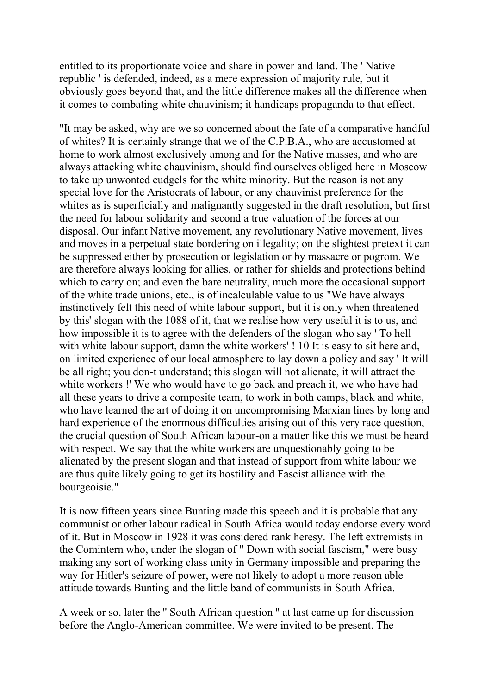entitled to its proportionate voice and share in power and land. The ' Native republic ' is defended, indeed, as a mere expression of majority rule, but it obviously goes beyond that, and the little difference makes all the difference when it comes to combating white chauvinism; it handicaps propaganda to that effect.

"It may be asked, why are we so concerned about the fate of a comparative handful of whites? It is certainly strange that we of the C.P.B.A., who are accustomed at home to work almost exclusively among and for the Native masses, and who are always attacking white chauvinism, should find ourselves obliged here in Moscow to take up unwonted cudgels for the white minority. But the reason is not any special love for the Aristocrats of labour, or any chauvinist preference for the whites as is superficially and malignantly suggested in the draft resolution, but first the need for labour solidarity and second a true valuation of the forces at our disposal. Our infant Native movement, any revolutionary Native movement, lives and moves in a perpetual state bordering on illegality; on the slightest pretext it can be suppressed either by prosecution or legislation or by massacre or pogrom. We are therefore always looking for allies, or rather for shields and protections behind which to carry on; and even the bare neutrality, much more the occasional support of the white trade unions, etc., is of incalculable value to us "We have always instinctively felt this need of white labour support, but it is only when threatened by this' slogan with the 1088 of it, that we realise how very useful it is to us, and how impossible it is to agree with the defenders of the slogan who say ' To hell with white labour support, damn the white workers' ! 10 It is easy to sit here and, on limited experience of our local atmosphere to lay down a policy and say ' It will be all right; you don-t understand; this slogan will not alienate, it will attract the white workers !' We who would have to go back and preach it, we who have had all these years to drive a composite team, to work in both camps, black and white, who have learned the art of doing it on uncompromising Marxian lines by long and hard experience of the enormous difficulties arising out of this very race question, the crucial question of South African labour-on a matter like this we must be heard with respect. We say that the white workers are unquestionably going to be alienated by the present slogan and that instead of support from white labour we are thus quite likely going to get its hostility and Fascist alliance with the bourgeoisie."

It is now fifteen years since Bunting made this speech and it is probable that any communist or other labour radical in South Africa would today endorse every word of it. But in Moscow in 1928 it was considered rank heresy. The left extremists in the Comintern who, under the slogan of " Down with social fascism," were busy making any sort of working class unity in Germany impossible and preparing the way for Hitler's seizure of power, were not likely to adopt a more reason able attitude towards Bunting and the little band of communists in South Africa.

A week or so. later the '' South African question '' at last came up for discussion before the Anglo-American committee. We were invited to be present. The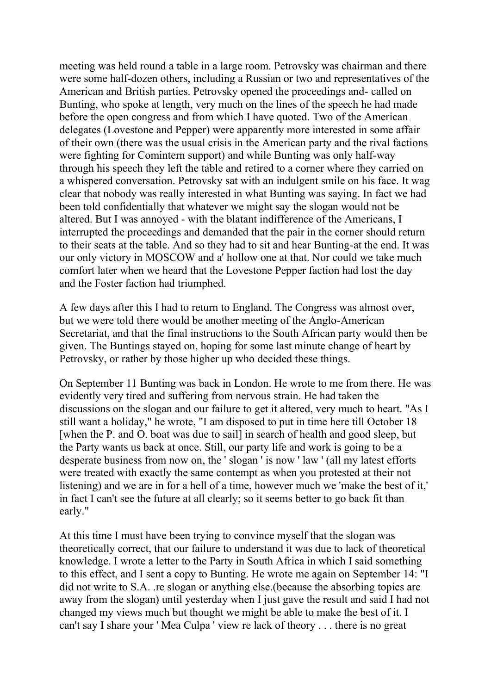meeting was held round a table in a large room. Petrovsky was chairman and there were some half-dozen others, including a Russian or two and representatives of the American and British parties. Petrovsky opened the proceedings and- called on Bunting, who spoke at length, very much on the lines of the speech he had made before the open congress and from which I have quoted. Two of the American delegates (Lovestone and Pepper) were apparently more interested in some affair of their own (there was the usual crisis in the American party and the rival factions were fighting for Comintern support) and while Bunting was only half-way through his speech they left the table and retired to a corner where they carried on a whispered conversation. Petrovsky sat with an indulgent smile on his face. It wag clear that nobody was really interested in what Bunting was saying. In fact we had been told confidentially that whatever we might say the slogan would not be altered. But I was annoyed - with the blatant indifference of the Americans, I interrupted the proceedings and demanded that the pair in the corner should return to their seats at the table. And so they had to sit and hear Bunting-at the end. It was our only victory in MOSCOW and a' hollow one at that. Nor could we take much comfort later when we heard that the Lovestone Pepper faction had lost the day and the Foster faction had triumphed.

A few days after this I had to return to England. The Congress was almost over, but we were told there would be another meeting of the Anglo-American Secretariat, and that the final instructions to the South African party would then be given. The Buntings stayed on, hoping for some last minute change of heart by Petrovsky, or rather by those higher up who decided these things.

On September 11 Bunting was back in London. He wrote to me from there. He was evidently very tired and suffering from nervous strain. He had taken the discussions on the slogan and our failure to get it altered, very much to heart. "As I still want a holiday," he wrote, "I am disposed to put in time here till October 18 [when the P. and O. boat was due to sail] in search of health and good sleep, but the Party wants us back at once. Still, our party life and work is going to be a desperate business from now on, the ' slogan ' is now ' law ' (all my latest efforts were treated with exactly the same contempt as when you protested at their not listening) and we are in for a hell of a time, however much we 'make the best of it,' in fact I can't see the future at all clearly; so it seems better to go back fit than early."

At this time I must have been trying to convince myself that the slogan was theoretically correct, that our failure to understand it was due to lack of theoretical knowledge. I wrote a letter to the Party in South Africa in which I said something to this effect, and I sent a copy to Bunting. He wrote me again on September 14: "I did not write to S.A. .re slogan or anything else.(because the absorbing topics are away from the slogan) until yesterday when I just gave the result and said I had not changed my views much but thought we might be able to make the best of it. I can't say I share your ' Mea Culpa ' view re lack of theory . . . there is no great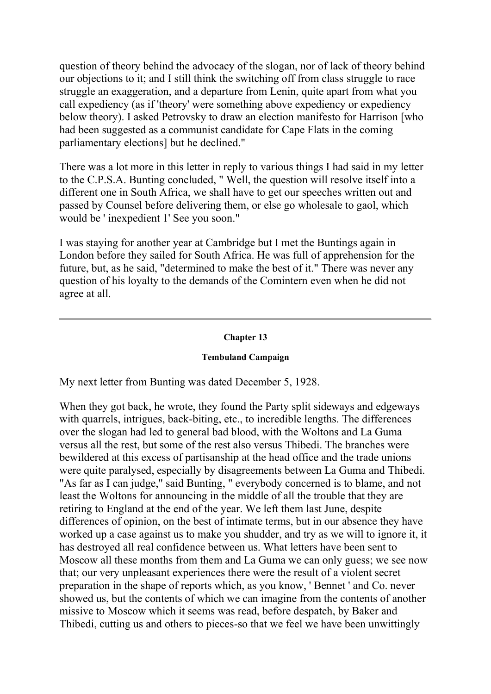question of theory behind the advocacy of the slogan, nor of lack of theory behind our objections to it; and I still think the switching off from class struggle to race struggle an exaggeration, and a departure from Lenin, quite apart from what you call expediency (as if 'theory' were something above expediency or expediency below theory). I asked Petrovsky to draw an election manifesto for Harrison [who had been suggested as a communist candidate for Cape Flats in the coming parliamentary elections] but he declined."

There was a lot more in this letter in reply to various things I had said in my letter to the C.P.S.A. Bunting concluded, " Well, the question will resolve itself into a different one in South Africa, we shall have to get our speeches written out and passed by Counsel before delivering them, or else go wholesale to gaol, which would be ' inexpedient 1' See you soon."

I was staying for another year at Cambridge but I met the Buntings again in London before they sailed for South Africa. He was full of apprehension for the future, but, as he said, "determined to make the best of it." There was never any question of his loyalty to the demands of the Comintern even when he did not agree at all.

# **Chapter 13**

## **Tembuland Campaign**

My next letter from Bunting was dated December 5, 1928.

When they got back, he wrote, they found the Party split sideways and edgeways with quarrels, intrigues, back-biting, etc., to incredible lengths. The differences over the slogan had led to general bad blood, with the Woltons and La Guma versus all the rest, but some of the rest also versus Thibedi. The branches were bewildered at this excess of partisanship at the head office and the trade unions were quite paralysed, especially by disagreements between La Guma and Thibedi. "As far as I can judge," said Bunting, " everybody concerned is to blame, and not least the Woltons for announcing in the middle of all the trouble that they are retiring to England at the end of the year. We left them last June, despite differences of opinion, on the best of intimate terms, but in our absence they have worked up a case against us to make you shudder, and try as we will to ignore it, it has destroyed all real confidence between us. What letters have been sent to Moscow all these months from them and La Guma we can only guess; we see now that; our very unpleasant experiences there were the result of a violent secret preparation in the shape of reports which, as you know, ' Bennet ' and Co. never showed us, but the contents of which we can imagine from the contents of another missive to Moscow which it seems was read, before despatch, by Baker and Thibedi, cutting us and others to pieces-so that we feel we have been unwittingly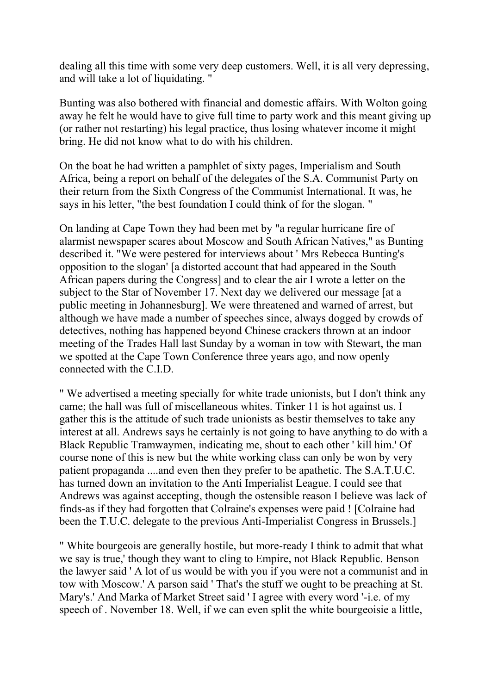dealing all this time with some very deep customers. Well, it is all very depressing, and will take a lot of liquidating. "

Bunting was also bothered with financial and domestic affairs. With Wolton going away he felt he would have to give full time to party work and this meant giving up (or rather not restarting) his legal practice, thus losing whatever income it might bring. He did not know what to do with his children.

On the boat he had written a pamphlet of sixty pages, Imperialism and South Africa, being a report on behalf of the delegates of the S.A. Communist Party on their return from the Sixth Congress of the Communist International. It was, he says in his letter, "the best foundation I could think of for the slogan. "

On landing at Cape Town they had been met by "a regular hurricane fire of alarmist newspaper scares about Moscow and South African Natives," as Bunting described it. "We were pestered for interviews about ' Mrs Rebecca Bunting's opposition to the slogan' [a distorted account that had appeared in the South African papers during the Congress] and to clear the air I wrote a letter on the subject to the Star of November 17. Next day we delivered our message [at a public meeting in Johannesburg]. We were threatened and warned of arrest, but although we have made a number of speeches since, always dogged by crowds of detectives, nothing has happened beyond Chinese crackers thrown at an indoor meeting of the Trades Hall last Sunday by a woman in tow with Stewart, the man we spotted at the Cape Town Conference three years ago, and now openly connected with the C.I.D.

" We advertised a meeting specially for white trade unionists, but I don't think any came; the hall was full of miscellaneous whites. Tinker 11 is hot against us. I gather this is the attitude of such trade unionists as bestir themselves to take any interest at all. Andrews says he certainly is not going to have anything to do with a Black Republic Tramwaymen, indicating me, shout to each other ' kill him.' Of course none of this is new but the white working class can only be won by very patient propaganda ....and even then they prefer to be apathetic. The S.A.T.U.C. has turned down an invitation to the Anti Imperialist League. I could see that Andrews was against accepting, though the ostensible reason I believe was lack of finds-as if they had forgotten that Colraine's expenses were paid ! [Colraine had been the T.U.C. delegate to the previous Anti-Imperialist Congress in Brussels.]

" White bourgeois are generally hostile, but more-ready I think to admit that what we say is true,' though they want to cling to Empire, not Black Republic. Benson the lawyer said ' A lot of us would be with you if you were not a communist and in tow with Moscow.' A parson said ' That's the stuff we ought to be preaching at St. Mary's.' And Marka of Market Street said ' I agree with every word '-i.e. of my speech of . November 18. Well, if we can even split the white bourgeoisie a little,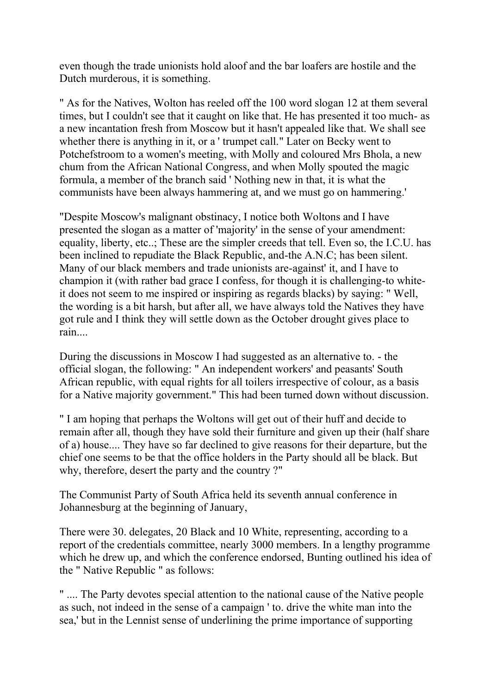even though the trade unionists hold aloof and the bar loafers are hostile and the Dutch murderous, it is something.

" As for the Natives, Wolton has reeled off the 100 word slogan 12 at them several times, but I couldn't see that it caught on like that. He has presented it too much- as a new incantation fresh from Moscow but it hasn't appealed like that. We shall see whether there is anything in it, or a ' trumpet call." Later on Becky went to Potchefstroom to a women's meeting, with Molly and coloured Mrs Bhola, a new chum from the African National Congress, and when Molly spouted the magic formula, a member of the branch said ' Nothing new in that, it is what the communists have been always hammering at, and we must go on hammering.'

"Despite Moscow's malignant obstinacy, I notice both Woltons and I have presented the slogan as a matter of 'majority' in the sense of your amendment: equality, liberty, etc..; These are the simpler creeds that tell. Even so, the I.C.U. has been inclined to repudiate the Black Republic, and-the A.N.C; has been silent. Many of our black members and trade unionists are-against' it, and I have to champion it (with rather bad grace I confess, for though it is challenging-to whiteit does not seem to me inspired or inspiring as regards blacks) by saying: " Well, the wording is a bit harsh, but after all, we have always told the Natives they have got rule and I think they will settle down as the October drought gives place to rain....

During the discussions in Moscow I had suggested as an alternative to. - the official slogan, the following: " An independent workers' and peasants' South African republic, with equal rights for all toilers irrespective of colour, as a basis for a Native majority government." This had been turned down without discussion.

" I am hoping that perhaps the Woltons will get out of their huff and decide to remain after all, though they have sold their furniture and given up their (half share of a) house.... They have so far declined to give reasons for their departure, but the chief one seems to be that the office holders in the Party should all be black. But why, therefore, desert the party and the country ?"

The Communist Party of South Africa held its seventh annual conference in Johannesburg at the beginning of January,

There were 30. delegates, 20 Black and 10 White, representing, according to a report of the credentials committee, nearly 3000 members. In a lengthy programme which he drew up, and which the conference endorsed, Bunting outlined his idea of the " Native Republic " as follows:

" .... The Party devotes special attention to the national cause of the Native people as such, not indeed in the sense of a campaign ' to. drive the white man into the sea,' but in the Lennist sense of underlining the prime importance of supporting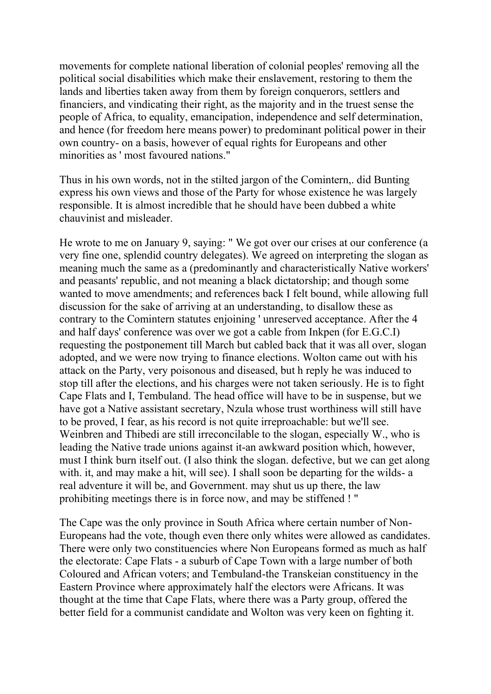movements for complete national liberation of colonial peoples' removing all the political social disabilities which make their enslavement, restoring to them the lands and liberties taken away from them by foreign conquerors, settlers and financiers, and vindicating their right, as the majority and in the truest sense the people of Africa, to equality, emancipation, independence and self determination, and hence (for freedom here means power) to predominant political power in their own country- on a basis, however of equal rights for Europeans and other minorities as ' most favoured nations."

Thus in his own words, not in the stilted jargon of the Comintern,. did Bunting express his own views and those of the Party for whose existence he was largely responsible. It is almost incredible that he should have been dubbed a white chauvinist and misleader.

He wrote to me on January 9, saying: " We got over our crises at our conference (a very fine one, splendid country delegates). We agreed on interpreting the slogan as meaning much the same as a (predominantly and characteristically Native workers' and peasants' republic, and not meaning a black dictatorship; and though some wanted to move amendments; and references back I felt bound, while allowing full discussion for the sake of arriving at an understanding, to disallow these as contrary to the Comintern statutes enjoining ' unreserved acceptance. After the 4 and half days' conference was over we got a cable from Inkpen (for E.G.C.I) requesting the postponement till March but cabled back that it was all over, slogan adopted, and we were now trying to finance elections. Wolton came out with his attack on the Party, very poisonous and diseased, but h reply he was induced to stop till after the elections, and his charges were not taken seriously. He is to fight Cape Flats and I, Tembuland. The head office will have to be in suspense, but we have got a Native assistant secretary, Nzula whose trust worthiness will still have to be proved, I fear, as his record is not quite irreproachable: but we'll see. Weinbren and Thibedi are still irreconcilable to the slogan, especially W., who is leading the Native trade unions against it-an awkward position which, however, must I think burn itself out. (I also think the slogan. defective, but we can get along with. it, and may make a hit, will see). I shall soon be departing for the wilds- a real adventure it will be, and Government. may shut us up there, the law prohibiting meetings there is in force now, and may be stiffened ! "

The Cape was the only province in South Africa where certain number of Non-Europeans had the vote, though even there only whites were allowed as candidates. There were only two constituencies where Non Europeans formed as much as half the electorate: Cape Flats - a suburb of Cape Town with a large number of both Coloured and African voters; and Tembuland-the Transkeian constituency in the Eastern Province where approximately half the electors were Africans. It was thought at the time that Cape Flats, where there was a Party group, offered the better field for a communist candidate and Wolton was very keen on fighting it.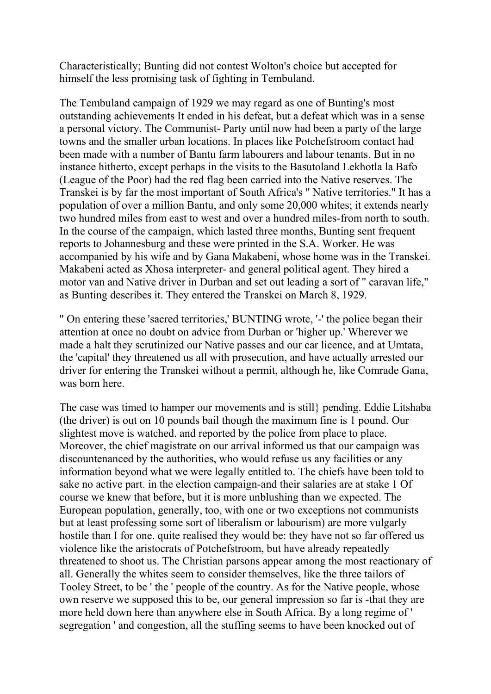Characteristically; Bunting did not contest Wolton's choice but accepted for himself the less promising task of fighting in Tembuland.

The Tembuland campaign of 1929 we may regard as one of Bunting's most outstanding achievements It ended in his defeat, but a defeat which was in a sense a personal victory. The Communist- Party until now had been a party of the large towns and the smaller urban locations. In places like Potchefstroom contact had been made with a number of Bantu farm labourers and labour tenants. But in no instance hitherto, except perhaps in the visits to the Basutoland Lekhotla la Bafo (League of the Poor) had the red flag been carried into the Native reserves. The Transkei is by far the most important of South Africa's " Native territories." It has a population of over a million Bantu, and only some 20,000 whites; it extends nearly two hundred miles from east to west and over a hundred miles-from north to south. In the course of the campaign, which lasted three months, Bunting sent frequent reports to Johannesburg and these were printed in the S.A. Worker. He was accompanied by his wife and by Gana Makabeni, whose home was in the Transkei. Makabeni acted as Xhosa interpreter- and general political agent. They hired a motor van and Native driver in Durban and set out leading a sort of " caravan life," as Bunting describes it. They entered the Transkei on March 8, 1929.

" On entering these 'sacred territories,' BUNTING wrote, '-' the police began their attention at once no doubt on advice from Durban or 'higher up.' Wherever we made a halt they scrutinized our Native passes and our car licence, and at Umtata, the 'capital' they threatened us all with prosecution, and have actually arrested our driver for entering the Transkei without a permit, although he, like Comrade Gana, was born here.

The case was timed to hamper our movements and is still} pending. Eddie Litshaba (the driver) is out on 10 pounds bail though the maximum fine is 1 pound. Our slightest move is watched. and reported by the police from place to place. Moreover, the chief magistrate on our arrival informed us that our campaign was discountenanced by the authorities, who would refuse us any facilities or any information beyond what we were legally entitled to. The chiefs have been told to sake no active part. in the election campaign-and their salaries are at stake 1 Of course we knew that before, but it is more unblushing than we expected. The European population, generally, too, with one or two exceptions not communists but at least professing some sort of liberalism or labourism) are more vulgarly hostile than I for one. quite realised they would be: they have not so far offered us violence like the aristocrats of Potchefstroom, but have already repeatedly threatened to shoot us. The Christian parsons appear among the most reactionary of all. Generally the whites seem to consider themselves, like the three tailors of Tooley Street, to be ' the ' people of the country. As for the Native people, whose own reserve we supposed this to be, our general impression so far is -that they are more held down here than anywhere else in South Africa. By a long regime of ' segregation ' and congestion, all the stuffing seems to have been knocked out of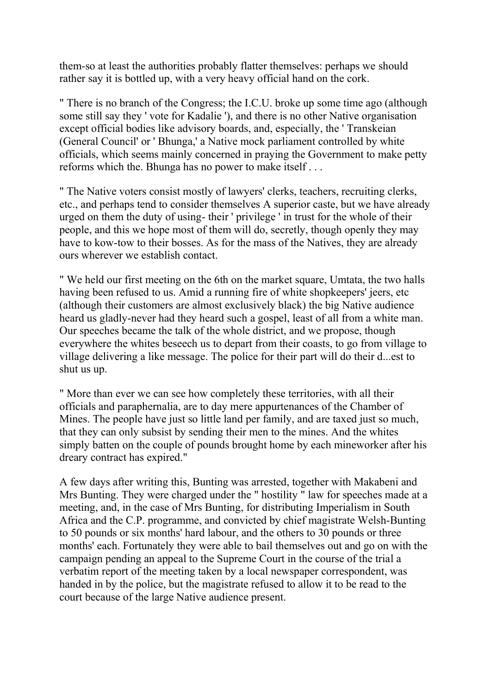them-so at least the authorities probably flatter themselves: perhaps we should rather say it is bottled up, with a very heavy official hand on the cork.

" There is no branch of the Congress; the I.C.U. broke up some time ago (although some still say they ' vote for Kadalie '), and there is no other Native organisation except official bodies like advisory boards, and, especially, the ' Transkeian (General Council' or ' Bhunga,' a Native mock parliament controlled by white officials, which seems mainly concerned in praying the Government to make petty reforms which the. Bhunga has no power to make itself . . .

" The Native voters consist mostly of lawyers' clerks, teachers, recruiting clerks, etc., and perhaps tend to consider themselves A superior caste, but we have already urged on them the duty of using- their ' privilege ' in trust for the whole of their people, and this we hope most of them will do, secretly, though openly they may have to kow-tow to their bosses. As for the mass of the Natives, they are already ours wherever we establish contact.

" We held our first meeting on the 6th on the market square, Umtata, the two halls having been refused to us. Amid a running fire of white shopkeepers' jeers, etc (although their customers are almost exclusively black) the big Native audience heard us gladly-never had they heard such a gospel, least of all from a white man. Our speeches became the talk of the whole district, and we propose, though everywhere the whites beseech us to depart from their coasts, to go from village to village delivering a like message. The police for their part will do their d...est to shut us up.

" More than ever we can see how completely these territories, with all their officials and paraphernalia, are to day mere appurtenances of the Chamber of Mines. The people have just so little land per family, and are taxed just so much, that they can only subsist by sending their men to the mines. And the whites simply batten on the couple of pounds brought home by each mineworker after his dreary contract has expired."

A few days after writing this, Bunting was arrested, together with Makabeni and Mrs Bunting. They were charged under the " hostility " law for speeches made at a meeting, and, in the case of Mrs Bunting, for distributing Imperialism in South Africa and the C.P. programme, and convicted by chief magistrate Welsh-Bunting to 50 pounds or six months' hard labour, and the others to 30 pounds or three months' each. Fortunately they were able to bail themselves out and go on with the campaign pending an appeal to the Supreme Court in the course of the trial a verbatim report of the meeting taken by a local newspaper correspondent, was handed in by the police, but the magistrate refused to allow it to be read to the court because of the large Native audience present.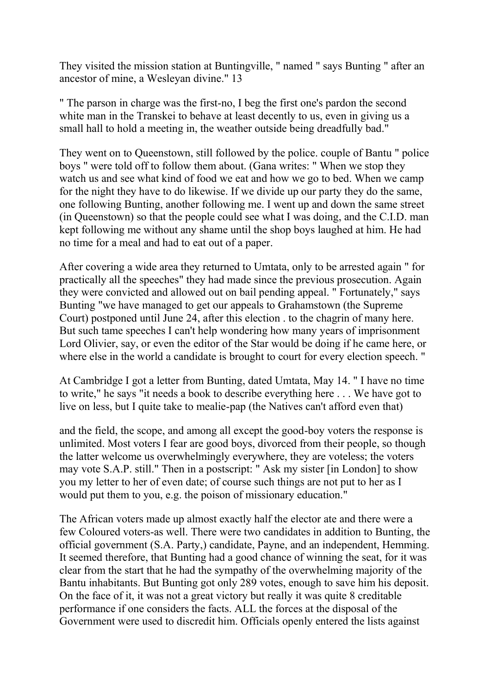They visited the mission station at Buntingville, " named " says Bunting " after an ancestor of mine, a Wesleyan divine." 13

" The parson in charge was the first-no, I beg the first one's pardon the second white man in the Transkei to behave at least decently to us, even in giving us a small hall to hold a meeting in, the weather outside being dreadfully bad."

They went on to Queenstown, still followed by the police. couple of Bantu " police boys " were told off to follow them about. (Gana writes: " When we stop they watch us and see what kind of food we eat and how we go to bed. When we camp for the night they have to do likewise. If we divide up our party they do the same, one following Bunting, another following me. I went up and down the same street (in Queenstown) so that the people could see what I was doing, and the C.I.D. man kept following me without any shame until the shop boys laughed at him. He had no time for a meal and had to eat out of a paper.

After covering a wide area they returned to Umtata, only to be arrested again " for practically all the speeches" they had made since the previous prosecution. Again they were convicted and allowed out on bail pending appeal. " Fortunately," says Bunting "we have managed to get our appeals to Grahamstown (the Supreme Court) postponed until June 24, after this election . to the chagrin of many here. But such tame speeches I can't help wondering how many years of imprisonment Lord Olivier, say, or even the editor of the Star would be doing if he came here, or where else in the world a candidate is brought to court for every election speech. "

At Cambridge I got a letter from Bunting, dated Umtata, May 14. " I have no time to write," he says "it needs a book to describe everything here . . . We have got to live on less, but I quite take to mealie-pap (the Natives can't afford even that)

and the field, the scope, and among all except the good-boy voters the response is unlimited. Most voters I fear are good boys, divorced from their people, so though the latter welcome us overwhelmingly everywhere, they are voteless; the voters may vote S.A.P. still." Then in a postscript: " Ask my sister [in London] to show you my letter to her of even date; of course such things are not put to her as I would put them to you, e.g. the poison of missionary education."

The African voters made up almost exactly half the elector ate and there were a few Coloured voters-as well. There were two candidates in addition to Bunting, the official government (S.A. Party,) candidate, Payne, and an independent, Hemming. It seemed therefore, that Bunting had a good chance of winning the seat, for it was clear from the start that he had the sympathy of the overwhelming majority of the Bantu inhabitants. But Bunting got only 289 votes, enough to save him his deposit. On the face of it, it was not a great victory but really it was quite 8 creditable performance if one considers the facts. ALL the forces at the disposal of the Government were used to discredit him. Officials openly entered the lists against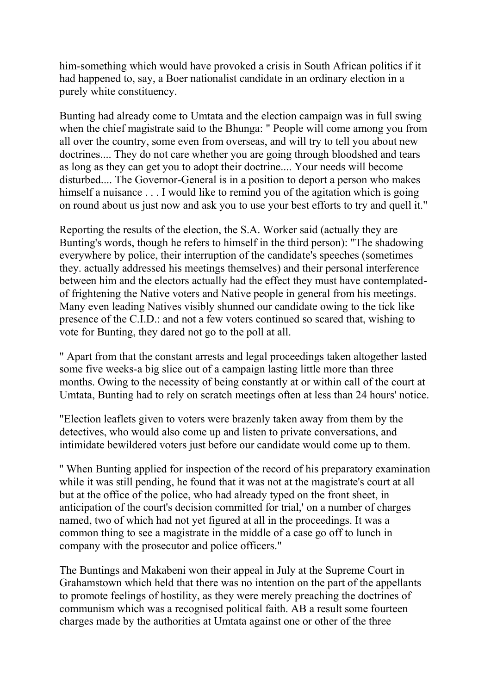him-something which would have provoked a crisis in South African politics if it had happened to, say, a Boer nationalist candidate in an ordinary election in a purely white constituency.

Bunting had already come to Umtata and the election campaign was in full swing when the chief magistrate said to the Bhunga: " People will come among you from all over the country, some even from overseas, and will try to tell you about new doctrines.... They do not care whether you are going through bloodshed and tears as long as they can get you to adopt their doctrine.... Your needs will become disturbed.... The Governor-General is in a position to deport a person who makes himself a nuisance . . . I would like to remind you of the agitation which is going on round about us just now and ask you to use your best efforts to try and quell it."

Reporting the results of the election, the S.A. Worker said (actually they are Bunting's words, though he refers to himself in the third person): "The shadowing everywhere by police, their interruption of the candidate's speeches (sometimes they. actually addressed his meetings themselves) and their personal interference between him and the electors actually had the effect they must have contemplatedof frightening the Native voters and Native people in general from his meetings. Many even leading Natives visibly shunned our candidate owing to the tick like presence of the C.I.D.: and not a few voters continued so scared that, wishing to vote for Bunting, they dared not go to the poll at all.

" Apart from that the constant arrests and legal proceedings taken altogether lasted some five weeks-a big slice out of a campaign lasting little more than three months. Owing to the necessity of being constantly at or within call of the court at Umtata, Bunting had to rely on scratch meetings often at less than 24 hours' notice.

"Election leaflets given to voters were brazenly taken away from them by the detectives, who would also come up and listen to private conversations, and intimidate bewildered voters just before our candidate would come up to them.

'' When Bunting applied for inspection of the record of his preparatory examination while it was still pending, he found that it was not at the magistrate's court at all but at the office of the police, who had already typed on the front sheet, in anticipation of the court's decision committed for trial,' on a number of charges named, two of which had not yet figured at all in the proceedings. It was a common thing to see a magistrate in the middle of a case go off to lunch in company with the prosecutor and police officers."

The Buntings and Makabeni won their appeal in July at the Supreme Court in Grahamstown which held that there was no intention on the part of the appellants to promote feelings of hostility, as they were merely preaching the doctrines of communism which was a recognised political faith. AB a result some fourteen charges made by the authorities at Umtata against one or other of the three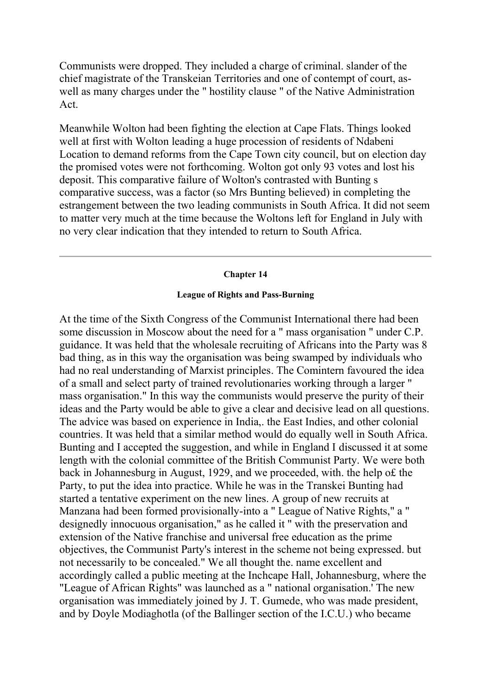Communists were dropped. They included a charge of criminal. slander of the chief magistrate of the Transkeian Territories and one of contempt of court, aswell as many charges under the " hostility clause " of the Native Administration Act.

Meanwhile Wolton had been fighting the election at Cape Flats. Things looked well at first with Wolton leading a huge procession of residents of Ndabeni Location to demand reforms from the Cape Town city council, but on election day the promised votes were not forthcoming. Wolton got only 93 votes and lost his deposit. This comparative failure of Wolton's contrasted with Bunting s comparative success, was a factor (so Mrs Bunting believed) in completing the estrangement between the two leading communists in South Africa. It did not seem to matter very much at the time because the Woltons left for England in July with no very clear indication that they intended to return to South Africa.

#### **Chapter 14**

# **League of Rights and Pass-Burning**

At the time of the Sixth Congress of the Communist International there had been some discussion in Moscow about the need for a " mass organisation " under C.P. guidance. It was held that the wholesale recruiting of Africans into the Party was 8 bad thing, as in this way the organisation was being swamped by individuals who had no real understanding of Marxist principles. The Comintern favoured the idea of a small and select party of trained revolutionaries working through a larger " mass organisation." In this way the communists would preserve the purity of their ideas and the Party would be able to give a clear and decisive lead on all questions. The advice was based on experience in India,. the East Indies, and other colonial countries. It was held that a similar method would do equally well in South Africa. Bunting and I accepted the suggestion, and while in England I discussed it at some length with the colonial committee of the British Communist Party. We were both back in Johannesburg in August, 1929, and we proceeded, with. the help o£ the Party, to put the idea into practice. While he was in the Transkei Bunting had started a tentative experiment on the new lines. A group of new recruits at Manzana had been formed provisionally-into a " League of Native Rights," a " designedly innocuous organisation," as he called it " with the preservation and extension of the Native franchise and universal free education as the prime objectives, the Communist Party's interest in the scheme not being expressed. but not necessarily to be concealed." We all thought the. name excellent and accordingly called a public meeting at the Inchcape Hall, Johannesburg, where the "League of African Rights" was launched as a " national organisation.' The new organisation was immediately joined by J. T. Gumede, who was made president, and by Doyle Modiaghotla (of the Ballinger section of the I.C.U.) who became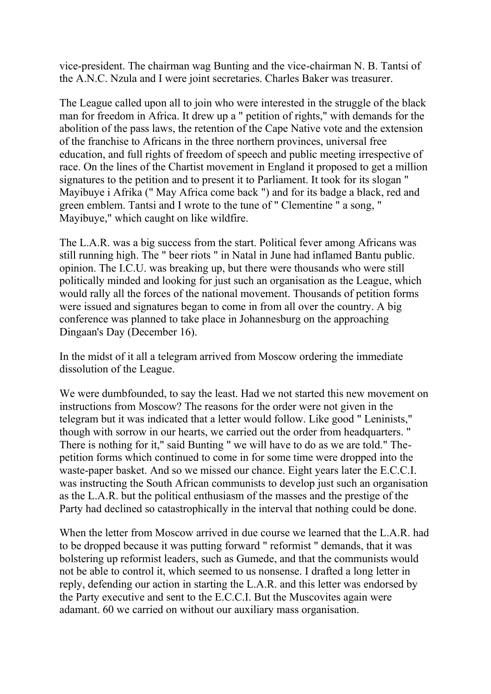vice-president. The chairman wag Bunting and the vice-chairman N. B. Tantsi of the A.N.C. Nzula and I were joint secretaries. Charles Baker was treasurer.

The League called upon all to join who were interested in the struggle of the black man for freedom in Africa. It drew up a " petition of rights," with demands for the abolition of the pass laws, the retention of the Cape Native vote and the extension of the franchise to Africans in the three northern provinces, universal free education, and full rights of freedom of speech and public meeting irrespective of race. On the lines of the Chartist movement in England it proposed to get a million signatures to the petition and to present it to Parliament. It took for its slogan " Mayibuye i Afrika (" May Africa come back ") and for its badge a black, red and green emblem. Tantsi and I wrote to the tune of " Clementine " a song, " Mayibuye," which caught on like wildfire.

The L.A.R. was a big success from the start. Political fever among Africans was still running high. The " beer riots " in Natal in June had inflamed Bantu public. opinion. The I.C.U. was breaking up, but there were thousands who were still politically minded and looking for just such an organisation as the League, which would rally all the forces of the national movement. Thousands of petition forms were issued and signatures began to come in from all over the country. A big conference was planned to take place in Johannesburg on the approaching Dingaan's Day (December 16).

In the midst of it all a telegram arrived from Moscow ordering the immediate dissolution of the League.

We were dumbfounded, to say the least. Had we not started this new movement on instructions from Moscow? The reasons for the order were not given in the telegram but it was indicated that a letter would follow. Like good " Leninists," though with sorrow in our hearts, we carried out the order from headquarters. " There is nothing for it," said Bunting " we will have to do as we are told." Thepetition forms which continued to come in for some time were dropped into the waste-paper basket. And so we missed our chance. Eight years later the E.C.C.I. was instructing the South African communists to develop just such an organisation as the L.A.R. but the political enthusiasm of the masses and the prestige of the Party had declined so catastrophically in the interval that nothing could be done.

When the letter from Moscow arrived in due course we learned that the L.A.R. had to be dropped because it was putting forward " reformist " demands, that it was bolstering up reformist leaders, such as Gumede, and that the communists would not be able to control it, which seemed to us nonsense. I drafted a long letter in reply, defending our action in starting the L.A.R. and this letter was endorsed by the Party executive and sent to the E.C.C.I. But the Muscovites again were adamant. 60 we carried on without our auxiliary mass organisation.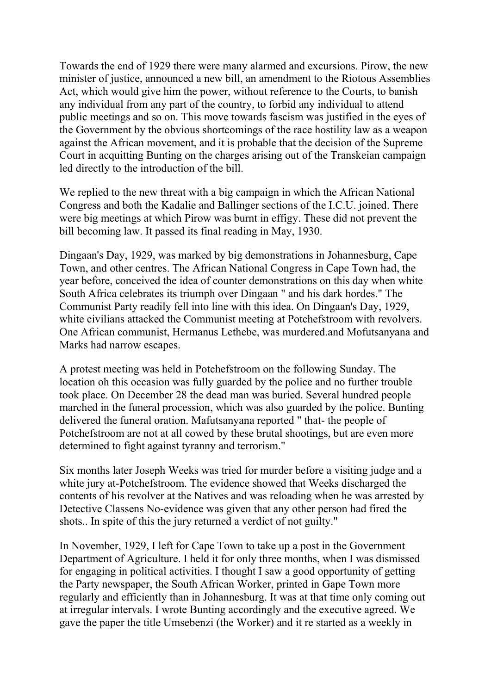Towards the end of 1929 there were many alarmed and excursions. Pirow, the new minister of justice, announced a new bill, an amendment to the Riotous Assemblies Act, which would give him the power, without reference to the Courts, to banish any individual from any part of the country, to forbid any individual to attend public meetings and so on. This move towards fascism was justified in the eyes of the Government by the obvious shortcomings of the race hostility law as a weapon against the African movement, and it is probable that the decision of the Supreme Court in acquitting Bunting on the charges arising out of the Transkeian campaign led directly to the introduction of the bill.

We replied to the new threat with a big campaign in which the African National Congress and both the Kadalie and Ballinger sections of the I.C.U. joined. There were big meetings at which Pirow was burnt in effigy. These did not prevent the bill becoming law. It passed its final reading in May, 1930.

Dingaan's Day, 1929, was marked by big demonstrations in Johannesburg, Cape Town, and other centres. The African National Congress in Cape Town had, the year before, conceived the idea of counter demonstrations on this day when white South Africa celebrates its triumph over Dingaan " and his dark hordes." The Communist Party readily fell into line with this idea. On Dingaan's Day, 1929, white civilians attacked the Communist meeting at Potchefstroom with revolvers. One African communist, Hermanus Lethebe, was murdered.and Mofutsanyana and Marks had narrow escapes.

A protest meeting was held in Potchefstroom on the following Sunday. The location oh this occasion was fully guarded by the police and no further trouble took place. On December 28 the dead man was buried. Several hundred people marched in the funeral procession, which was also guarded by the police. Bunting delivered the funeral oration. Mafutsanyana reported " that- the people of Potchefstroom are not at all cowed by these brutal shootings, but are even more determined to fight against tyranny and terrorism."

Six months later Joseph Weeks was tried for murder before a visiting judge and a white jury at-Potchefstroom. The evidence showed that Weeks discharged the contents of his revolver at the Natives and was reloading when he was arrested by Detective Classens No-evidence was given that any other person had fired the shots.. In spite of this the jury returned a verdict of not guilty."

In November, 1929, I left for Cape Town to take up a post in the Government Department of Agriculture. I held it for only three months, when I was dismissed for engaging in political activities. I thought I saw a good opportunity of getting the Party newspaper, the South African Worker, printed in Gape Town more regularly and efficiently than in Johannesburg. It was at that time only coming out at irregular intervals. I wrote Bunting accordingly and the executive agreed. We gave the paper the title Umsebenzi (the Worker) and it re started as a weekly in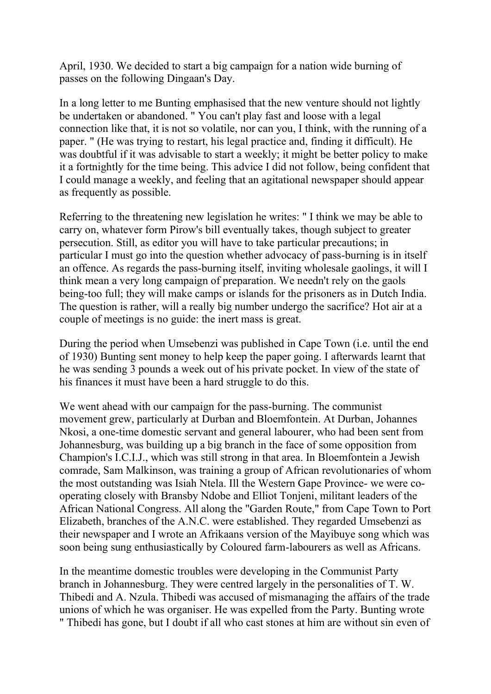April, 1930. We decided to start a big campaign for a nation wide burning of passes on the following Dingaan's Day.

In a long letter to me Bunting emphasised that the new venture should not lightly be undertaken or abandoned. " You can't play fast and loose with a legal connection like that, it is not so volatile, nor can you, I think, with the running of a paper. " (He was trying to restart, his legal practice and, finding it difficult). He was doubtful if it was advisable to start a weekly; it might be better policy to make it a fortnightly for the time being. This advice I did not follow, being confident that I could manage a weekly, and feeling that an agitational newspaper should appear as frequently as possible.

Referring to the threatening new legislation he writes: " I think we may be able to carry on, whatever form Pirow's bill eventually takes, though subject to greater persecution. Still, as editor you will have to take particular precautions; in particular I must go into the question whether advocacy of pass-burning is in itself an offence. As regards the pass-burning itself, inviting wholesale gaolings, it will I think mean a very long campaign of preparation. We needn't rely on the gaols being-too full; they will make camps or islands for the prisoners as in Dutch India. The question is rather, will a really big number undergo the sacrifice? Hot air at a couple of meetings is no guide: the inert mass is great.

During the period when Umsebenzi was published in Cape Town (i.e. until the end of 1930) Bunting sent money to help keep the paper going. I afterwards learnt that he was sending 3 pounds a week out of his private pocket. In view of the state of his finances it must have been a hard struggle to do this.

We went ahead with our campaign for the pass-burning. The communist movement grew, particularly at Durban and Bloemfontein. At Durban, Johannes Nkosi, a one-time domestic servant and general labourer, who had been sent from Johannesburg, was building up a big branch in the face of some opposition from Champion's I.C.I.J., which was still strong in that area. In Bloemfontein a Jewish comrade, Sam Malkinson, was training a group of African revolutionaries of whom the most outstanding was Isiah Ntela. Ill the Western Gape Province- we were cooperating closely with Bransby Ndobe and Elliot Tonjeni, militant leaders of the African National Congress. All along the "Garden Route," from Cape Town to Port Elizabeth, branches of the A.N.C. were established. They regarded Umsebenzi as their newspaper and I wrote an Afrikaans version of the Mayibuye song which was soon being sung enthusiastically by Coloured farm-labourers as well as Africans.

In the meantime domestic troubles were developing in the Communist Party branch in Johannesburg. They were centred largely in the personalities of T. W. Thibedi and A. Nzula. Thibedi was accused of mismanaging the affairs of the trade unions of which he was organiser. He was expelled from the Party. Bunting wrote " Thibedi has gone, but I doubt if all who cast stones at him are without sin even of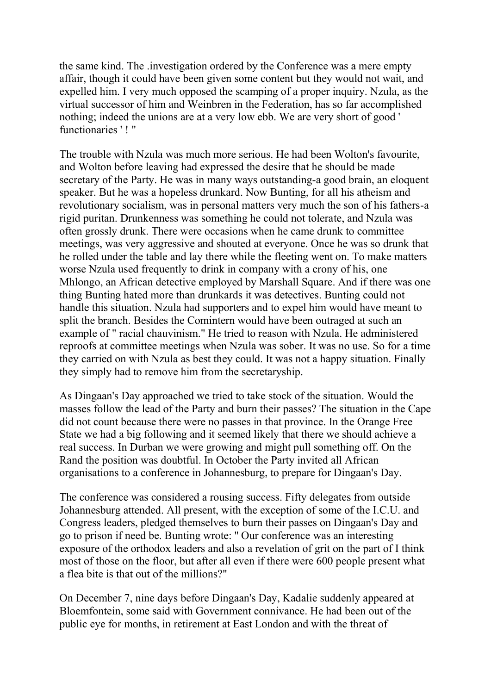the same kind. The .investigation ordered by the Conference was a mere empty affair, though it could have been given some content but they would not wait, and expelled him. I very much opposed the scamping of a proper inquiry. Nzula, as the virtual successor of him and Weinbren in the Federation, has so far accomplished nothing; indeed the unions are at a very low ebb. We are very short of good ' functionaries ' ! "

The trouble with Nzula was much more serious. He had been Wolton's favourite, and Wolton before leaving had expressed the desire that he should be made secretary of the Party. He was in many ways outstanding-a good brain, an eloquent speaker. But he was a hopeless drunkard. Now Bunting, for all his atheism and revolutionary socialism, was in personal matters very much the son of his fathers-a rigid puritan. Drunkenness was something he could not tolerate, and Nzula was often grossly drunk. There were occasions when he came drunk to committee meetings, was very aggressive and shouted at everyone. Once he was so drunk that he rolled under the table and lay there while the fleeting went on. To make matters worse Nzula used frequently to drink in company with a crony of his, one Mhlongo, an African detective employed by Marshall Square. And if there was one thing Bunting hated more than drunkards it was detectives. Bunting could not handle this situation. Nzula had supporters and to expel him would have meant to split the branch. Besides the Comintern would have been outraged at such an example of " racial chauvinism." He tried to reason with Nzula. He administered reproofs at committee meetings when Nzula was sober. It was no use. So for a time they carried on with Nzula as best they could. It was not a happy situation. Finally they simply had to remove him from the secretaryship.

As Dingaan's Day approached we tried to take stock of the situation. Would the masses follow the lead of the Party and burn their passes? The situation in the Cape did not count because there were no passes in that province. In the Orange Free State we had a big following and it seemed likely that there we should achieve a real success. In Durban we were growing and might pull something off. On the Rand the position was doubtful. In October the Party invited all African organisations to a conference in Johannesburg, to prepare for Dingaan's Day.

The conference was considered a rousing success. Fifty delegates from outside Johannesburg attended. All present, with the exception of some of the I.C.U. and Congress leaders, pledged themselves to burn their passes on Dingaan's Day and go to prison if need be. Bunting wrote: '' Our conference was an interesting exposure of the orthodox leaders and also a revelation of grit on the part of I think most of those on the floor, but after all even if there were 600 people present what a flea bite is that out of the millions?"

On December 7, nine days before Dingaan's Day, Kadalie suddenly appeared at Bloemfontein, some said with Government connivance. He had been out of the public eye for months, in retirement at East London and with the threat of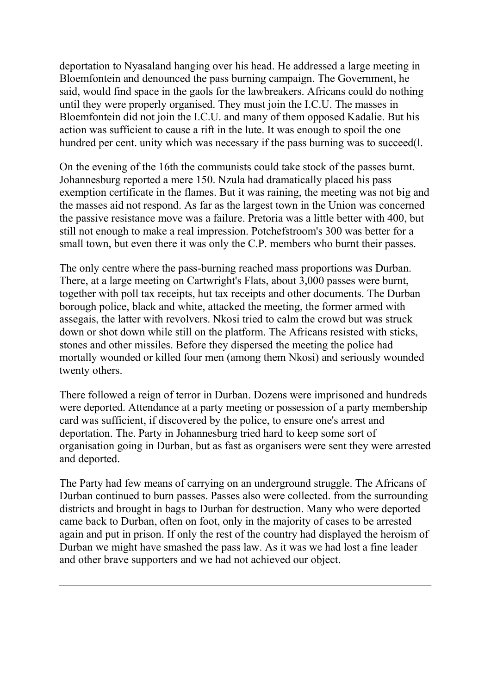deportation to Nyasaland hanging over his head. He addressed a large meeting in Bloemfontein and denounced the pass burning campaign. The Government, he said, would find space in the gaols for the lawbreakers. Africans could do nothing until they were properly organised. They must join the I.C.U. The masses in Bloemfontein did not join the I.C.U. and many of them opposed Kadalie. But his action was sufficient to cause a rift in the lute. It was enough to spoil the one hundred per cent. unity which was necessary if the pass burning was to succeed(l.

On the evening of the 16th the communists could take stock of the passes burnt. Johannesburg reported a mere 150. Nzula had dramatically placed his pass exemption certificate in the flames. But it was raining, the meeting was not big and the masses aid not respond. As far as the largest town in the Union was concerned the passive resistance move was a failure. Pretoria was a little better with 400, but still not enough to make a real impression. Potchefstroom's 300 was better for a small town, but even there it was only the C.P. members who burnt their passes.

The only centre where the pass-burning reached mass proportions was Durban. There, at a large meeting on Cartwright's Flats, about 3,000 passes were burnt, together with poll tax receipts, hut tax receipts and other documents. The Durban borough police, black and white, attacked the meeting, the former armed with assegais, the latter with revolvers. Nkosi tried to calm the crowd but was struck down or shot down while still on the platform. The Africans resisted with sticks, stones and other missiles. Before they dispersed the meeting the police had mortally wounded or killed four men (among them Nkosi) and seriously wounded twenty others.

There followed a reign of terror in Durban. Dozens were imprisoned and hundreds were deported. Attendance at a party meeting or possession of a party membership card was sufficient, if discovered by the police, to ensure one's arrest and deportation. The. Party in Johannesburg tried hard to keep some sort of organisation going in Durban, but as fast as organisers were sent they were arrested and deported.

The Party had few means of carrying on an underground struggle. The Africans of Durban continued to burn passes. Passes also were collected. from the surrounding districts and brought in bags to Durban for destruction. Many who were deported came back to Durban, often on foot, only in the majority of cases to be arrested again and put in prison. If only the rest of the country had displayed the heroism of Durban we might have smashed the pass law. As it was we had lost a fine leader and other brave supporters and we had not achieved our object.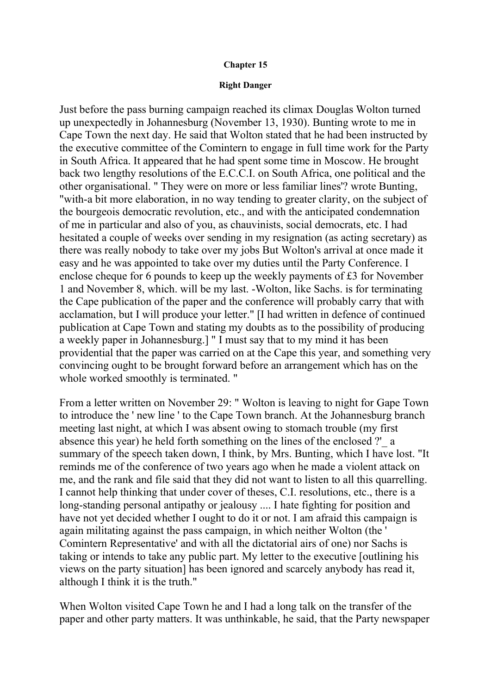### **Chapter 15**

#### **Right Danger**

Just before the pass burning campaign reached its climax Douglas Wolton turned up unexpectedly in Johannesburg (November 13, 1930). Bunting wrote to me in Cape Town the next day. He said that Wolton stated that he had been instructed by the executive committee of the Comintern to engage in full time work for the Party in South Africa. It appeared that he had spent some time in Moscow. He brought back two lengthy resolutions of the E.C.C.I. on South Africa, one political and the other organisational. " They were on more or less familiar lines'? wrote Bunting, "with-a bit more elaboration, in no way tending to greater clarity, on the subject of the bourgeois democratic revolution, etc., and with the anticipated condemnation of me in particular and also of you, as chauvinists, social democrats, etc. I had hesitated a couple of weeks over sending in my resignation (as acting secretary) as there was really nobody to take over my jobs But Wolton's arrival at once made it easy and he was appointed to take over my duties until the Party Conference. I enclose cheque for 6 pounds to keep up the weekly payments of £3 for November 1 and November 8, which. will be my last. -Wolton, like Sachs. is for terminating the Cape publication of the paper and the conference will probably carry that with acclamation, but I will produce your letter." [I had written in defence of continued publication at Cape Town and stating my doubts as to the possibility of producing a weekly paper in Johannesburg.] " I must say that to my mind it has been providential that the paper was carried on at the Cape this year, and something very convincing ought to be brought forward before an arrangement which has on the whole worked smoothly is terminated. "

From a letter written on November 29: " Wolton is leaving to night for Gape Town to introduce the ' new line ' to the Cape Town branch. At the Johannesburg branch meeting last night, at which I was absent owing to stomach trouble (my first absence this year) he held forth something on the lines of the enclosed ?'\_ a summary of the speech taken down, I think, by Mrs. Bunting, which I have lost. "It reminds me of the conference of two years ago when he made a violent attack on me, and the rank and file said that they did not want to listen to all this quarrelling. I cannot help thinking that under cover of theses, C.I. resolutions, etc., there is a long-standing personal antipathy or jealousy .... I hate fighting for position and have not yet decided whether I ought to do it or not. I am afraid this campaign is again militating against the pass campaign, in which neither Wolton (the ' Comintern Representative' and with all the dictatorial airs of one) nor Sachs is taking or intends to take any public part. My letter to the executive [outlining his views on the party situation] has been ignored and scarcely anybody has read it, although I think it is the truth."

When Wolton visited Cape Town he and I had a long talk on the transfer of the paper and other party matters. It was unthinkable, he said, that the Party newspaper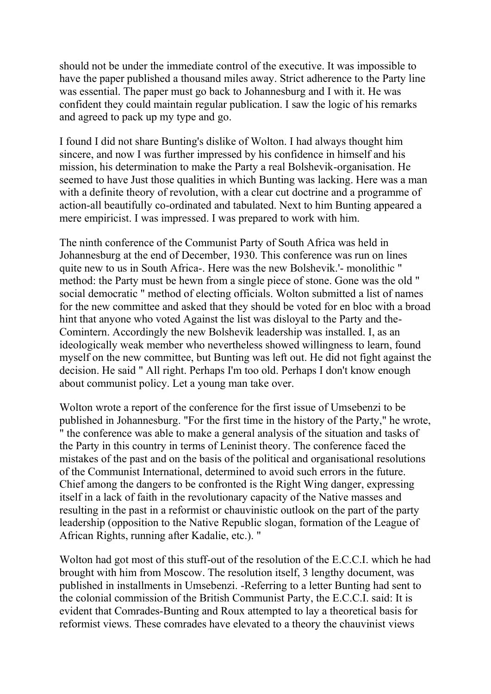should not be under the immediate control of the executive. It was impossible to have the paper published a thousand miles away. Strict adherence to the Party line was essential. The paper must go back to Johannesburg and I with it. He was confident they could maintain regular publication. I saw the logic of his remarks and agreed to pack up my type and go.

I found I did not share Bunting's dislike of Wolton. I had always thought him sincere, and now I was further impressed by his confidence in himself and his mission, his determination to make the Party a real Bolshevik-organisation. He seemed to have Just those qualities in which Bunting was lacking. Here was a man with a definite theory of revolution, with a clear cut doctrine and a programme of action-all beautifully co-ordinated and tabulated. Next to him Bunting appeared a mere empiricist. I was impressed. I was prepared to work with him.

The ninth conference of the Communist Party of South Africa was held in Johannesburg at the end of December, 1930. This conference was run on lines quite new to us in South Africa-. Here was the new Bolshevik.'- monolithic " method: the Party must be hewn from a single piece of stone. Gone was the old " social democratic " method of electing officials. Wolton submitted a list of names for the new committee and asked that they should be voted for en bloc with a broad hint that anyone who voted Against the list was disloyal to the Party and the-Comintern. Accordingly the new Bolshevik leadership was installed. I, as an ideologically weak member who nevertheless showed willingness to learn, found myself on the new committee, but Bunting was left out. He did not fight against the decision. He said " All right. Perhaps I'm too old. Perhaps I don't know enough about communist policy. Let a young man take over.

Wolton wrote a report of the conference for the first issue of Umsebenzi to be published in Johannesburg. "For the first time in the history of the Party," he wrote, " the conference was able to make a general analysis of the situation and tasks of the Party in this country in terms of Leninist theory. The conference faced the mistakes of the past and on the basis of the political and organisational resolutions of the Communist International, determined to avoid such errors in the future. Chief among the dangers to be confronted is the Right Wing danger, expressing itself in a lack of faith in the revolutionary capacity of the Native masses and resulting in the past in a reformist or chauvinistic outlook on the part of the party leadership (opposition to the Native Republic slogan, formation of the League of African Rights, running after Kadalie, etc.). "

Wolton had got most of this stuff-out of the resolution of the E.C.C.I. which he had brought with him from Moscow. The resolution itself, 3 lengthy document, was published in installments in Umsebenzi. -Referring to a letter Bunting had sent to the colonial commission of the British Communist Party, the E.C.C.I. said: It is evident that Comrades-Bunting and Roux attempted to lay a theoretical basis for reformist views. These comrades have elevated to a theory the chauvinist views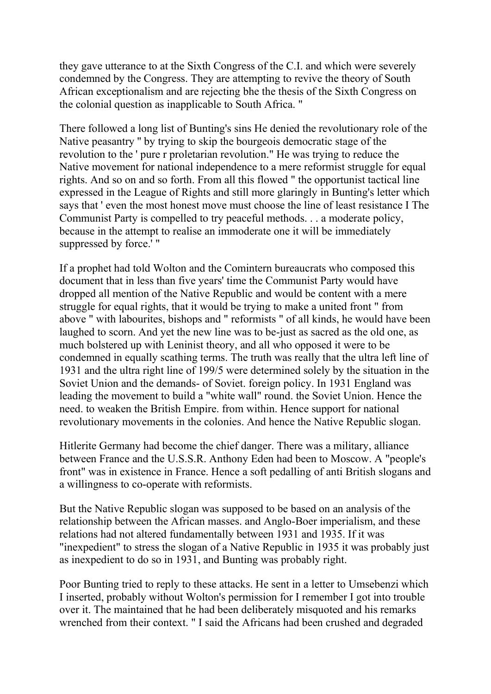they gave utterance to at the Sixth Congress of the C.I. and which were severely condemned by the Congress. They are attempting to revive the theory of South African exceptionalism and are rejecting bhe the thesis of the Sixth Congress on the colonial question as inapplicable to South Africa. "

There followed a long list of Bunting's sins He denied the revolutionary role of the Native peasantry '' by trying to skip the bourgeois democratic stage of the revolution to the ' pure r proletarian revolution." He was trying to reduce the Native movement for national independence to a mere reformist struggle for equal rights. And so on and so forth. From all this flowed " the opportunist tactical line expressed in the League of Rights and still more glaringly in Bunting's letter which says that ' even the most honest move must choose the line of least resistance I The Communist Party is compelled to try peaceful methods. . . a moderate policy, because in the attempt to realise an immoderate one it will be immediately suppressed by force.' "

If a prophet had told Wolton and the Comintern bureaucrats who composed this document that in less than five years' time the Communist Party would have dropped all mention of the Native Republic and would be content with a mere struggle for equal rights, that it would be trying to make a united front " from above " with labourites, bishops and " reformists " of all kinds, he would have been laughed to scorn. And yet the new line was to be-just as sacred as the old one, as much bolstered up with Leninist theory, and all who opposed it were to be condemned in equally scathing terms. The truth was really that the ultra left line of 1931 and the ultra right line of 199/5 were determined solely by the situation in the Soviet Union and the demands- of Soviet. foreign policy. In 1931 England was leading the movement to build a "white wall" round. the Soviet Union. Hence the need. to weaken the British Empire. from within. Hence support for national revolutionary movements in the colonies. And hence the Native Republic slogan.

Hitlerite Germany had become the chief danger. There was a military, alliance between France and the U.S.S.R. Anthony Eden had been to Moscow. A "people's front" was in existence in France. Hence a soft pedalling of anti British slogans and a willingness to co-operate with reformists.

But the Native Republic slogan was supposed to be based on an analysis of the relationship between the African masses. and Anglo-Boer imperialism, and these relations had not altered fundamentally between 1931 and 1935. If it was "inexpedient" to stress the slogan of a Native Republic in 1935 it was probably just as inexpedient to do so in 1931, and Bunting was probably right.

Poor Bunting tried to reply to these attacks. He sent in a letter to Umsebenzi which I inserted, probably without Wolton's permission for I remember I got into trouble over it. The maintained that he had been deliberately misquoted and his remarks wrenched from their context. " I said the Africans had been crushed and degraded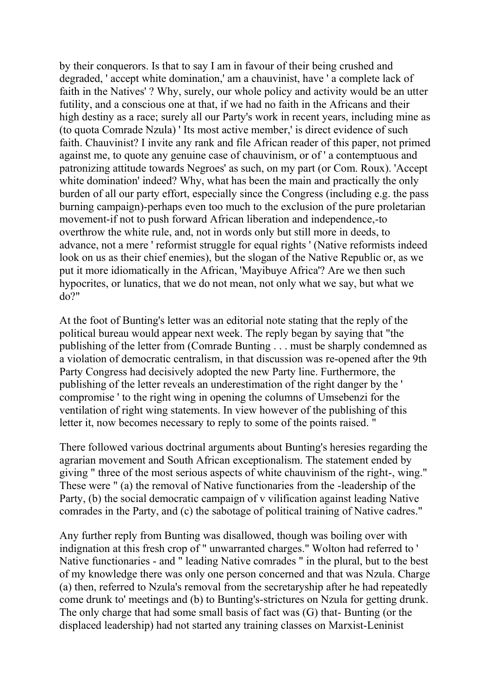by their conquerors. Is that to say I am in favour of their being crushed and degraded, ' accept white domination,' am a chauvinist, have ' a complete lack of faith in the Natives' ? Why, surely, our whole policy and activity would be an utter futility, and a conscious one at that, if we had no faith in the Africans and their high destiny as a race; surely all our Party's work in recent years, including mine as (to quota Comrade Nzula) ' Its most active member,' is direct evidence of such faith. Chauvinist? I invite any rank and file African reader of this paper, not primed against me, to quote any genuine case of chauvinism, or of ' a contemptuous and patronizing attitude towards Negroes' as such, on my part (or Com. Roux). 'Accept white domination' indeed? Why, what has been the main and practically the only burden of all our party effort, especially since the Congress (including e.g. the pass burning campaign)-perhaps even too much to the exclusion of the pure proletarian movement-if not to push forward African liberation and independence,-to overthrow the white rule, and, not in words only but still more in deeds, to advance, not a mere ' reformist struggle for equal rights ' (Native reformists indeed look on us as their chief enemies), but the slogan of the Native Republic or, as we put it more idiomatically in the African, 'Mayibuye Africa'? Are we then such hypocrites, or lunatics, that we do not mean, not only what we say, but what we do?"

At the foot of Bunting's letter was an editorial note stating that the reply of the political bureau would appear next week. The reply began by saying that "the publishing of the letter from (Comrade Bunting . . . must be sharply condemned as a violation of democratic centralism, in that discussion was re-opened after the 9th Party Congress had decisively adopted the new Party line. Furthermore, the publishing of the letter reveals an underestimation of the right danger by the ' compromise ' to the right wing in opening the columns of Umsebenzi for the ventilation of right wing statements. In view however of the publishing of this letter it, now becomes necessary to reply to some of the points raised. "

There followed various doctrinal arguments about Bunting's heresies regarding the agrarian movement and South African exceptionalism. The statement ended by giving " three of the most serious aspects of white chauvinism of the right-, wing." These were " (a) the removal of Native functionaries from the -leadership of the Party, (b) the social democratic campaign of v vilification against leading Native comrades in the Party, and (c) the sabotage of political training of Native cadres."

Any further reply from Bunting was disallowed, though was boiling over with indignation at this fresh crop of " unwarranted charges." Wolton had referred to ' Native functionaries - and " leading Native comrades " in the plural, but to the best of my knowledge there was only one person concerned and that was Nzula. Charge (a) then, referred to Nzula's removal from the secretaryship after he had repeatedly come drunk to' meetings and (b) to Bunting's-strictures on Nzula for getting drunk. The only charge that had some small basis of fact was (G) that- Bunting (or the displaced leadership) had not started any training classes on Marxist-Leninist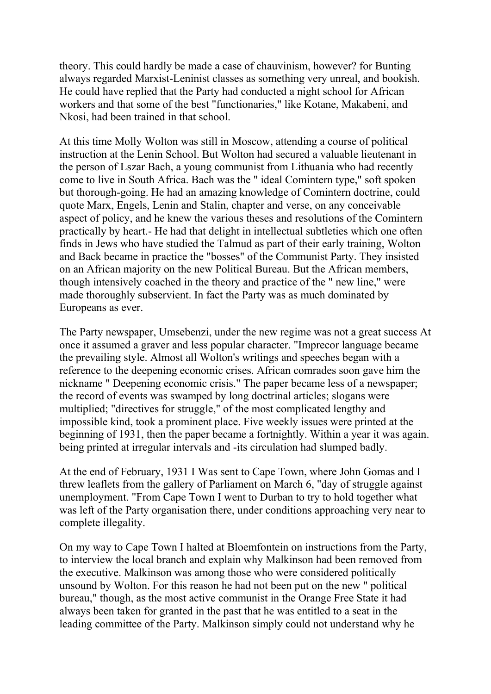theory. This could hardly be made a case of chauvinism, however? for Bunting always regarded Marxist-Leninist classes as something very unreal, and bookish. He could have replied that the Party had conducted a night school for African workers and that some of the best "functionaries," like Kotane, Makabeni, and Nkosi, had been trained in that school.

At this time Molly Wolton was still in Moscow, attending a course of political instruction at the Lenin School. But Wolton had secured a valuable lieutenant in the person of Lszar Bach, a young communist from Lithuania who had recently come to live in South Africa. Bach was the " ideal Comintern type," soft spoken but thorough-going. He had an amazing knowledge of Comintern doctrine, could quote Marx, Engels, Lenin and Stalin, chapter and verse, on any conceivable aspect of policy, and he knew the various theses and resolutions of the Comintern practically by heart.- He had that delight in intellectual subtleties which one often finds in Jews who have studied the Talmud as part of their early training, Wolton and Back became in practice the "bosses" of the Communist Party. They insisted on an African majority on the new Political Bureau. But the African members, though intensively coached in the theory and practice of the " new line," were made thoroughly subservient. In fact the Party was as much dominated by Europeans as ever.

The Party newspaper, Umsebenzi, under the new regime was not a great success At once it assumed a graver and less popular character. "Imprecor language became the prevailing style. Almost all Wolton's writings and speeches began with a reference to the deepening economic crises. African comrades soon gave him the nickname " Deepening economic crisis." The paper became less of a newspaper; the record of events was swamped by long doctrinal articles; slogans were multiplied; "directives for struggle," of the most complicated lengthy and impossible kind, took a prominent place. Five weekly issues were printed at the beginning of 1931, then the paper became a fortnightly. Within a year it was again. being printed at irregular intervals and -its circulation had slumped badly.

At the end of February, 1931 I Was sent to Cape Town, where John Gomas and I threw leaflets from the gallery of Parliament on March 6, "day of struggle against unemployment. "From Cape Town I went to Durban to try to hold together what was left of the Party organisation there, under conditions approaching very near to complete illegality.

On my way to Cape Town I halted at Bloemfontein on instructions from the Party, to interview the local branch and explain why Malkinson had been removed from the executive. Malkinson was among those who were considered politically unsound by Wolton. For this reason he had not been put on the new " political bureau," though, as the most active communist in the Orange Free State it had always been taken for granted in the past that he was entitled to a seat in the leading committee of the Party. Malkinson simply could not understand why he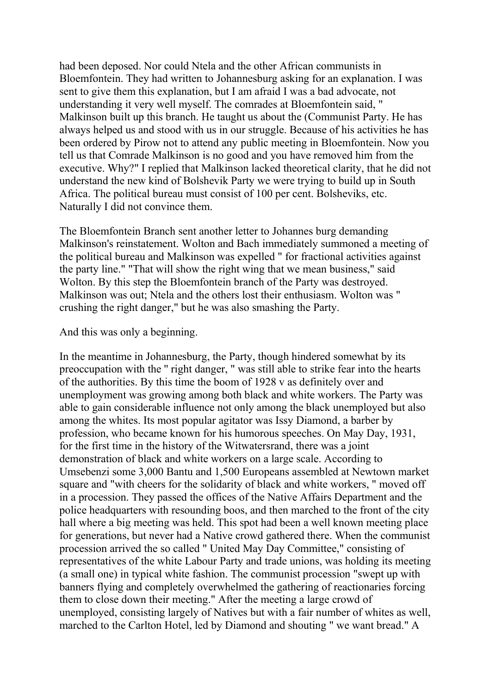had been deposed. Nor could Ntela and the other African communists in Bloemfontein. They had written to Johannesburg asking for an explanation. I was sent to give them this explanation, but I am afraid I was a bad advocate, not understanding it very well myself. The comrades at Bloemfontein said, " Malkinson built up this branch. He taught us about the (Communist Party. He has always helped us and stood with us in our struggle. Because of his activities he has been ordered by Pirow not to attend any public meeting in Bloemfontein. Now you tell us that Comrade Malkinson is no good and you have removed him from the executive. Why?" I replied that Malkinson lacked theoretical clarity, that he did not understand the new kind of Bolshevik Party we were trying to build up in South Africa. The political bureau must consist of 100 per cent. Bolsheviks, etc. Naturally I did not convince them.

The Bloemfontein Branch sent another letter to Johannes burg demanding Malkinson's reinstatement. Wolton and Bach immediately summoned a meeting of the political bureau and Malkinson was expelled " for fractional activities against the party line." "That will show the right wing that we mean business," said Wolton. By this step the Bloemfontein branch of the Party was destroyed. Malkinson was out; Ntela and the others lost their enthusiasm. Wolton was " crushing the right danger," but he was also smashing the Party.

And this was only a beginning.

In the meantime in Johannesburg, the Party, though hindered somewhat by its preoccupation with the '' right danger, " was still able to strike fear into the hearts of the authorities. By this time the boom of 1928 v as definitely over and unemployment was growing among both black and white workers. The Party was able to gain considerable influence not only among the black unemployed but also among the whites. Its most popular agitator was Issy Diamond, a barber by profession, who became known for his humorous speeches. On May Day, 1931, for the first time in the history of the Witwatersrand, there was a joint demonstration of black and white workers on a large scale. According to Umsebenzi some 3,000 Bantu and 1,500 Europeans assembled at Newtown market square and "with cheers for the solidarity of black and white workers, " moved off in a procession. They passed the offices of the Native Affairs Department and the police headquarters with resounding boos, and then marched to the front of the city hall where a big meeting was held. This spot had been a well known meeting place for generations, but never had a Native crowd gathered there. When the communist procession arrived the so called " United May Day Committee," consisting of representatives of the white Labour Party and trade unions, was holding its meeting (a small one) in typical white fashion. The communist procession "swept up with banners flying and completely overwhelmed the gathering of reactionaries forcing them to close down their meeting." After the meeting a large crowd of unemployed, consisting largely of Natives but with a fair number of whites as well, marched to the Carlton Hotel, led by Diamond and shouting " we want bread." A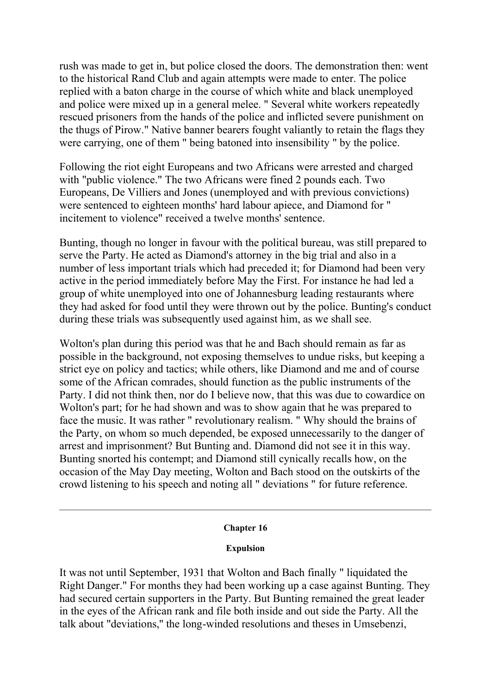rush was made to get in, but police closed the doors. The demonstration then: went to the historical Rand Club and again attempts were made to enter. The police replied with a baton charge in the course of which white and black unemployed and police were mixed up in a general melee. " Several white workers repeatedly rescued prisoners from the hands of the police and inflicted severe punishment on the thugs of Pirow." Native banner bearers fought valiantly to retain the flags they were carrying, one of them " being batoned into insensibility " by the police.

Following the riot eight Europeans and two Africans were arrested and charged with "public violence." The two Africans were fined 2 pounds each. Two Europeans, De Villiers and Jones (unemployed and with previous convictions) were sentenced to eighteen months' hard labour apiece, and Diamond for " incitement to violence" received a twelve months' sentence.

Bunting, though no longer in favour with the political bureau, was still prepared to serve the Party. He acted as Diamond's attorney in the big trial and also in a number of less important trials which had preceded it; for Diamond had been very active in the period immediately before May the First. For instance he had led a group of white unemployed into one of Johannesburg leading restaurants where they had asked for food until they were thrown out by the police. Bunting's conduct during these trials was subsequently used against him, as we shall see.

Wolton's plan during this period was that he and Bach should remain as far as possible in the background, not exposing themselves to undue risks, but keeping a strict eye on policy and tactics; while others, like Diamond and me and of course some of the African comrades, should function as the public instruments of the Party. I did not think then, nor do I believe now, that this was due to cowardice on Wolton's part; for he had shown and was to show again that he was prepared to face the music. It was rather " revolutionary realism. " Why should the brains of the Party, on whom so much depended, be exposed unnecessarily to the danger of arrest and imprisonment? But Bunting and. Diamond did not see it in this way. Bunting snorted his contempt; and Diamond still cynically recalls how, on the occasion of the May Day meeting, Wolton and Bach stood on the outskirts of the crowd listening to his speech and noting all " deviations " for future reference.

## **Chapter 16**

## **Expulsion**

It was not until September, 1931 that Wolton and Bach finally " liquidated the Right Danger." For months they had been working up a case against Bunting. They had secured certain supporters in the Party. But Bunting remained the great leader in the eyes of the African rank and file both inside and out side the Party. All the talk about "deviations,'' the long-winded resolutions and theses in Umsebenzi,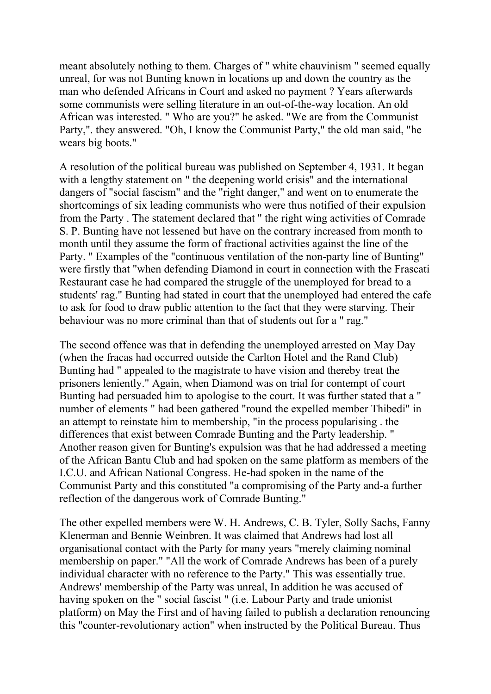meant absolutely nothing to them. Charges of " white chauvinism " seemed equally unreal, for was not Bunting known in locations up and down the country as the man who defended Africans in Court and asked no payment ? Years afterwards some communists were selling literature in an out-of-the-way location. An old African was interested. " Who are you?" he asked. "We are from the Communist Party,". they answered. "Oh, I know the Communist Party," the old man said, "he wears big boots."

A resolution of the political bureau was published on September 4, 1931. It began with a lengthy statement on " the deepening world crisis" and the international dangers of "social fascism" and the "right danger," and went on to enumerate the shortcomings of six leading communists who were thus notified of their expulsion from the Party . The statement declared that " the right wing activities of Comrade S. P. Bunting have not lessened but have on the contrary increased from month to month until they assume the form of fractional activities against the line of the Party. " Examples of the "continuous ventilation of the non-party line of Bunting" were firstly that "when defending Diamond in court in connection with the Frascati Restaurant case he had compared the struggle of the unemployed for bread to a students' rag." Bunting had stated in court that the unemployed had entered the cafe to ask for food to draw public attention to the fact that they were starving. Their behaviour was no more criminal than that of students out for a " rag."

The second offence was that in defending the unemployed arrested on May Day (when the fracas had occurred outside the Carlton Hotel and the Rand Club) Bunting had " appealed to the magistrate to have vision and thereby treat the prisoners leniently." Again, when Diamond was on trial for contempt of court Bunting had persuaded him to apologise to the court. It was further stated that a " number of elements " had been gathered "round the expelled member Thibedi" in an attempt to reinstate him to membership, "in the process popularising . the differences that exist between Comrade Bunting and the Party leadership. " Another reason given for Bunting's expulsion was that he had addressed a meeting of the African Bantu Club and had spoken on the same platform as members of the I.C.U. and African National Congress. He-had spoken in the name of the Communist Party and this constituted "a compromising of the Party and-a further reflection of the dangerous work of Comrade Bunting."

The other expelled members were W. H. Andrews, C. B. Tyler, Solly Sachs, Fanny Klenerman and Bennie Weinbren. It was claimed that Andrews had lost all organisational contact with the Party for many years "merely claiming nominal membership on paper." "All the work of Comrade Andrews has been of a purely individual character with no reference to the Party." This was essentially true. Andrews' membership of the Party was unreal, In addition he was accused of having spoken on the " social fascist " (i.e. Labour Party and trade unionist platform) on May the First and of having failed to publish a declaration renouncing this "counter-revolutionary action" when instructed by the Political Bureau. Thus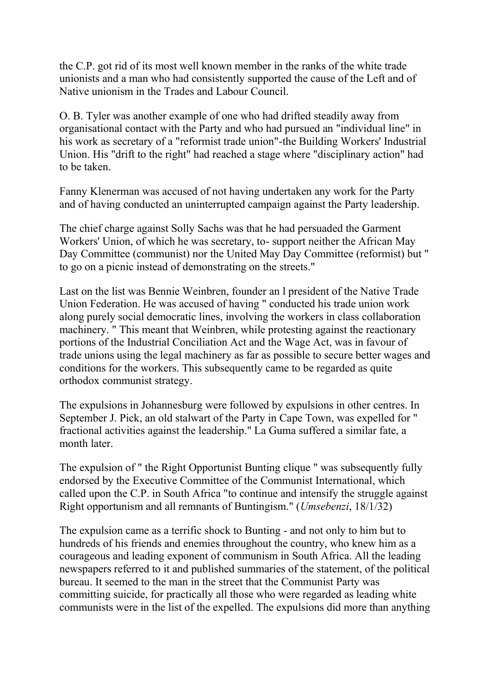the C.P. got rid of its most well known member in the ranks of the white trade unionists and a man who had consistently supported the cause of the Left and of Native unionism in the Trades and Labour Council.

O. B. Tyler was another example of one who had drifted steadily away from organisational contact with the Party and who had pursued an "individual line" in his work as secretary of a "reformist trade union"-the Building Workers' Industrial Union. His "drift to the right" had reached a stage where "disciplinary action" had to be taken.

Fanny Klenerman was accused of not having undertaken any work for the Party and of having conducted an uninterrupted campaign against the Party leadership.

The chief charge against Solly Sachs was that he had persuaded the Garment Workers' Union, of which he was secretary, to- support neither the African May Day Committee (communist) nor the United May Day Committee (reformist) but " to go on a picnic instead of demonstrating on the streets."

Last on the list was Bennie Weinbren, founder an l president of the Native Trade Union Federation. He was accused of having " conducted his trade union work along purely social democratic lines, involving the workers in class collaboration machinery. " This meant that Weinbren, while protesting against the reactionary portions of the Industrial Conciliation Act and the Wage Act, was in favour of trade unions using the legal machinery as far as possible to secure better wages and conditions for the workers. This subsequently came to be regarded as quite orthodox communist strategy.

The expulsions in Johannesburg were followed by expulsions in other centres. In September J. Pick, an old stalwart of the Party in Cape Town, was expelled for " fractional activities against the leadership." La Guma suffered a similar fate, a month later.

The expulsion of " the Right Opportunist Bunting clique " was subsequently fully endorsed by the Executive Committee of the Communist International, which called upon the C.P. in South Africa "to continue and intensify the struggle against Right opportunism and all remnants of Buntingism." (*Umsebenzi*, 18/1/32)

The expulsion came as a terrific shock to Bunting - and not only to him but to hundreds of his friends and enemies throughout the country, who knew him as a courageous and leading exponent of communism in South Africa. All the leading newspapers referred to it and published summaries of the statement, of the political bureau. It seemed to the man in the street that the Communist Party was committing suicide, for practically all those who were regarded as leading white communists were in the list of the expelled. The expulsions did more than anything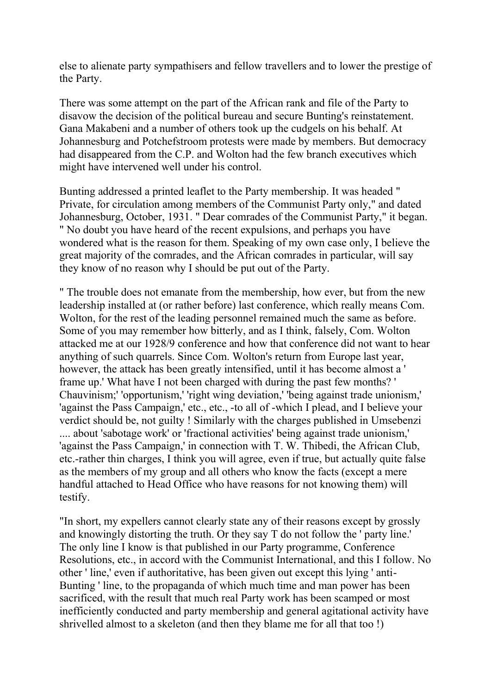else to alienate party sympathisers and fellow travellers and to lower the prestige of the Party.

There was some attempt on the part of the African rank and file of the Party to disavow the decision of the political bureau and secure Bunting's reinstatement. Gana Makabeni and a number of others took up the cudgels on his behalf. At Johannesburg and Potchefstroom protests were made by members. But democracy had disappeared from the C.P. and Wolton had the few branch executives which might have intervened well under his control.

Bunting addressed a printed leaflet to the Party membership. It was headed " Private, for circulation among members of the Communist Party only," and dated Johannesburg, October, 1931. " Dear comrades of the Communist Party," it began. " No doubt you have heard of the recent expulsions, and perhaps you have wondered what is the reason for them. Speaking of my own case only, I believe the great majority of the comrades, and the African comrades in particular, will say they know of no reason why I should be put out of the Party.

" The trouble does not emanate from the membership, how ever, but from the new leadership installed at (or rather before) last conference, which really means Com. Wolton, for the rest of the leading personnel remained much the same as before. Some of you may remember how bitterly, and as I think, falsely, Com. Wolton attacked me at our 1928/9 conference and how that conference did not want to hear anything of such quarrels. Since Com. Wolton's return from Europe last year, however, the attack has been greatly intensified, until it has become almost a ' frame up.' What have I not been charged with during the past few months? ' Chauvinism;' 'opportunism,' 'right wing deviation,' 'being against trade unionism,' 'against the Pass Campaign,' etc., etc., -to all of -which I plead, and I believe your verdict should be, not guilty ! Similarly with the charges published in Umsebenzi .... about 'sabotage work' or 'fractional activities' being against trade unionism,' 'against the Pass Campaign,' in connection with T. W. Thibedi, the African Club, etc.-rather thin charges, I think you will agree, even if true, but actually quite false as the members of my group and all others who know the facts (except a mere handful attached to Head Office who have reasons for not knowing them) will testify.

"In short, my expellers cannot clearly state any of their reasons except by grossly and knowingly distorting the truth. Or they say T do not follow the ' party line.' The only line I know is that published in our Party programme, Conference Resolutions, etc., in accord with the Communist International, and this I follow. No other ' line,' even if authoritative, has been given out except this lying ' anti-Bunting ' line, to the propaganda of which much time and man power has been sacrificed, with the result that much real Party work has been scamped or most inefficiently conducted and party membership and general agitational activity have shrivelled almost to a skeleton (and then they blame me for all that too !)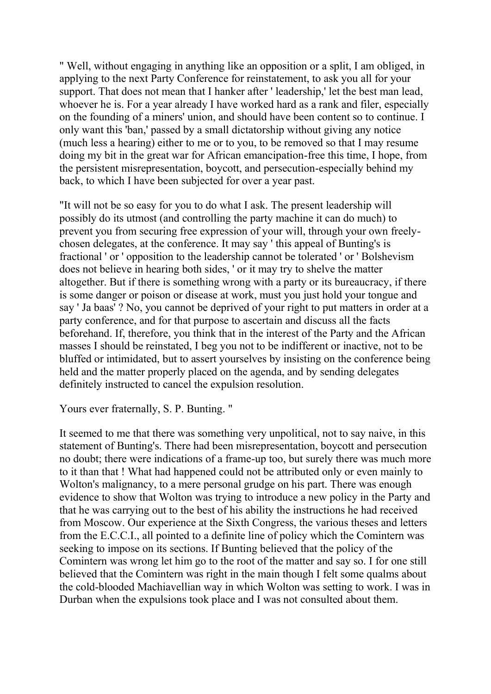" Well, without engaging in anything like an opposition or a split, I am obliged, in applying to the next Party Conference for reinstatement, to ask you all for your support. That does not mean that I hanker after ' leadership,' let the best man lead, whoever he is. For a year already I have worked hard as a rank and filer, especially on the founding of a miners' union, and should have been content so to continue. I only want this 'ban,' passed by a small dictatorship without giving any notice (much less a hearing) either to me or to you, to be removed so that I may resume doing my bit in the great war for African emancipation-free this time, I hope, from the persistent misrepresentation, boycott, and persecution-especially behind my back, to which I have been subjected for over a year past.

"It will not be so easy for you to do what I ask. The present leadership will possibly do its utmost (and controlling the party machine it can do much) to prevent you from securing free expression of your will, through your own freelychosen delegates, at the conference. It may say ' this appeal of Bunting's is fractional ' or ' opposition to the leadership cannot be tolerated ' or ' Bolshevism does not believe in hearing both sides, ' or it may try to shelve the matter altogether. But if there is something wrong with a party or its bureaucracy, if there is some danger or poison or disease at work, must you just hold your tongue and say ' Ja baas' ? No, you cannot be deprived of your right to put matters in order at a party conference, and for that purpose to ascertain and discuss all the facts beforehand. If, therefore, you think that in the interest of the Party and the African masses I should be reinstated, I beg you not to be indifferent or inactive, not to be bluffed or intimidated, but to assert yourselves by insisting on the conference being held and the matter properly placed on the agenda, and by sending delegates definitely instructed to cancel the expulsion resolution.

Yours ever fraternally, S. P. Bunting. "

It seemed to me that there was something very unpolitical, not to say naive, in this statement of Bunting's. There had been misrepresentation, boycott and persecution no doubt; there were indications of a frame-up too, but surely there was much more to it than that ! What had happened could not be attributed only or even mainly to Wolton's malignancy, to a mere personal grudge on his part. There was enough evidence to show that Wolton was trying to introduce a new policy in the Party and that he was carrying out to the best of his ability the instructions he had received from Moscow. Our experience at the Sixth Congress, the various theses and letters from the E.C.C.I., all pointed to a definite line of policy which the Comintern was seeking to impose on its sections. If Bunting believed that the policy of the Comintern was wrong let him go to the root of the matter and say so. I for one still believed that the Comintern was right in the main though I felt some qualms about the cold-blooded Machiavellian way in which Wolton was setting to work. I was in Durban when the expulsions took place and I was not consulted about them.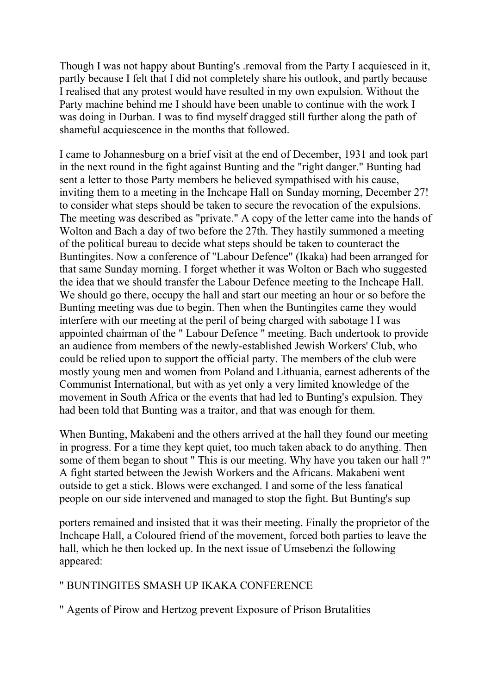Though I was not happy about Bunting's .removal from the Party I acquiesced in it, partly because I felt that I did not completely share his outlook, and partly because I realised that any protest would have resulted in my own expulsion. Without the Party machine behind me I should have been unable to continue with the work I was doing in Durban. I was to find myself dragged still further along the path of shameful acquiescence in the months that followed.

I came to Johannesburg on a brief visit at the end of December, 1931 and took part in the next round in the fight against Bunting and the "right danger." Bunting had sent a letter to those Party members he believed sympathised with his cause, inviting them to a meeting in the Inchcape Hall on Sunday morning, December 27! to consider what steps should be taken to secure the revocation of the expulsions. The meeting was described as "private." A copy of the letter came into the hands of Wolton and Bach a day of two before the 27th. They hastily summoned a meeting of the political bureau to decide what steps should be taken to counteract the Buntingites. Now a conference of "Labour Defence" (Ikaka) had been arranged for that same Sunday morning. I forget whether it was Wolton or Bach who suggested the idea that we should transfer the Labour Defence meeting to the Inchcape Hall. We should go there, occupy the hall and start our meeting an hour or so before the Bunting meeting was due to begin. Then when the Buntingites came they would interfere with our meeting at the peril of being charged with sabotage l I was appointed chairman of the " Labour Defence " meeting. Bach undertook to provide an audience from members of the newly-established Jewish Workers' Club, who could be relied upon to support the official party. The members of the club were mostly young men and women from Poland and Lithuania, earnest adherents of the Communist International, but with as yet only a very limited knowledge of the movement in South Africa or the events that had led to Bunting's expulsion. They had been told that Bunting was a traitor, and that was enough for them.

When Bunting, Makabeni and the others arrived at the hall they found our meeting in progress. For a time they kept quiet, too much taken aback to do anything. Then some of them began to shout " This is our meeting. Why have you taken our hall ?" A fight started between the Jewish Workers and the Africans. Makabeni went outside to get a stick. Blows were exchanged. I and some of the less fanatical people on our side intervened and managed to stop the fight. But Bunting's sup

porters remained and insisted that it was their meeting. Finally the proprietor of the Inchcape Hall, a Coloured friend of the movement, forced both parties to leave the hall, which he then locked up. In the next issue of Umsebenzi the following appeared:

# " BUNTINGITES SMASH UP IKAKA CONFERENCE

" Agents of Pirow and Hertzog prevent Exposure of Prison Brutalities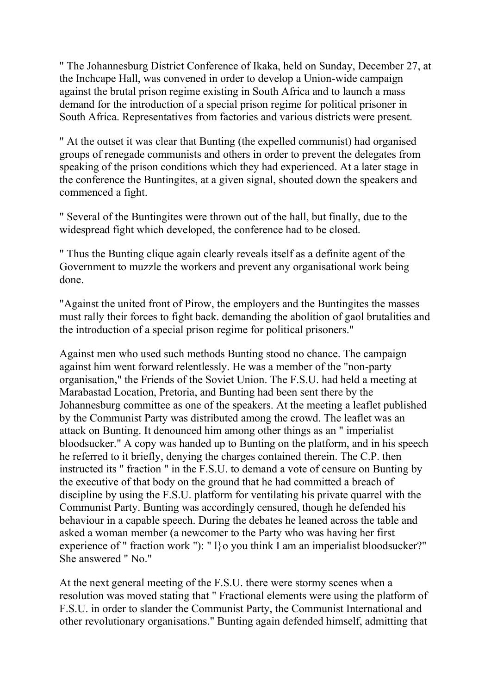" The Johannesburg District Conference of Ikaka, held on Sunday, December 27, at the Inchcape Hall, was convened in order to develop a Union-wide campaign against the brutal prison regime existing in South Africa and to launch a mass demand for the introduction of a special prison regime for political prisoner in South Africa. Representatives from factories and various districts were present.

" At the outset it was clear that Bunting (the expelled communist) had organised groups of renegade communists and others in order to prevent the delegates from speaking of the prison conditions which they had experienced. At a later stage in the conference the Buntingites, at a given signal, shouted down the speakers and commenced a fight.

" Several of the Buntingites were thrown out of the hall, but finally, due to the widespread fight which developed, the conference had to be closed.

" Thus the Bunting clique again clearly reveals itself as a definite agent of the Government to muzzle the workers and prevent any organisational work being done.

"Against the united front of Pirow, the employers and the Buntingites the masses must rally their forces to fight back. demanding the abolition of gaol brutalities and the introduction of a special prison regime for political prisoners."

Against men who used such methods Bunting stood no chance. The campaign against him went forward relentlessly. He was a member of the "non-party organisation," the Friends of the Soviet Union. The F.S.U. had held a meeting at Marabastad Location, Pretoria, and Bunting had been sent there by the Johannesburg committee as one of the speakers. At the meeting a leaflet published by the Communist Party was distributed among the crowd. The leaflet was an attack on Bunting. It denounced him among other things as an " imperialist bloodsucker." A copy was handed up to Bunting on the platform, and in his speech he referred to it briefly, denying the charges contained therein. The C.P. then instructed its " fraction " in the F.S.U. to demand a vote of censure on Bunting by the executive of that body on the ground that he had committed a breach of discipline by using the F.S.U. platform for ventilating his private quarrel with the Communist Party. Bunting was accordingly censured, though he defended his behaviour in a capable speech. During the debates he leaned across the table and asked a woman member (a newcomer to the Party who was having her first experience of " fraction work "): " l}o you think I am an imperialist bloodsucker?" She answered " No."

At the next general meeting of the F.S.U. there were stormy scenes when a resolution was moved stating that " Fractional elements were using the platform of F.S.U. in order to slander the Communist Party, the Communist International and other revolutionary organisations." Bunting again defended himself, admitting that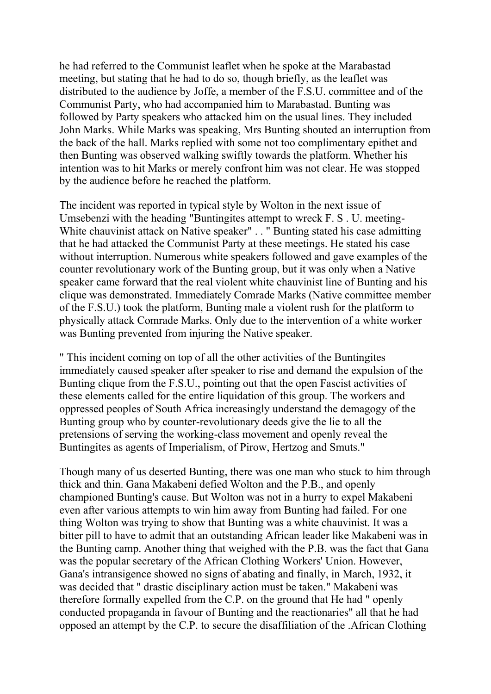he had referred to the Communist leaflet when he spoke at the Marabastad meeting, but stating that he had to do so, though briefly, as the leaflet was distributed to the audience by Joffe, a member of the F.S.U. committee and of the Communist Party, who had accompanied him to Marabastad. Bunting was followed by Party speakers who attacked him on the usual lines. They included John Marks. While Marks was speaking, Mrs Bunting shouted an interruption from the back of the hall. Marks replied with some not too complimentary epithet and then Bunting was observed walking swiftly towards the platform. Whether his intention was to hit Marks or merely confront him was not clear. He was stopped by the audience before he reached the platform.

The incident was reported in typical style by Wolton in the next issue of Umsebenzi with the heading "Buntingites attempt to wreck F. S . U. meeting-White chauvinist attack on Native speaker" . . " Bunting stated his case admitting that he had attacked the Communist Party at these meetings. He stated his case without interruption. Numerous white speakers followed and gave examples of the counter revolutionary work of the Bunting group, but it was only when a Native speaker came forward that the real violent white chauvinist line of Bunting and his clique was demonstrated. Immediately Comrade Marks (Native committee member of the F.S.U.) took the platform, Bunting male a violent rush for the platform to physically attack Comrade Marks. Only due to the intervention of a white worker was Bunting prevented from injuring the Native speaker.

" This incident coming on top of all the other activities of the Buntingites immediately caused speaker after speaker to rise and demand the expulsion of the Bunting clique from the F.S.U., pointing out that the open Fascist activities of these elements called for the entire liquidation of this group. The workers and oppressed peoples of South Africa increasingly understand the demagogy of the Bunting group who by counter-revolutionary deeds give the lie to all the pretensions of serving the working-class movement and openly reveal the Buntingites as agents of Imperialism, of Pirow, Hertzog and Smuts."

Though many of us deserted Bunting, there was one man who stuck to him through thick and thin. Gana Makabeni defied Wolton and the P.B., and openly championed Bunting's cause. But Wolton was not in a hurry to expel Makabeni even after various attempts to win him away from Bunting had failed. For one thing Wolton was trying to show that Bunting was a white chauvinist. It was a bitter pill to have to admit that an outstanding African leader like Makabeni was in the Bunting camp. Another thing that weighed with the P.B. was the fact that Gana was the popular secretary of the African Clothing Workers' Union. However, Gana's intransigence showed no signs of abating and finally, in March, 1932, it was decided that " drastic disciplinary action must be taken." Makabeni was therefore formally expelled from the C.P. on the ground that He had " openly conducted propaganda in favour of Bunting and the reactionaries" all that he had opposed an attempt by the C.P. to secure the disaffiliation of the .African Clothing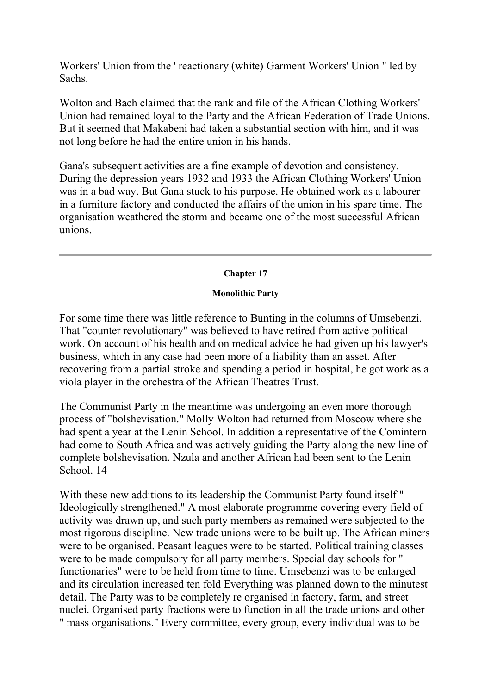Workers' Union from the ' reactionary (white) Garment Workers' Union " led by Sachs.

Wolton and Bach claimed that the rank and file of the African Clothing Workers' Union had remained loyal to the Party and the African Federation of Trade Unions. But it seemed that Makabeni had taken a substantial section with him, and it was not long before he had the entire union in his hands.

Gana's subsequent activities are a fine example of devotion and consistency. During the depression years 1932 and 1933 the African Clothing Workers' Union was in a bad way. But Gana stuck to his purpose. He obtained work as a labourer in a furniture factory and conducted the affairs of the union in his spare time. The organisation weathered the storm and became one of the most successful African unions.

# **Chapter 17**

# **Monolithic Party**

For some time there was little reference to Bunting in the columns of Umsebenzi. That "counter revolutionary" was believed to have retired from active political work. On account of his health and on medical advice he had given up his lawyer's business, which in any case had been more of a liability than an asset. After recovering from a partial stroke and spending a period in hospital, he got work as a viola player in the orchestra of the African Theatres Trust.

The Communist Party in the meantime was undergoing an even more thorough process of "bolshevisation." Molly Wolton had returned from Moscow where she had spent a year at the Lenin School. In addition a representative of the Comintern had come to South Africa and was actively guiding the Party along the new line of complete bolshevisation. Nzula and another African had been sent to the Lenin School. 14

With these new additions to its leadership the Communist Party found itself " Ideologically strengthened." A most elaborate programme covering every field of activity was drawn up, and such party members as remained were subjected to the most rigorous discipline. New trade unions were to be built up. The African miners were to be organised. Peasant leagues were to be started. Political training classes were to be made compulsory for all party members. Special day schools for " functionaries" were to be held from time to time. Umsebenzi was to be enlarged and its circulation increased ten fold Everything was planned down to the minutest detail. The Party was to be completely re organised in factory, farm, and street nuclei. Organised party fractions were to function in all the trade unions and other " mass organisations." Every committee, every group, every individual was to be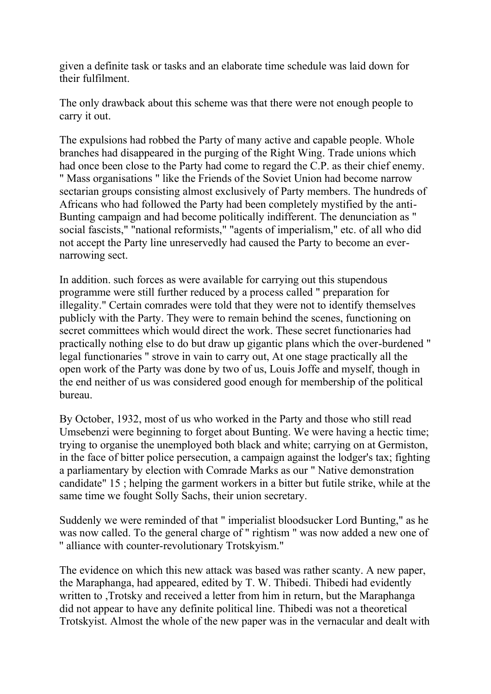given a definite task or tasks and an elaborate time schedule was laid down for their fulfilment.

The only drawback about this scheme was that there were not enough people to carry it out.

The expulsions had robbed the Party of many active and capable people. Whole branches had disappeared in the purging of the Right Wing. Trade unions which had once been close to the Party had come to regard the C.P. as their chief enemy. " Mass organisations " like the Friends of the Soviet Union had become narrow sectarian groups consisting almost exclusively of Party members. The hundreds of Africans who had followed the Party had been completely mystified by the anti-Bunting campaign and had become politically indifferent. The denunciation as " social fascists," "national reformists," "agents of imperialism," etc. of all who did not accept the Party line unreservedly had caused the Party to become an evernarrowing sect.

In addition. such forces as were available for carrying out this stupendous programme were still further reduced by a process called " preparation for illegality." Certain comrades were told that they were not to identify themselves publicly with the Party. They were to remain behind the scenes, functioning on secret committees which would direct the work. These secret functionaries had practically nothing else to do but draw up gigantic plans which the over-burdened " legal functionaries " strove in vain to carry out, At one stage practically all the open work of the Party was done by two of us, Louis Joffe and myself, though in the end neither of us was considered good enough for membership of the political bureau.

By October, 1932, most of us who worked in the Party and those who still read Umsebenzi were beginning to forget about Bunting. We were having a hectic time; trying to organise the unemployed both black and white; carrying on at Germiston, in the face of bitter police persecution, a campaign against the lodger's tax; fighting a parliamentary by election with Comrade Marks as our " Native demonstration candidate" 15 ; helping the garment workers in a bitter but futile strike, while at the same time we fought Solly Sachs, their union secretary.

Suddenly we were reminded of that " imperialist bloodsucker Lord Bunting," as he was now called. To the general charge of " rightism " was now added a new one of '' alliance with counter-revolutionary Trotskyism."

The evidence on which this new attack was based was rather scanty. A new paper, the Maraphanga, had appeared, edited by T. W. Thibedi. Thibedi had evidently written to ,Trotsky and received a letter from him in return, but the Maraphanga did not appear to have any definite political line. Thibedi was not a theoretical Trotskyist. Almost the whole of the new paper was in the vernacular and dealt with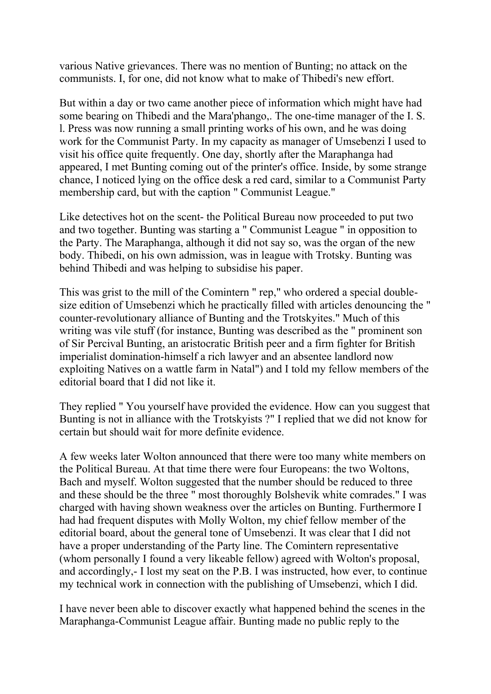various Native grievances. There was no mention of Bunting; no attack on the communists. I, for one, did not know what to make of Thibedi's new effort.

But within a day or two came another piece of information which might have had some bearing on Thibedi and the Mara'phango,. The one-time manager of the I. S. l. Press was now running a small printing works of his own, and he was doing work for the Communist Party. In my capacity as manager of Umsebenzi I used to visit his office quite frequently. One day, shortly after the Maraphanga had appeared, I met Bunting coming out of the printer's office. Inside, by some strange chance, I noticed lying on the office desk a red card, similar to a Communist Party membership card, but with the caption " Communist League."

Like detectives hot on the scent- the Political Bureau now proceeded to put two and two together. Bunting was starting a " Communist League " in opposition to the Party. The Maraphanga, although it did not say so, was the organ of the new body. Thibedi, on his own admission, was in league with Trotsky. Bunting was behind Thibedi and was helping to subsidise his paper.

This was grist to the mill of the Comintern " rep," who ordered a special doublesize edition of Umsebenzi which he practically filled with articles denouncing the " counter-revolutionary alliance of Bunting and the Trotskyites." Much of this writing was vile stuff (for instance, Bunting was described as the " prominent son of Sir Percival Bunting, an aristocratic British peer and a firm fighter for British imperialist domination-himself a rich lawyer and an absentee landlord now exploiting Natives on a wattle farm in Natal") and I told my fellow members of the editorial board that I did not like it.

They replied " You yourself have provided the evidence. How can you suggest that Bunting is not in alliance with the Trotskyists ?" I replied that we did not know for certain but should wait for more definite evidence.

A few weeks later Wolton announced that there were too many white members on the Political Bureau. At that time there were four Europeans: the two Woltons, Bach and myself. Wolton suggested that the number should be reduced to three and these should be the three " most thoroughly Bolshevik white comrades." I was charged with having shown weakness over the articles on Bunting. Furthermore I had had frequent disputes with Molly Wolton, my chief fellow member of the editorial board, about the general tone of Umsebenzi. It was clear that I did not have a proper understanding of the Party line. The Comintern representative (whom personally I found a very likeable fellow) agreed with Wolton's proposal, and accordingly,- I lost my seat on the P.B. I was instructed, how ever, to continue my technical work in connection with the publishing of Umsebenzi, which I did.

I have never been able to discover exactly what happened behind the scenes in the Maraphanga-Communist League affair. Bunting made no public reply to the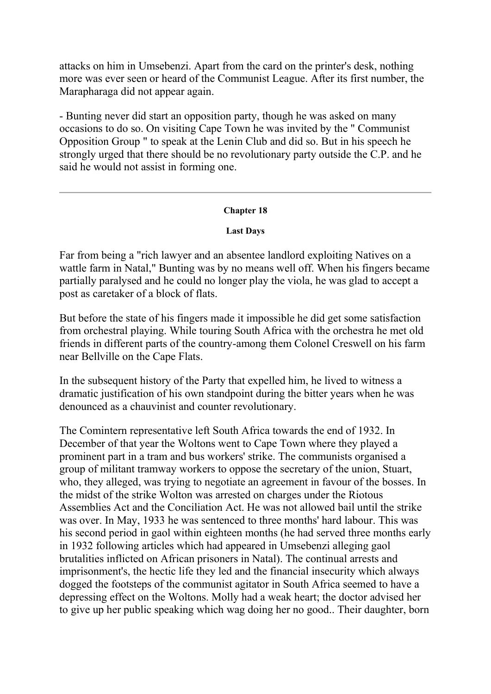attacks on him in Umsebenzi. Apart from the card on the printer's desk, nothing more was ever seen or heard of the Communist League. After its first number, the Marapharaga did not appear again.

- Bunting never did start an opposition party, though he was asked on many occasions to do so. On visiting Cape Town he was invited by the " Communist Opposition Group " to speak at the Lenin Club and did so. But in his speech he strongly urged that there should be no revolutionary party outside the C.P. and he said he would not assist in forming one.

# **Chapter 18**

# **Last Days**

Far from being a "rich lawyer and an absentee landlord exploiting Natives on a wattle farm in Natal," Bunting was by no means well off. When his fingers became partially paralysed and he could no longer play the viola, he was glad to accept a post as caretaker of a block of flats.

But before the state of his fingers made it impossible he did get some satisfaction from orchestral playing. While touring South Africa with the orchestra he met old friends in different parts of the country-among them Colonel Creswell on his farm near Bellville on the Cape Flats.

In the subsequent history of the Party that expelled him, he lived to witness a dramatic justification of his own standpoint during the bitter years when he was denounced as a chauvinist and counter revolutionary.

The Comintern representative left South Africa towards the end of 1932. In December of that year the Woltons went to Cape Town where they played a prominent part in a tram and bus workers' strike. The communists organised a group of militant tramway workers to oppose the secretary of the union, Stuart, who, they alleged, was trying to negotiate an agreement in favour of the bosses. In the midst of the strike Wolton was arrested on charges under the Riotous Assemblies Act and the Conciliation Act. He was not allowed bail until the strike was over. In May, 1933 he was sentenced to three months' hard labour. This was his second period in gaol within eighteen months (he had served three months early in 1932 following articles which had appeared in Umsebenzi alleging gaol brutalities inflicted on African prisoners in Natal). The continual arrests and imprisonment's, the hectic life they led and the financial insecurity which always dogged the footsteps of the communist agitator in South Africa seemed to have a depressing effect on the Woltons. Molly had a weak heart; the doctor advised her to give up her public speaking which wag doing her no good.. Their daughter, born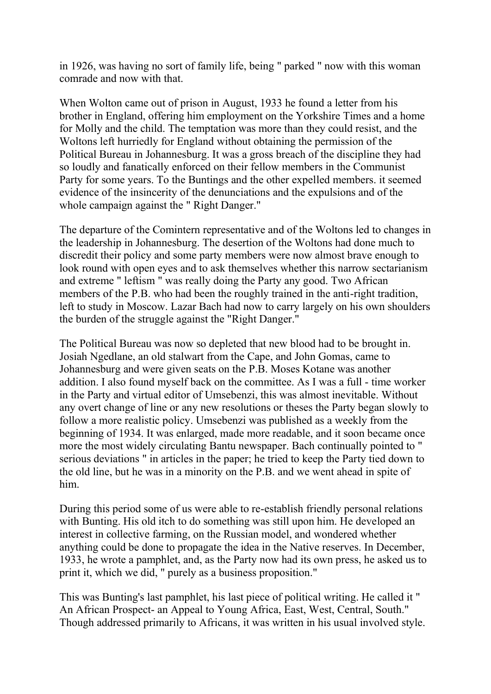in 1926, was having no sort of family life, being " parked " now with this woman comrade and now with that.

When Wolton came out of prison in August, 1933 he found a letter from his brother in England, offering him employment on the Yorkshire Times and a home for Molly and the child. The temptation was more than they could resist, and the Woltons left hurriedly for England without obtaining the permission of the Political Bureau in Johannesburg. It was a gross breach of the discipline they had so loudly and fanatically enforced on their fellow members in the Communist Party for some years. To the Buntings and the other expelled members. it seemed evidence of the insincerity of the denunciations and the expulsions and of the whole campaign against the " Right Danger."

The departure of the Comintern representative and of the Woltons led to changes in the leadership in Johannesburg. The desertion of the Woltons had done much to discredit their policy and some party members were now almost brave enough to look round with open eyes and to ask themselves whether this narrow sectarianism and extreme " leftism " was really doing the Party any good. Two African members of the P.B. who had been the roughly trained in the anti-right tradition, left to study in Moscow. Lazar Bach had now to carry largely on his own shoulders the burden of the struggle against the "Right Danger."

The Political Bureau was now so depleted that new blood had to be brought in. Josiah Ngedlane, an old stalwart from the Cape, and John Gomas, came to Johannesburg and were given seats on the P.B. Moses Kotane was another addition. I also found myself back on the committee. As I was a full - time worker in the Party and virtual editor of Umsebenzi, this was almost inevitable. Without any overt change of line or any new resolutions or theses the Party began slowly to follow a more realistic policy. Umsebenzi was published as a weekly from the beginning of 1934. It was enlarged, made more readable, and it soon became once more the most widely circulating Bantu newspaper. Bach continually pointed to " serious deviations " in articles in the paper; he tried to keep the Party tied down to the old line, but he was in a minority on the P.B. and we went ahead in spite of him.

During this period some of us were able to re-establish friendly personal relations with Bunting. His old itch to do something was still upon him. He developed an interest in collective farming, on the Russian model, and wondered whether anything could be done to propagate the idea in the Native reserves. In December, 1933, he wrote a pamphlet, and, as the Party now had its own press, he asked us to print it, which we did, " purely as a business proposition."

This was Bunting's last pamphlet, his last piece of political writing. He called it " An African Prospect- an Appeal to Young Africa, East, West, Central, South." Though addressed primarily to Africans, it was written in his usual involved style.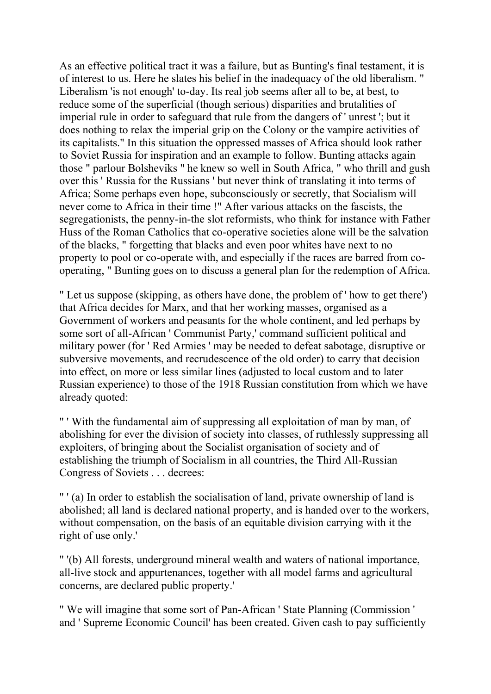As an effective political tract it was a failure, but as Bunting's final testament, it is of interest to us. Here he slates his belief in the inadequacy of the old liberalism. " Liberalism 'is not enough' to-day. Its real job seems after all to be, at best, to reduce some of the superficial (though serious) disparities and brutalities of imperial rule in order to safeguard that rule from the dangers of ' unrest '; but it does nothing to relax the imperial grip on the Colony or the vampire activities of its capitalists." In this situation the oppressed masses of Africa should look rather to Soviet Russia for inspiration and an example to follow. Bunting attacks again those " parlour Bolsheviks " he knew so well in South Africa, " who thrill and gush over this ' Russia for the Russians ' but never think of translating it into terms of Africa; Some perhaps even hope, subconsciously or secretly, that Socialism will never come to Africa in their time !" After various attacks on the fascists, the segregationists, the penny-in-the slot reformists, who think for instance with Father Huss of the Roman Catholics that co-operative societies alone will be the salvation of the blacks, " forgetting that blacks and even poor whites have next to no property to pool or co-operate with, and especially if the races are barred from cooperating, " Bunting goes on to discuss a general plan for the redemption of Africa.

" Let us suppose (skipping, as others have done, the problem of ' how to get there') that Africa decides for Marx, and that her working masses, organised as a Government of workers and peasants for the whole continent, and led perhaps by some sort of all-African ' Communist Party,' command sufficient political and military power (for ' Red Armies ' may be needed to defeat sabotage, disruptive or subversive movements, and recrudescence of the old order) to carry that decision into effect, on more or less similar lines (adjusted to local custom and to later Russian experience) to those of the 1918 Russian constitution from which we have already quoted:

" ' With the fundamental aim of suppressing all exploitation of man by man, of abolishing for ever the division of society into classes, of ruthlessly suppressing all exploiters, of bringing about the Socialist organisation of society and of establishing the triumph of Socialism in all countries, the Third All-Russian Congress of Soviets . . . decrees:

" ' (a) In order to establish the socialisation of land, private ownership of land is abolished; all land is declared national property, and is handed over to the workers, without compensation, on the basis of an equitable division carrying with it the right of use only.'

" '(b) All forests, underground mineral wealth and waters of national importance, all-live stock and appurtenances, together with all model farms and agricultural concerns, are declared public property.'

" We will imagine that some sort of Pan-African ' State Planning (Commission ' and ' Supreme Economic Council' has been created. Given cash to pay sufficiently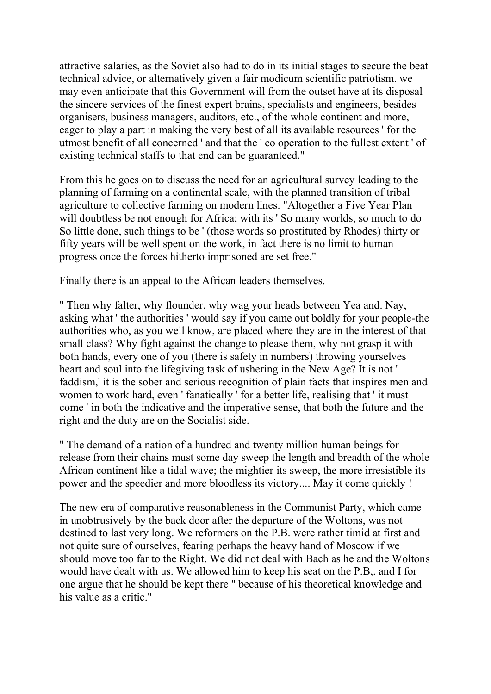attractive salaries, as the Soviet also had to do in its initial stages to secure the beat technical advice, or alternatively given a fair modicum scientific patriotism. we may even anticipate that this Government will from the outset have at its disposal the sincere services of the finest expert brains, specialists and engineers, besides organisers, business managers, auditors, etc., of the whole continent and more, eager to play a part in making the very best of all its available resources ' for the utmost benefit of all concerned ' and that the ' co operation to the fullest extent ' of existing technical staffs to that end can be guaranteed."

From this he goes on to discuss the need for an agricultural survey leading to the planning of farming on a continental scale, with the planned transition of tribal agriculture to collective farming on modern lines. "Altogether a Five Year Plan will doubtless be not enough for Africa; with its 'So many worlds, so much to do So little done, such things to be ' (those words so prostituted by Rhodes) thirty or fifty years will be well spent on the work, in fact there is no limit to human progress once the forces hitherto imprisoned are set free."

Finally there is an appeal to the African leaders themselves.

" Then why falter, why flounder, why wag your heads between Yea and. Nay, asking what ' the authorities ' would say if you came out boldly for your people-the authorities who, as you well know, are placed where they are in the interest of that small class? Why fight against the change to please them, why not grasp it with both hands, every one of you (there is safety in numbers) throwing yourselves heart and soul into the lifegiving task of ushering in the New Age? It is not ' faddism,' it is the sober and serious recognition of plain facts that inspires men and women to work hard, even ' fanatically ' for a better life, realising that ' it must come ' in both the indicative and the imperative sense, that both the future and the right and the duty are on the Socialist side.

" The demand of a nation of a hundred and twenty million human beings for release from their chains must some day sweep the length and breadth of the whole African continent like a tidal wave; the mightier its sweep, the more irresistible its power and the speedier and more bloodless its victory.... May it come quickly !

The new era of comparative reasonableness in the Communist Party, which came in unobtrusively by the back door after the departure of the Woltons, was not destined to last very long. We reformers on the P.B. were rather timid at first and not quite sure of ourselves, fearing perhaps the heavy hand of Moscow if we should move too far to the Right. We did not deal with Bach as he and the Woltons would have dealt with us. We allowed him to keep his seat on the P.B,. and I for one argue that he should be kept there " because of his theoretical knowledge and his value as a critic."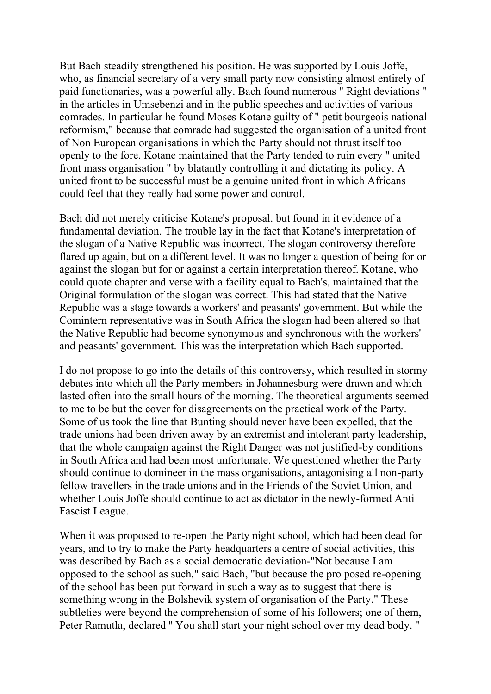But Bach steadily strengthened his position. He was supported by Louis Joffe, who, as financial secretary of a very small party now consisting almost entirely of paid functionaries, was a powerful ally. Bach found numerous " Right deviations '' in the articles in Umsebenzi and in the public speeches and activities of various comrades. In particular he found Moses Kotane guilty of " petit bourgeois national reformism," because that comrade had suggested the organisation of a united front of Non European organisations in which the Party should not thrust itself too openly to the fore. Kotane maintained that the Party tended to ruin every " united front mass organisation " by blatantly controlling it and dictating its policy. A united front to be successful must be a genuine united front in which Africans could feel that they really had some power and control.

Bach did not merely criticise Kotane's proposal. but found in it evidence of a fundamental deviation. The trouble lay in the fact that Kotane's interpretation of the slogan of a Native Republic was incorrect. The slogan controversy therefore flared up again, but on a different level. It was no longer a question of being for or against the slogan but for or against a certain interpretation thereof. Kotane, who could quote chapter and verse with a facility equal to Bach's, maintained that the Original formulation of the slogan was correct. This had stated that the Native Republic was a stage towards a workers' and peasants' government. But while the Comintern representative was in South Africa the slogan had been altered so that the Native Republic had become synonymous and synchronous with the workers' and peasants' government. This was the interpretation which Bach supported.

I do not propose to go into the details of this controversy, which resulted in stormy debates into which all the Party members in Johannesburg were drawn and which lasted often into the small hours of the morning. The theoretical arguments seemed to me to be but the cover for disagreements on the practical work of the Party. Some of us took the line that Bunting should never have been expelled, that the trade unions had been driven away by an extremist and intolerant party leadership, that the whole campaign against the Right Danger was not justified-by conditions in South Africa and had been most unfortunate. We questioned whether the Party should continue to domineer in the mass organisations, antagonising all non-party fellow travellers in the trade unions and in the Friends of the Soviet Union, and whether Louis Joffe should continue to act as dictator in the newly-formed Anti Fascist League.

When it was proposed to re-open the Party night school, which had been dead for years, and to try to make the Party headquarters a centre of social activities, this was described by Bach as a social democratic deviation-"Not because I am opposed to the school as such," said Bach, "but because the pro posed re-opening of the school has been put forward in such a way as to suggest that there is something wrong in the Bolshevik system of organisation of the Party." These subtleties were beyond the comprehension of some of his followers; one of them, Peter Ramutla, declared '' You shall start your night school over my dead body. "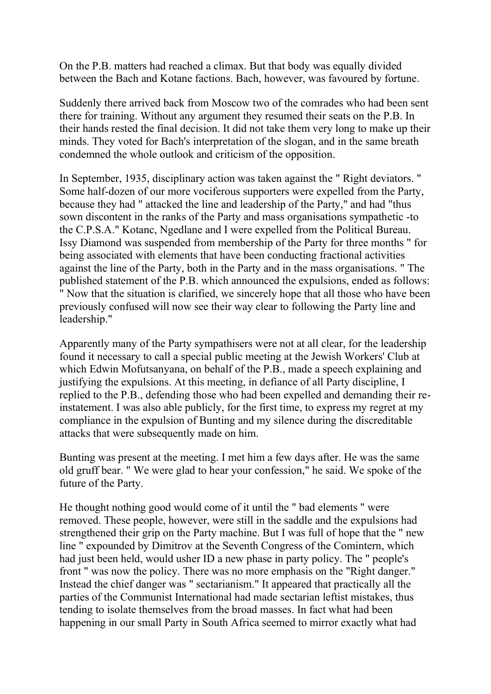On the P.B. matters had reached a climax. But that body was equally divided between the Bach and Kotane factions. Bach, however, was favoured by fortune.

Suddenly there arrived back from Moscow two of the comrades who had been sent there for training. Without any argument they resumed their seats on the P.B. In their hands rested the final decision. It did not take them very long to make up their minds. They voted for Bach's interpretation of the slogan, and in the same breath condemned the whole outlook and criticism of the opposition.

In September, 1935, disciplinary action was taken against the " Right deviators. " Some half-dozen of our more vociferous supporters were expelled from the Party, because they had " attacked the line and leadership of the Party," and had "thus sown discontent in the ranks of the Party and mass organisations sympathetic -to the C.P.S.A." Kotanc, Ngedlane and I were expelled from the Political Bureau. Issy Diamond was suspended from membership of the Party for three months " for being associated with elements that have been conducting fractional activities against the line of the Party, both in the Party and in the mass organisations. " The published statement of the P.B. which announced the expulsions, ended as follows: " Now that the situation is clarified, we sincerely hope that all those who have been previously confused will now see their way clear to following the Party line and leadership."

Apparently many of the Party sympathisers were not at all clear, for the leadership found it necessary to call a special public meeting at the Jewish Workers' Club at which Edwin Mofutsanyana, on behalf of the P.B., made a speech explaining and justifying the expulsions. At this meeting, in defiance of all Party discipline, I replied to the P.B., defending those who had been expelled and demanding their reinstatement. I was also able publicly, for the first time, to express my regret at my compliance in the expulsion of Bunting and my silence during the discreditable attacks that were subsequently made on him.

Bunting was present at the meeting. I met him a few days after. He was the same old gruff bear. " We were glad to hear your confession," he said. We spoke of the future of the Party.

He thought nothing good would come of it until the " bad elements " were removed. These people, however, were still in the saddle and the expulsions had strengthened their grip on the Party machine. But I was full of hope that the " new line " expounded by Dimitrov at the Seventh Congress of the Comintern, which had just been held, would usher ID a new phase in party policy. The " people's front " was now the policy. There was no more emphasis on the "Right danger." Instead the chief danger was " sectarianism." It appeared that practically all the parties of the Communist International had made sectarian leftist mistakes, thus tending to isolate themselves from the broad masses. In fact what had been happening in our small Party in South Africa seemed to mirror exactly what had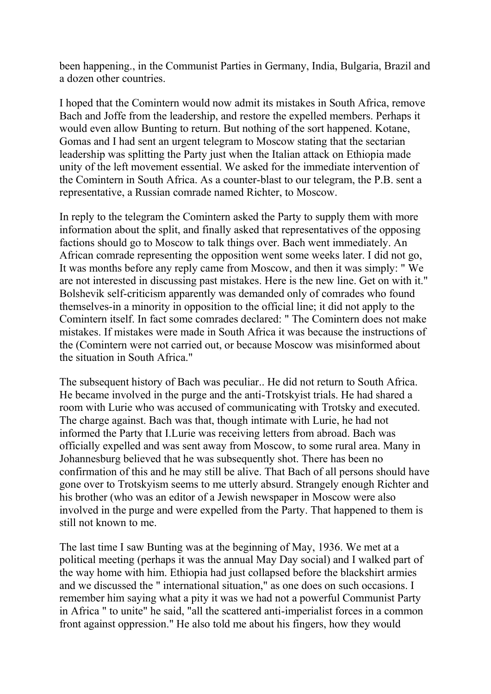been happening., in the Communist Parties in Germany, India, Bulgaria, Brazil and a dozen other countries.

I hoped that the Comintern would now admit its mistakes in South Africa, remove Bach and Joffe from the leadership, and restore the expelled members. Perhaps it would even allow Bunting to return. But nothing of the sort happened. Kotane, Gomas and I had sent an urgent telegram to Moscow stating that the sectarian leadership was splitting the Party just when the Italian attack on Ethiopia made unity of the left movement essential. We asked for the immediate intervention of the Comintern in South Africa. As a counter-blast to our telegram, the P.B. sent a representative, a Russian comrade named Richter, to Moscow.

In reply to the telegram the Comintern asked the Party to supply them with more information about the split, and finally asked that representatives of the opposing factions should go to Moscow to talk things over. Bach went immediately. An African comrade representing the opposition went some weeks later. I did not go, It was months before any reply came from Moscow, and then it was simply: " We are not interested in discussing past mistakes. Here is the new line. Get on with it." Bolshevik self-criticism apparently was demanded only of comrades who found themselves-in a minority in opposition to the official line; it did not apply to the Comintern itself. In fact some comrades declared: " The Comintern does not make mistakes. If mistakes were made in South Africa it was because the instructions of the (Comintern were not carried out, or because Moscow was misinformed about the situation in South Africa."

The subsequent history of Bach was peculiar.. He did not return to South Africa. He became involved in the purge and the anti-Trotskyist trials. He had shared a room with Lurie who was accused of communicating with Trotsky and executed. The charge against. Bach was that, though intimate with Lurie, he had not informed the Party that I.Lurie was receiving letters from abroad. Bach was officially expelled and was sent away from Moscow, to some rural area. Many in Johannesburg believed that he was subsequently shot. There has been no confirmation of this and he may still be alive. That Bach of all persons should have gone over to Trotskyism seems to me utterly absurd. Strangely enough Richter and his brother (who was an editor of a Jewish newspaper in Moscow were also involved in the purge and were expelled from the Party. That happened to them is still not known to me.

The last time I saw Bunting was at the beginning of May, 1936. We met at a political meeting (perhaps it was the annual May Day social) and I walked part of the way home with him. Ethiopia had just collapsed before the blackshirt armies and we discussed the " international situation," as one does on such occasions. I remember him saying what a pity it was we had not a powerful Communist Party in Africa " to unite" he said, "all the scattered anti-imperialist forces in a common front against oppression." He also told me about his fingers, how they would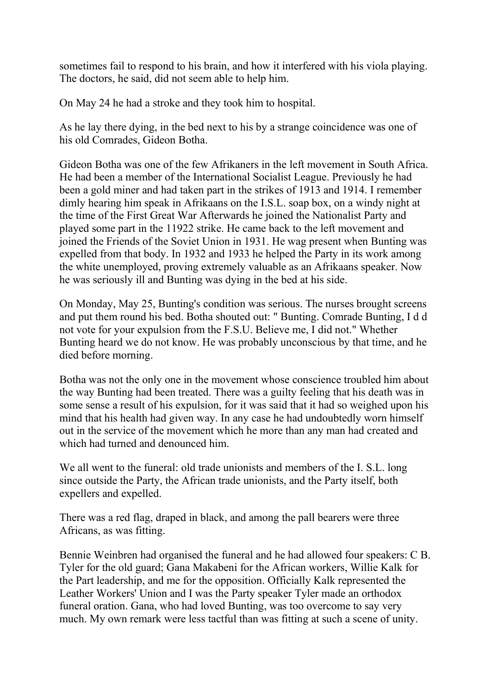sometimes fail to respond to his brain, and how it interfered with his viola playing. The doctors, he said, did not seem able to help him.

On May 24 he had a stroke and they took him to hospital.

As he lay there dying, in the bed next to his by a strange coincidence was one of his old Comrades, Gideon Botha.

Gideon Botha was one of the few Afrikaners in the left movement in South Africa. He had been a member of the International Socialist League. Previously he had been a gold miner and had taken part in the strikes of 1913 and 1914. I remember dimly hearing him speak in Afrikaans on the I.S.L. soap box, on a windy night at the time of the First Great War Afterwards he joined the Nationalist Party and played some part in the 11922 strike. He came back to the left movement and joined the Friends of the Soviet Union in 1931. He wag present when Bunting was expelled from that body. In 1932 and 1933 he helped the Party in its work among the white unemployed, proving extremely valuable as an Afrikaans speaker. Now he was seriously ill and Bunting was dying in the bed at his side.

On Monday, May 25, Bunting's condition was serious. The nurses brought screens and put them round his bed. Botha shouted out: " Bunting. Comrade Bunting, I d d not vote for your expulsion from the F.S.U. Believe me, I did not." Whether Bunting heard we do not know. He was probably unconscious by that time, and he died before morning.

Botha was not the only one in the movement whose conscience troubled him about the way Bunting had been treated. There was a guilty feeling that his death was in some sense a result of his expulsion, for it was said that it had so weighed upon his mind that his health had given way. In any case he had undoubtedly worn himself out in the service of the movement which he more than any man had created and which had turned and denounced him.

We all went to the funeral: old trade unionists and members of the I. S.L. long since outside the Party, the African trade unionists, and the Party itself, both expellers and expelled.

There was a red flag, draped in black, and among the pall bearers were three Africans, as was fitting.

Bennie Weinbren had organised the funeral and he had allowed four speakers: C B. Tyler for the old guard; Gana Makabeni for the African workers, Willie Kalk for the Part leadership, and me for the opposition. Officially Kalk represented the Leather Workers' Union and I was the Party speaker Tyler made an orthodox funeral oration. Gana, who had loved Bunting, was too overcome to say very much. My own remark were less tactful than was fitting at such a scene of unity.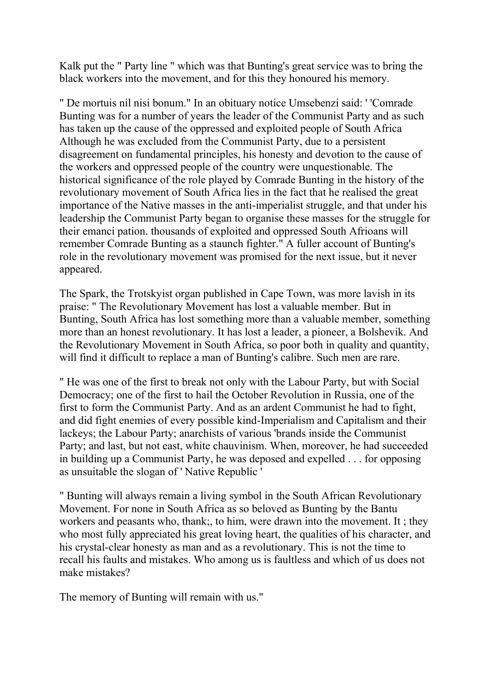Kalk put the " Party line " which was that Bunting's great service was to bring the black workers into the movement, and for this they honoured his memory.

" De mortuis nil nisi bonum." In an obituary notice Umsebenzi said: ' 'Comrade Bunting was for a number of years the leader of the Communist Party and as such has taken up the cause of the oppressed and exploited people of South Africa Although he was excluded from the Communist Party, due to a persistent disagreement on fundamental principles, his honesty and devotion to the cause of the workers and oppressed people of the country were unquestionable. The historical significance of the role played by Comrade Bunting in the history of the revolutionary movement of South Africa lies in the fact that he realised the great importance of the Native masses in the anti-imperialist struggle, and that under his leadership the Communist Party began to organise these masses for the struggle for their emanci pation. thousands of exploited and oppressed South Afrioans will remember Comrade Bunting as a staunch fighter." A fuller account of Bunting's role in the revolutionary movement was promised for the next issue, but it never appeared.

The Spark, the Trotskyist organ published in Cape Town, was more lavish in its praise: " The Revolutionary Movement has lost a valuable member. But in Bunting, South Africa has lost something more than a valuable member, something more than an honest revolutionary. It has lost a leader, a pioneer, a Bolshevik. And the Revolutionary Movement in South Africa, so poor both in quality and quantity, will find it difficult to replace a man of Bunting's calibre. Such men are rare.

" He was one of the first to break not only with the Labour Party, but with Social Democracy; one of the first to hail the October Revolution in Russia, one of the first to form the Communist Party. And as an ardent Communist he had to fight, and did fight enemies of every possible kind-Imperialism and Capitalism and their lackeys; the Labour Party; anarchists of various 'brands inside the Communist Party; and last, but not east, white chauvinism. When, moreover, he had succeeded in building up a Communist Party, he was deposed and expelled . . . for opposing as unsuitable the slogan of ' Native Republic '

" Bunting will always remain a living symbol in the South African Revolutionary Movement. For none in South Africa as so beloved as Bunting by the Bantu workers and peasants who, thank;, to him, were drawn into the movement. It ; they who most fully appreciated his great loving heart, the qualities of his character, and his crystal-clear honesty as man and as a revolutionary. This is not the time to recall his faults and mistakes. Who among us is faultless and which of us does not make mistakes?

The memory of Bunting will remain with us."